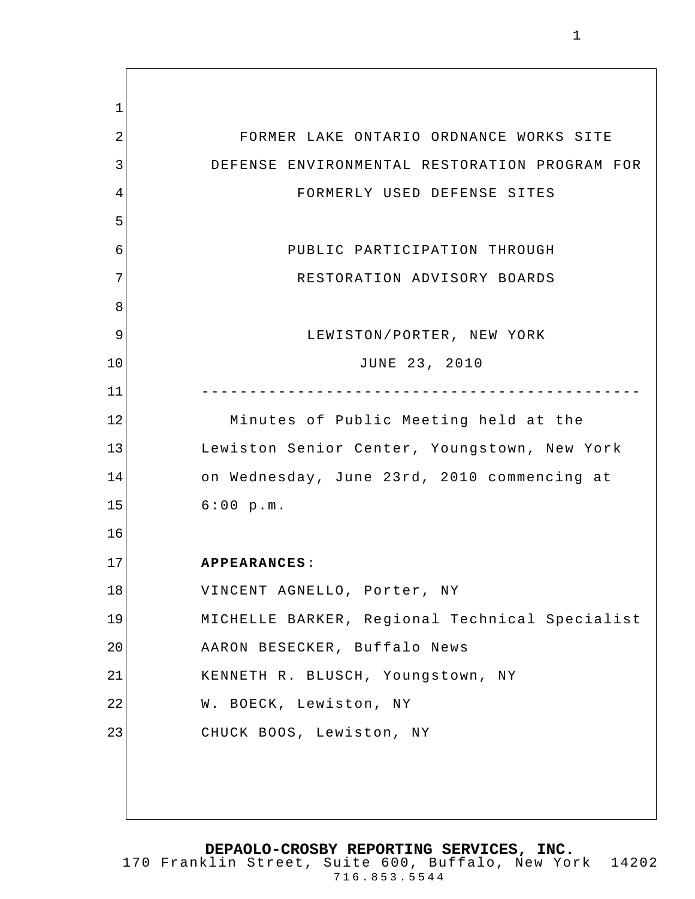1 2 3 4 5 6 7 8 9 10 11 12 13 14 15 16 17 18 19 20 21 22 23 FORMER LAKE ONTARIO ORDNANCE WORKS SITE DEFENSE ENVIRONMENTAL RESTORATION PROGRAM FOR FORMERLY USED DEFENSE SITES PUBLIC PARTICIPATION THROUGH RESTORATION ADVISORY BOARDS LEWISTON/PORTER, NEW YORK JUNE 23, 2010 ---------------------------------------------- Minutes of Public Meeting held at the Lewiston Senior Center, Youngstown, New York on Wednesday, June 23rd, 2010 commencing at 6:00 p.m. **APPEARANCES**: VINCENT AGNELLO, Porter, NY MICHELLE BARKER, Regional Technical Specialist AARON BESECKER, Buffalo News KENNETH R. BLUSCH, Youngstown, NY W. BOECK, Lewiston, NY CHUCK BOOS, Lewiston, NY

**DEPAOLO-CROSBY REPORTING SERVICES, INC.**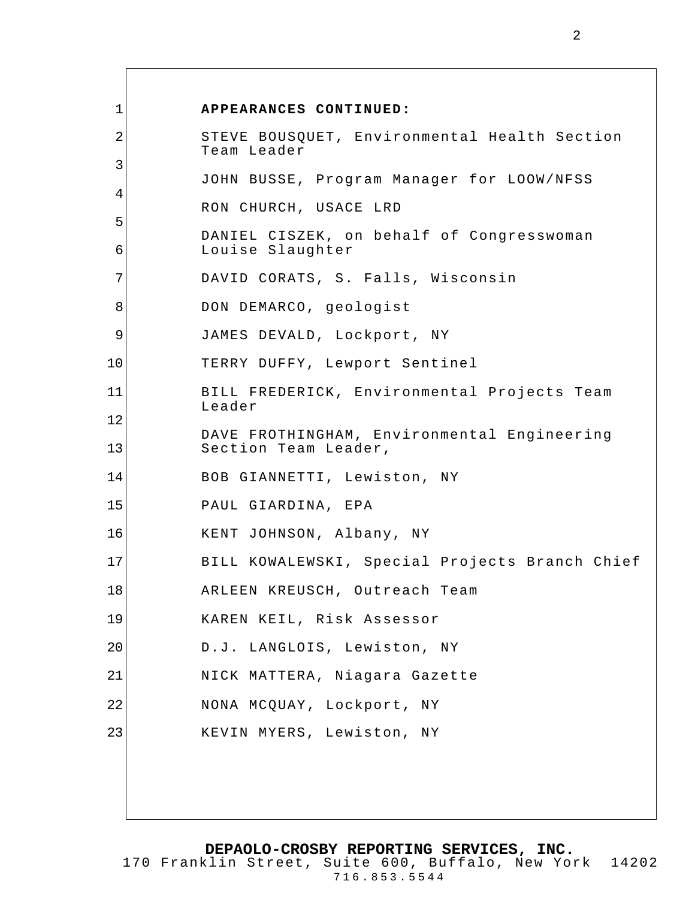| $\mathbf 1$ | APPEARANCES CONTINUED:                                              |
|-------------|---------------------------------------------------------------------|
| 2           | STEVE BOUSQUET, Environmental Health Section<br>Team Leader         |
| 3           |                                                                     |
| 4           | JOHN BUSSE, Program Manager for LOOW/NFSS                           |
| 5           | RON CHURCH, USACE LRD                                               |
| 6           | DANIEL CISZEK, on behalf of Congresswoman<br>Louise Slaughter       |
| 7           | DAVID CORATS, S. Falls, Wisconsin                                   |
| 8           | DON DEMARCO, geologist                                              |
| 9           | JAMES DEVALD, Lockport, NY                                          |
| 10          | TERRY DUFFY, Lewport Sentinel                                       |
| 11          | BILL FREDERICK, Environmental Projects Team                         |
| 12          | Leader                                                              |
| 13          | DAVE FROTHINGHAM, Environmental Engineering<br>Section Team Leader, |
| 14          | BOB GIANNETTI, Lewiston, NY                                         |
| 15          | PAUL GIARDINA, EPA                                                  |
| 16          | KENT JOHNSON, Albany, NY                                            |
| 17          | BILL KOWALEWSKI, Special Projects Branch Chief                      |
| 18          | ARLEEN KREUSCH, Outreach Team                                       |
| 19          | KAREN KEIL, Risk Assessor                                           |
| 20          | D.J. LANGLOIS, Lewiston, NY                                         |
| 21          | NICK MATTERA, Niagara Gazette                                       |
| 22          | NONA MCQUAY, Lockport, NY                                           |
| 23          | KEVIN MYERS, Lewiston, NY                                           |
|             |                                                                     |
|             |                                                                     |
|             |                                                                     |

**DEPAOLO-CROSBY REPORTING SERVICES, INC.**

2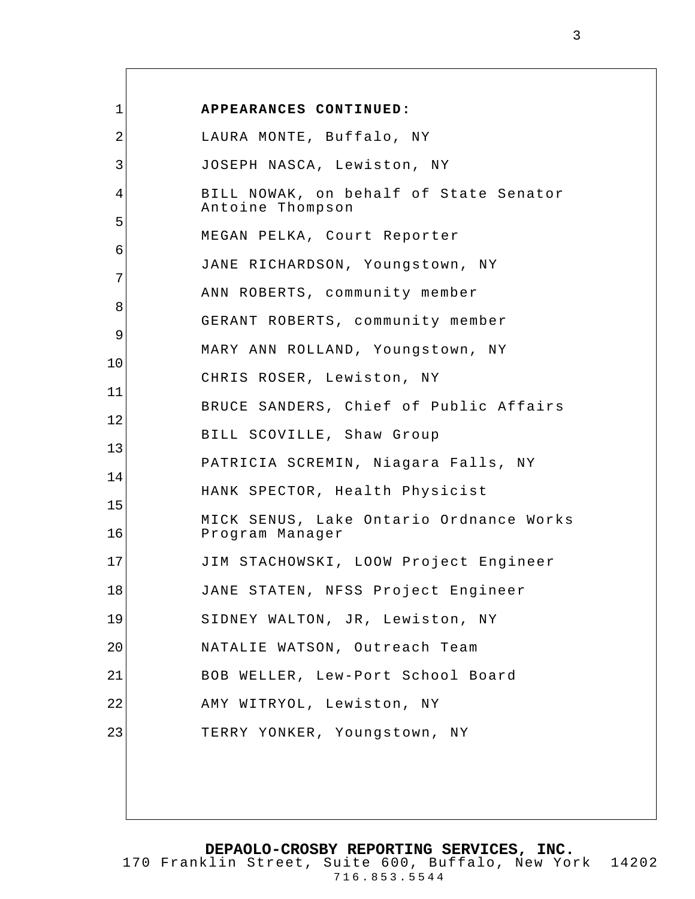| 1  | APPEARANCES CONTINUED:                                     |
|----|------------------------------------------------------------|
| 2  | LAURA MONTE, Buffalo, NY                                   |
| 3  | JOSEPH NASCA, Lewiston, NY                                 |
| 4  | BILL NOWAK, on behalf of State Senator                     |
| 5  | Antoine Thompson                                           |
| 6  | MEGAN PELKA, Court Reporter                                |
| 7  | JANE RICHARDSON, Youngstown, NY                            |
| 8  | ANN ROBERTS, community member                              |
| 9  | GERANT ROBERTS, community member                           |
| 10 | MARY ANN ROLLAND, Youngstown, NY                           |
| 11 | CHRIS ROSER, Lewiston, NY                                  |
| 12 | BRUCE SANDERS, Chief of Public Affairs                     |
| 13 | BILL SCOVILLE, Shaw Group                                  |
| 14 | PATRICIA SCREMIN, Niagara Falls, NY                        |
| 15 | HANK SPECTOR, Health Physicist                             |
| 16 | MICK SENUS, Lake Ontario Ordnance Works<br>Program Manager |
| 17 | JIM STACHOWSKI, LOOW Project Engineer                      |
| 18 | JANE STATEN, NFSS Project Engineer                         |
| 19 | SIDNEY WALTON, JR, Lewiston, NY                            |
| 20 | NATALIE WATSON, Outreach Team                              |
| 21 | BOB WELLER, Lew-Port School Board                          |
| 22 | AMY WITRYOL, Lewiston, NY                                  |
| 23 | TERRY YONKER, Youngstown, NY                               |
|    |                                                            |
|    |                                                            |

 $\overline{\Gamma}$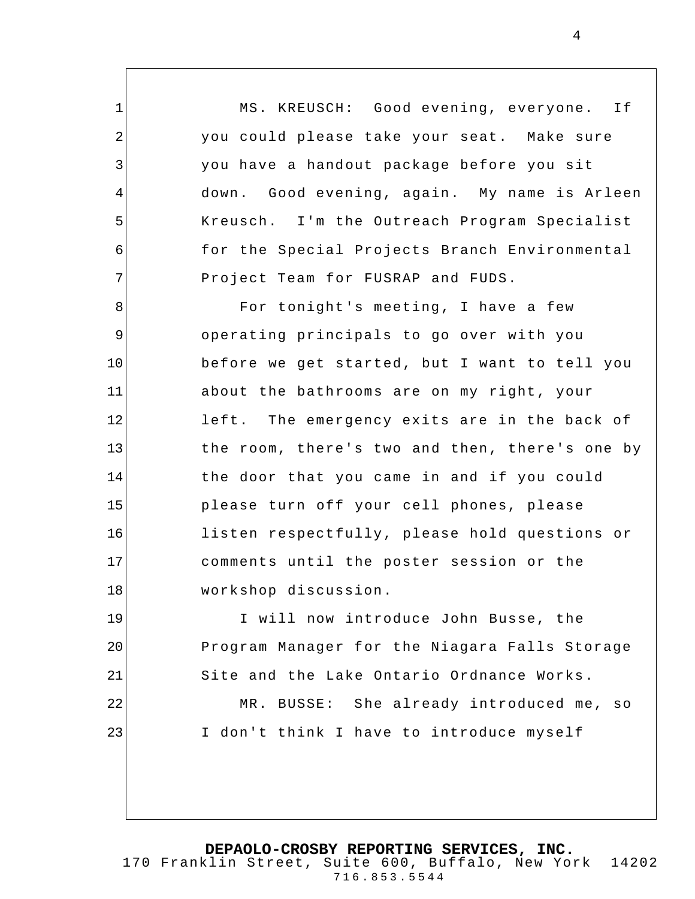MS. KREUSCH: Good evening, everyone. If you could please take your seat. Make sure you have a handout package before you sit down. Good evening, again. My name is Arleen Kreusch. I'm the Outreach Program Specialist for the Special Projects Branch Environmental Project Team for FUSRAP and FUDS.

1

2

3

4

5

6

7

8 9 10 11 12 13 14 15 16 17 18 For tonight's meeting, I have a few operating principals to go over with you before we get started, but I want to tell you about the bathrooms are on my right, your left. The emergency exits are in the back of the room, there's two and then, there's one by the door that you came in and if you could please turn off your cell phones, please listen respectfully, please hold questions or comments until the poster session or the workshop discussion.

19 20 21 22 23 I will now introduce John Busse, the Program Manager for the Niagara Falls Storage Site and the Lake Ontario Ordnance Works. MR. BUSSE: She already introduced me, so I don't think I have to introduce myself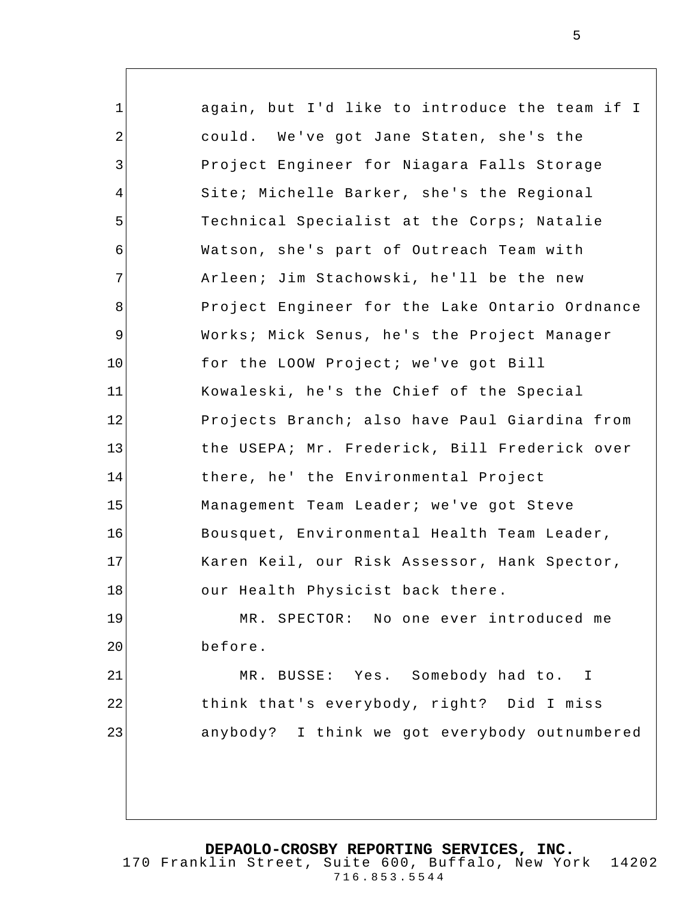1 2 3 4 5 6 7 8 9 10 11 12 13 14 15 16 17 18 19 20 21 22 23 again, but I'd like to introduce the team if I could. We've got Jane Staten, she's the Project Engineer for Niagara Falls Storage Site; Michelle Barker, she's the Regional Technical Specialist at the Corps; Natalie Watson, she's part of Outreach Team with Arleen; Jim Stachowski, he'll be the new Project Engineer for the Lake Ontario Ordnance Works; Mick Senus, he's the Project Manager for the LOOW Project; we've got Bill Kowaleski, he's the Chief of the Special Projects Branch; also have Paul Giardina from the USEPA; Mr. Frederick, Bill Frederick over there, he' the Environmental Project Management Team Leader; we've got Steve Bousquet, Environmental Health Team Leader, Karen Keil, our Risk Assessor, Hank Spector, our Health Physicist back there. MR. SPECTOR: No one ever introduced me before. MR. BUSSE: Yes. Somebody had to. I think that's everybody, right? Did I miss anybody? I think we got everybody outnumbered

5

**DEPAOLO-CROSBY REPORTING SERVICES, INC.**

170 Franklin Street, Suite 600, Buffalo, New York 14202 716.853.5544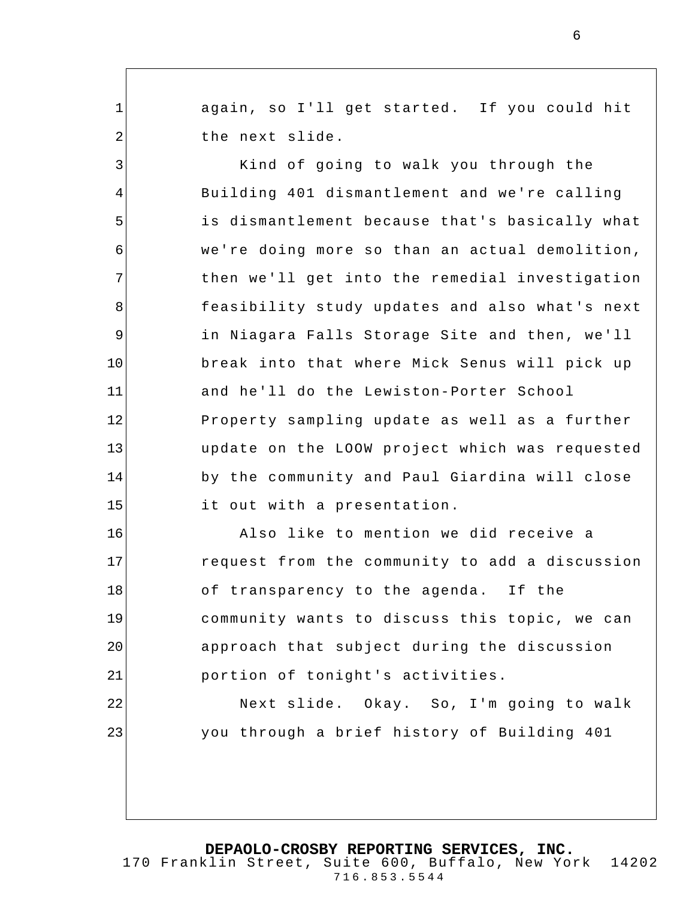again, so I'll get started. If you could hit the next slide.

1

2

23

3 4 5 6 7 8 9 10 11 12 13 14 15 Kind of going to walk you through the Building 401 dismantlement and we're calling is dismantlement because that's basically what we're doing more so than an actual demolition, then we'll get into the remedial investigation feasibility study updates and also what's next in Niagara Falls Storage Site and then, we'll break into that where Mick Senus will pick up and he'll do the Lewiston-Porter School Property sampling update as well as a further update on the LOOW project which was requested by the community and Paul Giardina will close it out with a presentation.

16 17 18 19 20 21 22 Also like to mention we did receive a request from the community to add a discussion of transparency to the agenda. If the community wants to discuss this topic, we can approach that subject during the discussion portion of tonight's activities.

Next slide. Okay. So, I'm going to walk you through a brief history of Building 401

170 Franklin Street, Suite 600, Buffalo, New York 14202 716.853.5544

6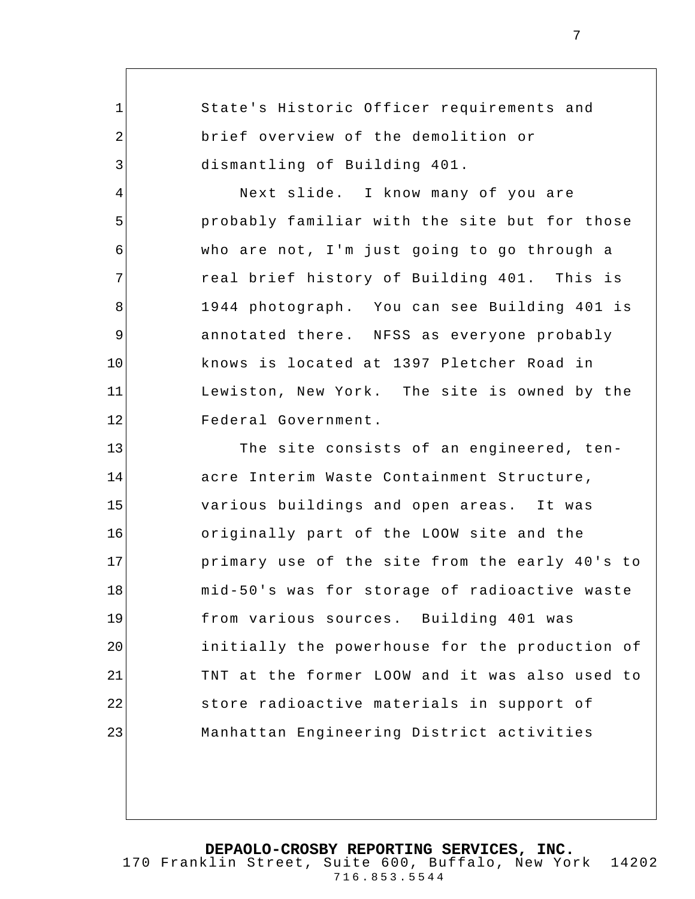1 2 3 4 5 6 7 8 9 10 11 12 13 14 15 16 17 18 19 20 21 22 State's Historic Officer requirements and brief overview of the demolition or dismantling of Building 401. Next slide. I know many of you are probably familiar with the site but for those who are not, I'm just going to go through a real brief history of Building 401. This is 1944 photograph. You can see Building 401 is annotated there. NFSS as everyone probably knows is located at 1397 Pletcher Road in Lewiston, New York. The site is owned by the Federal Government. The site consists of an engineered, tenacre Interim Waste Containment Structure, various buildings and open areas. It was originally part of the LOOW site and the primary use of the site from the early 40's to mid-50's was for storage of radioactive waste from various sources. Building 401 was initially the powerhouse for the production of TNT at the former LOOW and it was also used to store radioactive materials in support of

**DEPAOLO-CROSBY REPORTING SERVICES, INC.** 170 Franklin Street, Suite 600, Buffalo, New York 14202 716.853.5544

Manhattan Engineering District activities

23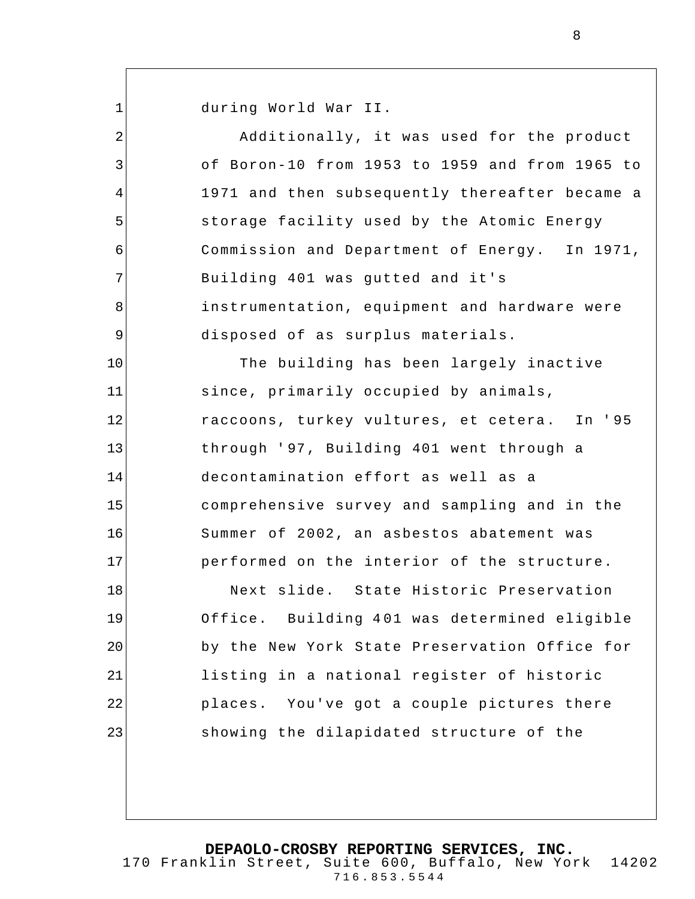1 2 3 4 5 6 7 8 9 10 11 12 13 14 15 16 17 18 19 20 21 22 23 during World War II. Additionally, it was used for the product of Boron-10 from 1953 to 1959 and from 1965 to 1971 and then subsequently thereafter became a storage facility used by the Atomic Energy Commission and Department of Energy. In 1971, Building 401 was gutted and it's instrumentation, equipment and hardware were disposed of as surplus materials. The building has been largely inactive since, primarily occupied by animals, raccoons, turkey vultures, et cetera. In ' 95 through ' 97, Building 401 went through a decontamination effort as well as a comprehensive survey and sampling and in the Summer of 2002, an asbestos abatement was performed on the interior of the structure. Next slide. State Historic Preservation Office. Building 4 01 was determined eligible by the New York State Preservation Office for listing in a national register of historic places. You've got a couple pictures there showing the dilapidated structure of the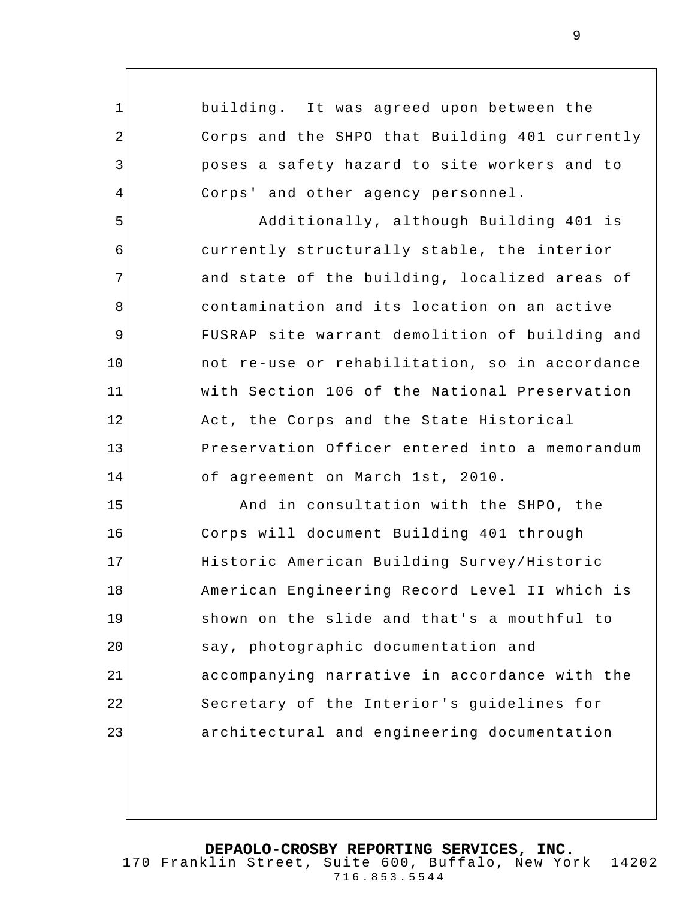1 2 3 4 5 6 7 8 9 10 11 12 13 14 15 16 17 18 19 20 21 22 23 building. It was agreed upon between the Corps and the SHPO that Building 401 currently poses a safety hazard to site workers and to Corps' and other agency personnel. Additionally, although Building 401 is currently structurally stable, the interior and state of the building, localized areas of contamination and its location on an active FUSRAP site warrant demolition of building and not re-use or rehabilitation, so in accordance with Section 106 of the National Preservation Act, the Corps and the State Historical Preservation Officer entered into a memorandum of agreement on March 1st, 2010. And in consultation with the SHPO, the Corps will document Building 401 through Historic American Building Survey/Historic American Engineering Record Level II which is shown on the slide and that's a mouthful to say, photographic documentation and accompanying narrative in accordance with the Secretary of the Interior's guidelines for architectural and engineering documentation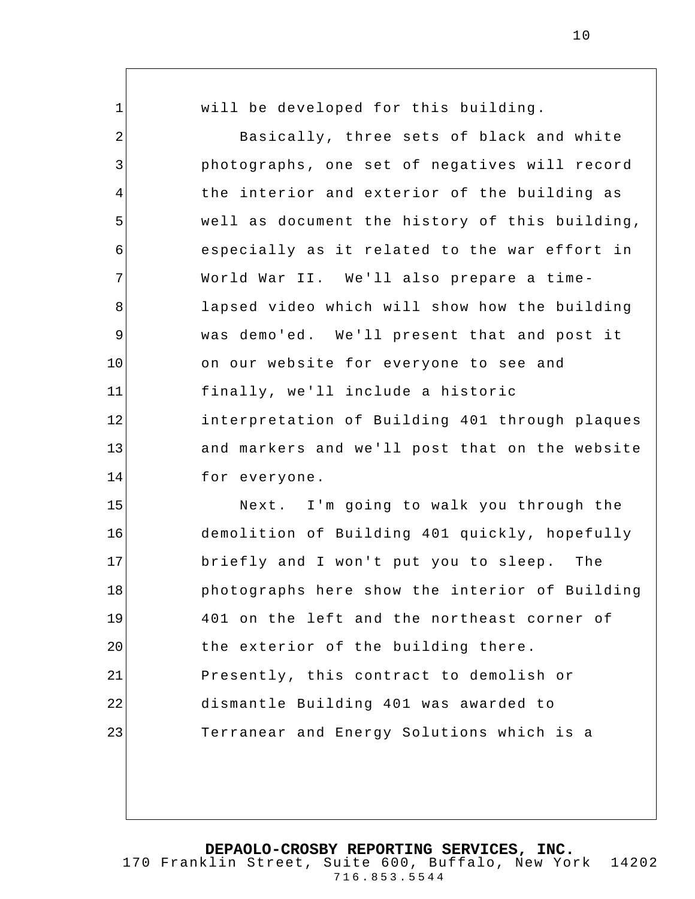1 2 3 4 5 6 7 8 9 10 11 12 13 14 15 16 17 18 19 20 21 22 23 will be developed for this building. Basically, three sets of black and white photographs, one set of negatives will record the interior and exterior of the building as well as document the history of this building, especially as it related to the war effort in World War II. We'll also prepare a timelapsed video which will show how the building was demo'ed. We'll present that and post it on our website for everyone to see and finally, we'll include a historic interpretation of Building 401 through plaques and markers and we'll post that on the website for everyone. Next. I'm going to walk you through the demolition of Building 401 quickly, hopefully briefly and I won't put you to sleep. The photographs here show the interior of Building 401 on the left and the northeast corner of the exterior of the building there. Presently, this contract to demolish or dismantle Building 401 was awarded to Terranear and Energy Solutions which is a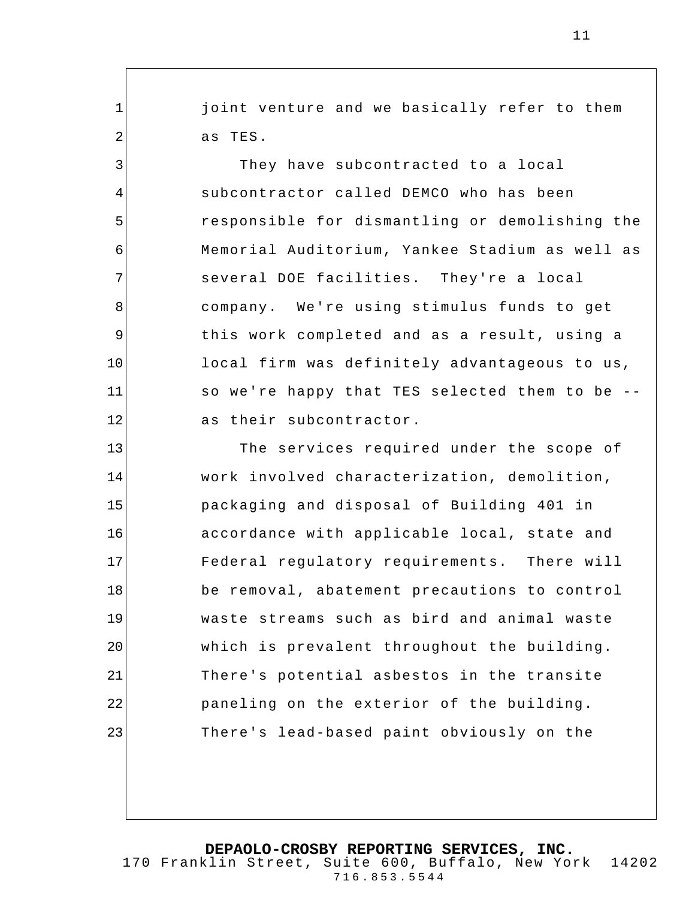joint venture and we basically refer to them as TES.

1

2

3

4

5

6

7

8

9

10

11

12

They have subcontracted to a local subcontractor called DEMCO who has been responsible for dismantling or demolishing the Memorial Auditorium, Yankee Stadium as well as several DOE facilities. They're a local company. We're using stimulus funds to get this work completed and as a result, using a local firm was definitely advantageous to us, so we're happy that TES selected them to be - as their subcontractor.

13 14 15 16 17 18 19 20 21 22 23 The services required under the scope of work involved characterization, demolition, packaging and disposal of Building 401 in accordance with applicable local, state and Federal regulatory requirements. There will be removal, abatement precautions to control waste streams such as bird and animal waste which is prevalent throughout the building. There's potential asbestos in the transite paneling on the exterior of the building. There's lead-based paint obviously on the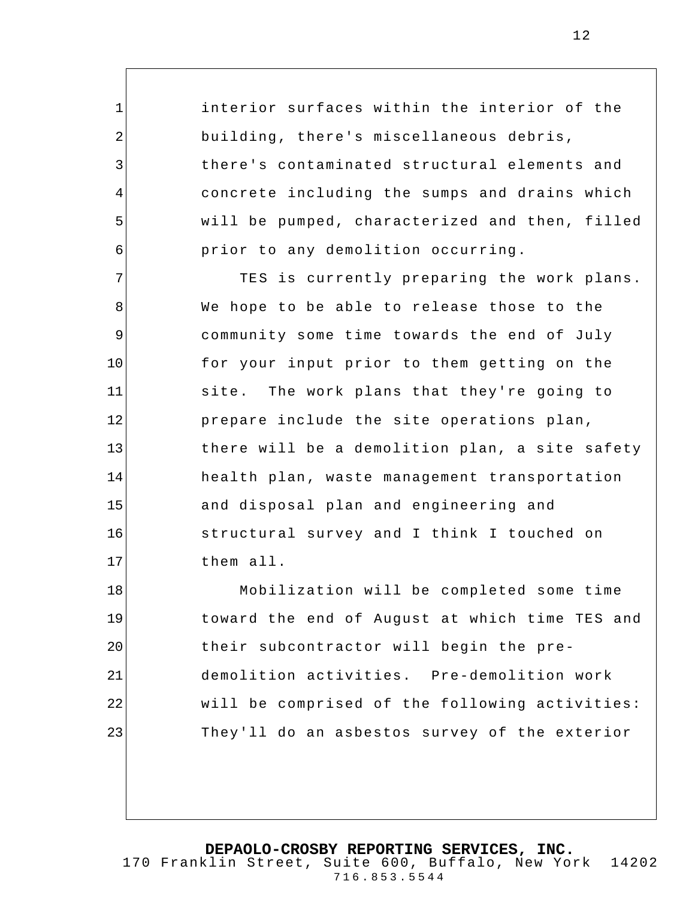interior surfaces within the interior of the building, there's miscellaneous debris, there's contaminated structural elements and concrete including the sumps and drains which will be pumped, characterized and then, filled prior to any demolition occurring.

1

2

3

4

5

6

7 8 9 10 11 12 13 14 15 16 17 TES is currently preparing the work plans. We hope to be able to release those to the community some time towards the end of July for your input prior to them getting on the site. The work plans that they're going to prepare include the site operations plan, there will be a demolition plan, a site safety health plan, waste management transportation and disposal plan and engineering and structural survey and I think I touched on them all.

18 19 20 21 22 23 Mobilization will be completed some time toward the end of August at which time TES and their subcontractor will begin the predemolition activities. Pre-demolition work will be comprised of the following activities: They'll do an asbestos survey of the exterior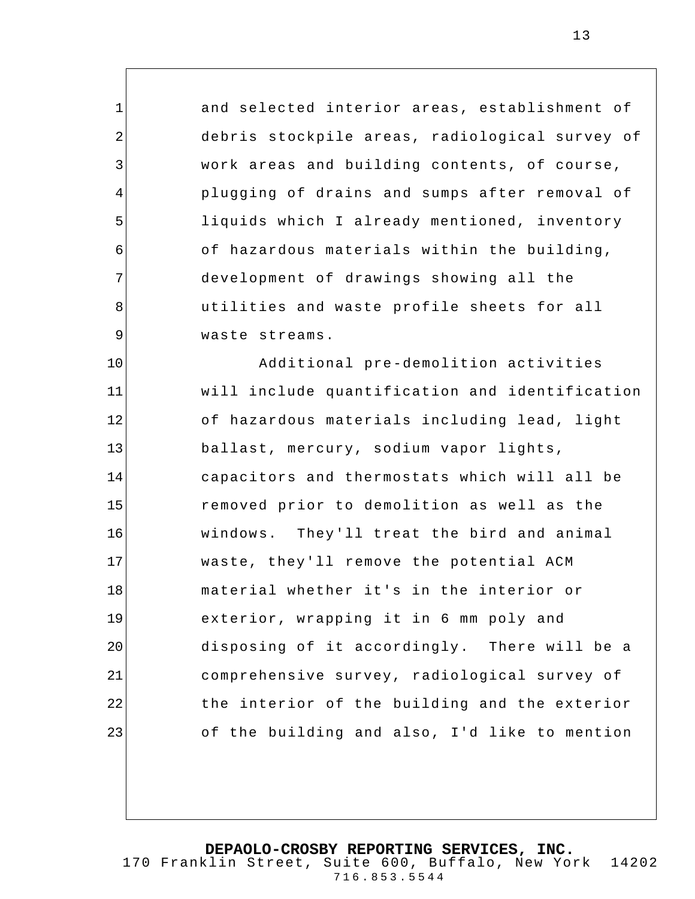and selected interior areas, establishment of debris stockpile areas, radiological survey of work areas and building contents, of course, plugging of drains and sumps after removal of liquids which I already mentioned, inventory of hazardous materials within the building, development of drawings showing all the utilities and waste profile sheets for all waste streams.

1

2

3

4

5

6

7

8

9

10 11 12 13 14 15 16 17 18 19 20 21 22 23 Additional pre-demolition activities will include quantification and identification of hazardous materials including lead, light ballast, mercury, sodium vapor lights, capacitors and thermostats which will all be removed prior to demolition as well as the windows. They'll treat the bird and animal waste, they'll remove the potential ACM material whether it's in the interior or exterior, wrapping it in 6 mm poly and disposing of it accordingly. There will be a comprehensive survey, radiological survey of the interior of the building and the exterior of the building and also, I'd like to mention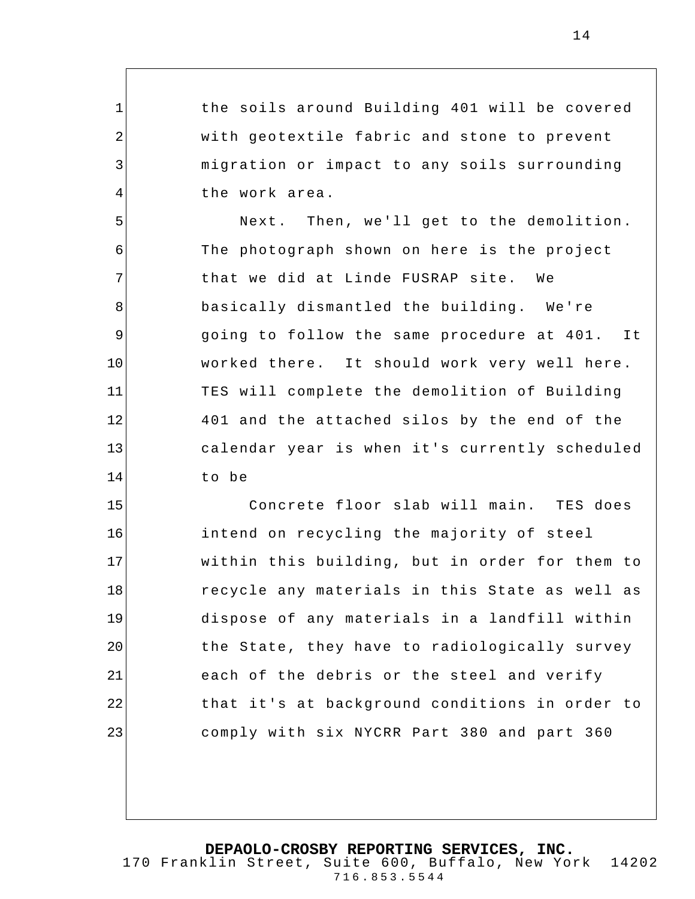the soils around Building 401 will be covered with geotextile fabric and stone to prevent migration or impact to any soils surrounding the work area.

1

2

3

4

5 6 7 8 9 10 11 12 13 14 Next. Then, we'll get to the demolition. The photograph shown on here is the project that we did at Linde FUSRAP site. We basically dismantled the building. We're going to follow the same procedure at 401. It worked there. It should work very well here. TES will complete the demolition of Building 401 and the attached silos by the end of the calendar year is when it's currently scheduled to be

15 16 17 18 19 20 21 22 23 Concrete floor slab will main. TES does intend on recycling the majority of steel within this building, but in order for them to recycle any materials in this State as well as dispose of any materials in a landfill within the State, they have to radiologically survey each of the debris or the steel and verify that it's at background conditions in order to comply with six NYCRR Part 380 and part 360

**DEPAOLO-CROSBY REPORTING SERVICES, INC.**

170 Franklin Street, Suite 600, Buffalo, New York 14202 716.853.5544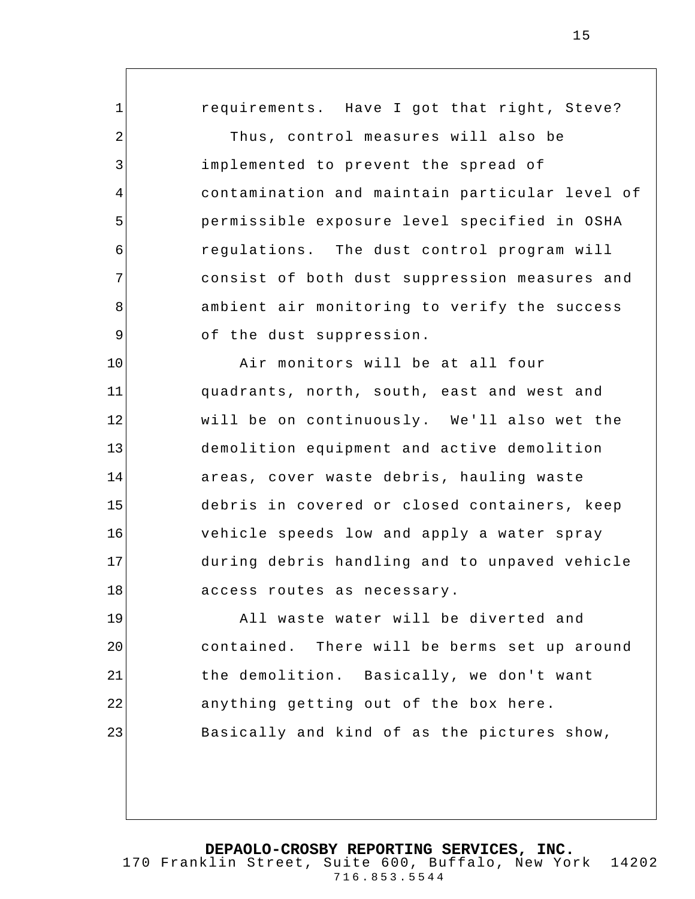1 2 3 4 5 6 7 8 9 10 11 12 13 14 15 16 17 18 19 20 21 22 requirements. Have I got that right, Steve? Thus, control measures will also be implemented to prevent the spread of contamination and maintain particular level of permissible exposure level specified in OSHA regulations. The dust control program will consist of both dust suppression measures and ambient air monitoring to verify the success of the dust suppression. Air monitors will be at all four quadrants, north, south, east and west and will be on continuously. We'll also wet the demolition equipment and active demolition areas, cover waste debris, hauling waste debris in covered or closed containers, keep vehicle speeds low and apply a water spray during debris handling and to unpaved vehicle access routes as necessary. All waste water will be diverted and contained. There will be berms set up around the demolition. Basically, we don't want anything getting out of the box here.

Basically and kind of as the pictures show,

23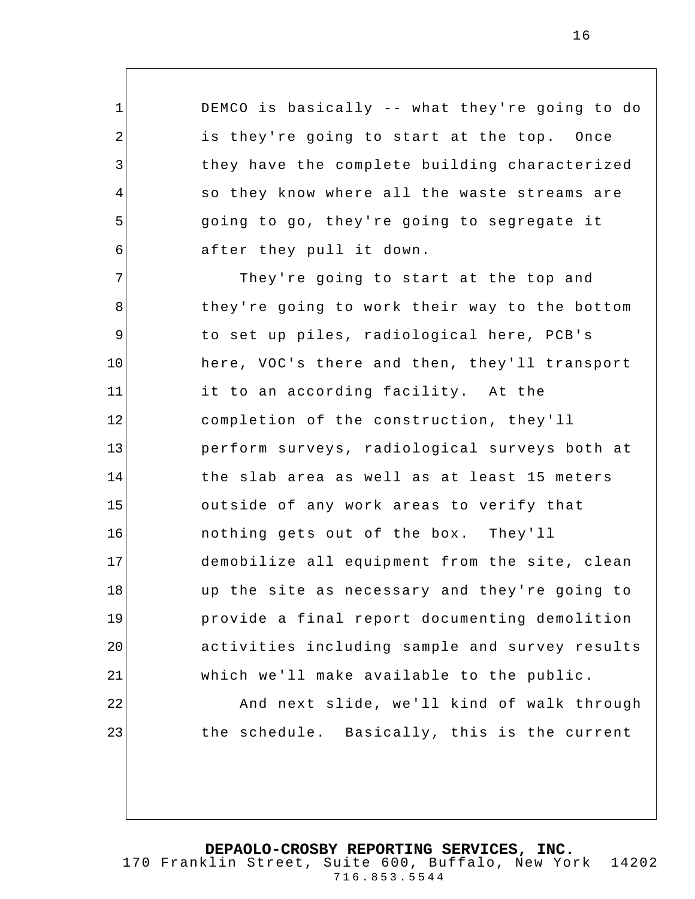DEMCO is basically -- what they're going to do is they're going to start at the top. Once they have the complete building characterized so they know where all the waste streams are going to go, they're going to segregate it after they pull it down.

1

2

3

4

5

6

22

23

7 8 9 10 11 12 13 14 15 16 17 18 19 20 21 They're going to start at the top and they're going to work their way to the bottom to set up piles, radiological here, PCB's here, VOC's there and then, they'll transport it to an according facility. At the completion of the construction, they'll perform surveys, radiological surveys both at the slab area as well as at least 15 meters outside of any work areas to verify that nothing gets out of the box. They'll demobilize all equipment from the site, clean up the site as necessary and they're going to provide a final report documenting demolition activities including sample and survey results which we'll make available to the public.

> And next slide, we'll kind of walk through the schedule. Basically, this is the current

**DEPAOLO-CROSBY REPORTING SERVICES, INC.** 170 Franklin Street, Suite 600, Buffalo, New York 14202

716.853.5544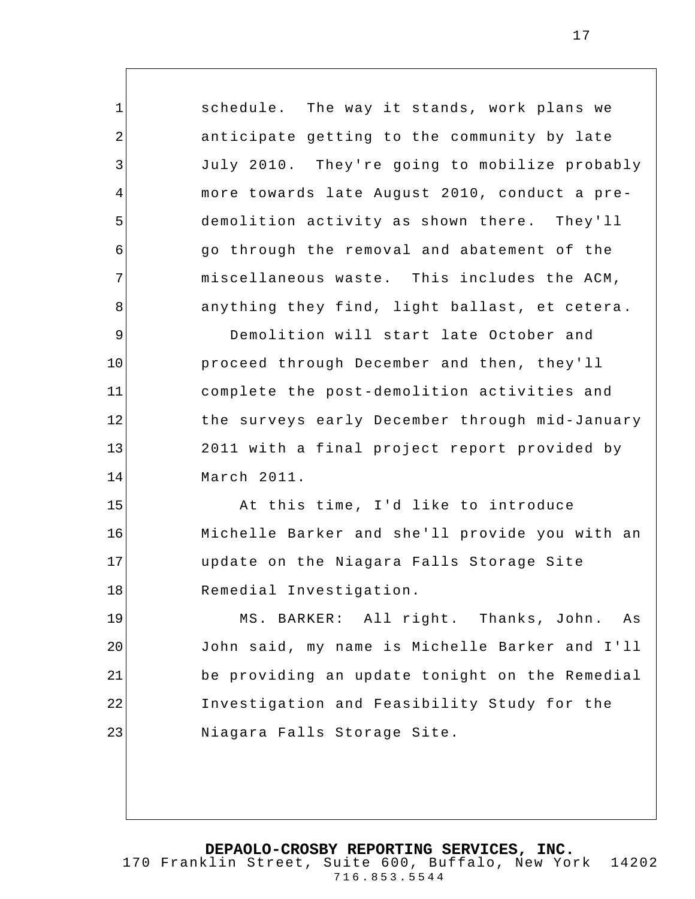schedule. The way it stands, work plans we anticipate getting to the community by late July 2010. They're going to mobilize probably more towards late August 2010, conduct a predemolition activity as shown there. They'll go through the removal and abatement of the miscellaneous waste. This includes the ACM, anything they find, light ballast, et cetera . Demolition will start late October and proceed through December and then, they'll complete the post-demolition activities and the surveys early December through mid-January 2011 with a final project report provided by

March 2011.

1

2

3

4

5

6

7

8

9

10

11

12

13

14

15

16

17

18

At this time, I'd like to introduce Michelle Barker and she'll provide you with an update on the Niagara Falls Storage Site Remedial Investigation.

19 20 21 22 23 MS. BARKER: All right. Thanks, John. As John said, my name is Michelle Barker and I'll be providing an update tonight on the Remedial Investigation and Feasibility Study for the Niagara Falls Storage Site.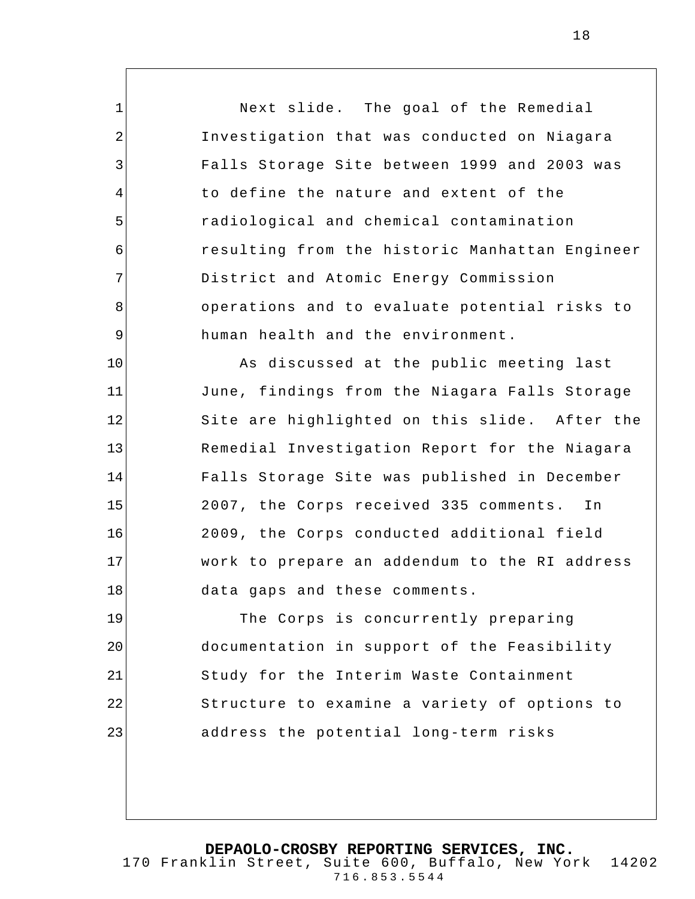Next slide. The goal of the Remedial Investigation that was conducted on Niagara Falls Storage Site between 1999 and 2003 was to define the nature and extent of the radiological and chemical contamination resulting from the historic Manhattan Engineer District and Atomic Energy Commission operations and to evaluate potential risks to human health and the environment.

1

2

3

4

5

6

7

8

9

10 11 12 13 14 15 16 17 18 As discussed at the public meeting last June, findings from the Niagara Falls Storage Site are highlighted on this slide. After the Remedial Investigation Report for the Niagara Falls Storage Site was published in December 2007, the Corps received 335 comments. In 2009, the Corps conducted additional field work to prepare an addendum to the RI address data gaps and these comments.

19 20 21 22 23 The Corps is concurrently preparing documentation in support of the Feasibility Study for the Interim Waste Containment Structure to examine a variety of options to address the potential long-term risks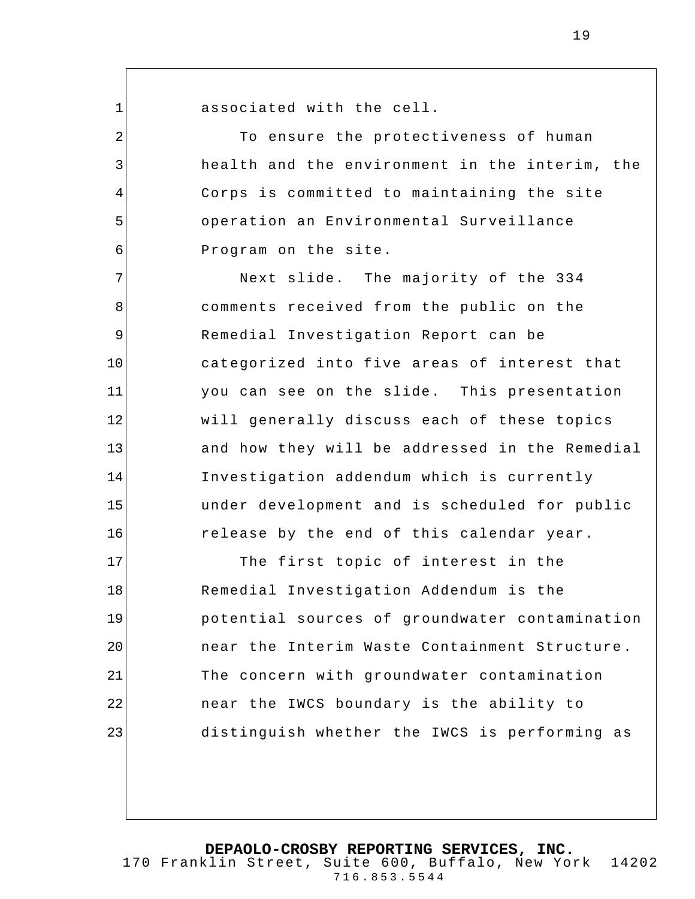1

2

3

4

5

6

associated with the cell.

To ensure the protectiveness of human health and the environment in the interim, the Corps is committed to maintaining the site operation an Environmental Surveillance Program on the site.

7 8 9 10 11 12 13 14 15 16 Next slide. The majority of the 334 comments received from the public on the Remedial Investigation Report can be categorized into five areas of interest that you can see on the slide. This presentation will generally discuss each of these topics and how they will be addressed in the Remedial Investigation addendum which is currently under development and is scheduled for public release by the end of this calendar year.

17 18 19 20 21 22 23 The first topic of interest in the Remedial Investigation Addendum is the potential sources of groundwater contamination near the Interim Waste Containment Structure . The concern with groundwater contamination near the IWCS boundary is the ability to distinguish whether the IWCS is performing as

**DEPAOLO-CROSBY REPORTING SERVICES, INC.**

170 Franklin Street, Suite 600, Buffalo, New York 14202 716.853.5544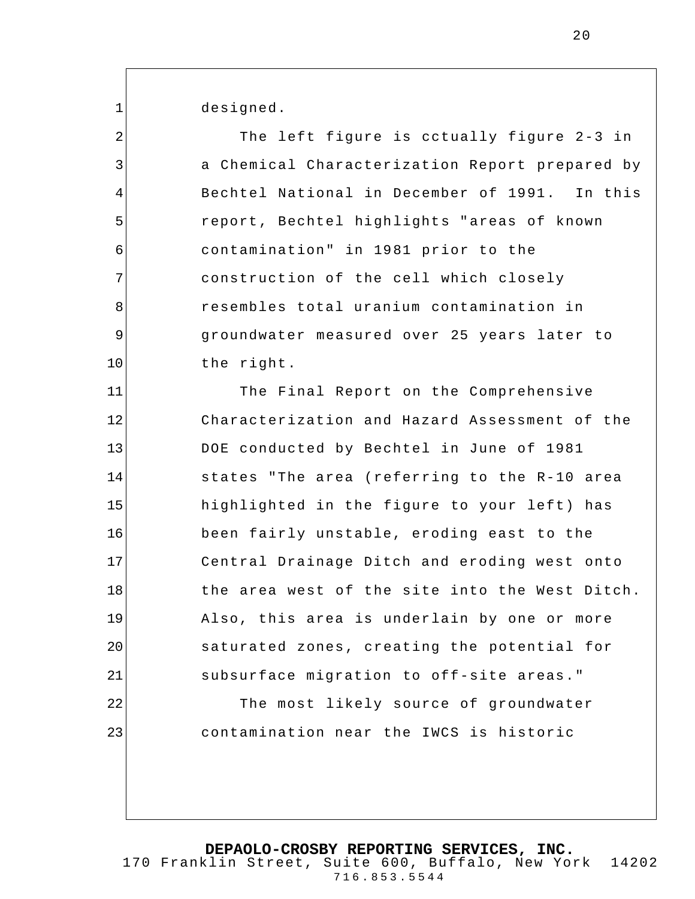designed.

1

2 3 4 5 6 7 8 9 10 11 12 13 14 15 16 17 18 19 20 21 22 23 The left figure is cctually figure 2-3 in a Chemical Characterization Report prepared by Bechtel National in December of 1991. In this report, Bechtel highlights "areas of known contamination" in 1981 prior to the construction of the cell which closely resembles total uranium contamination in groundwater measured over 25 years later to the right. The Final Report on the Comprehensive Characterization and Hazard Assessment of the DOE conducted by Bechtel in June of 1981 states "The area (referring to the R-10 area highlighted in the figure to your left) has been fairly unstable, eroding east to the Central Drainage Ditch and eroding west onto the area west of the site into the West Ditch. Also, this area is underlain by one or more saturated zones, creating the potential for subsurface migration to off-site areas." The most likely source of groundwater contamination near the IWCS is historic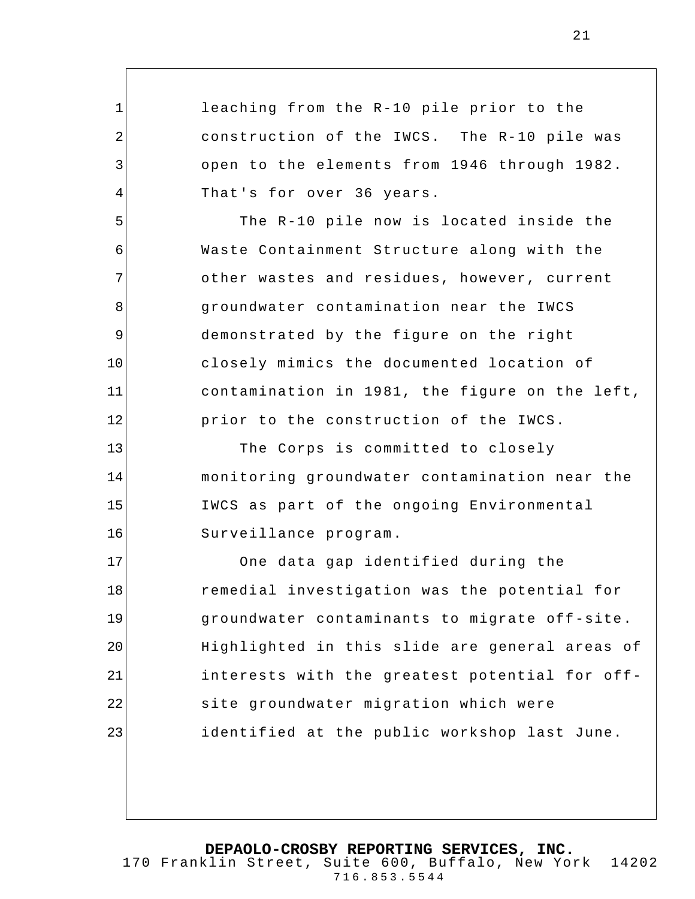leaching from the R-10 pile prior to the construction of the IWCS. The R-10 pile was open to the elements from 1946 through 1982. That's for over 36 years.

1

2

3

4

5

6

7

8

9

10

11

12

13

14

15

16

The R-10 pile now is located inside the Waste Containment Structure along with the other wastes and residues, however, current groundwater contamination near the IWCS demonstrated by the figure on the right closely mimics the documented location of contamination in 1981, the figure on the left, prior to the construction of the IWCS.

The Corps is committed to closely monitoring groundwater contamination near the IWCS as part of the ongoing Environmental Surveillance program.

17 18 19 20 21 22 23 One data gap identified during the remedial investigation was the potential for groundwater contaminants to migrate off-site. Highlighted in this slide are general areas of interests with the greatest potential for offsite groundwater migration which were identified at the public workshop last June.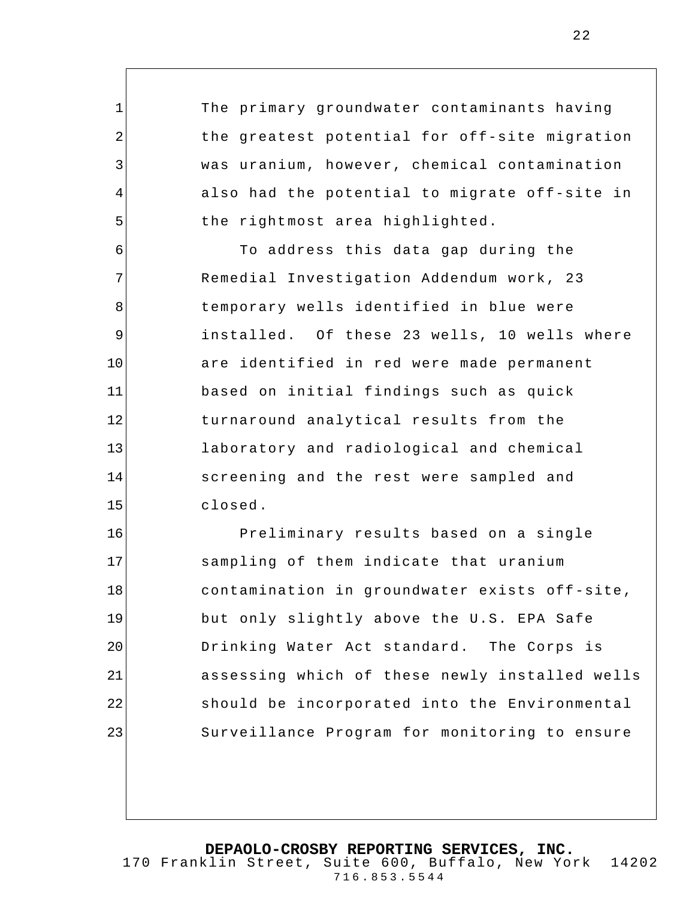The primary groundwater contaminants having the greatest potential for off-site migration was uranium, however, chemical contamination also had the potential to migrate off-site in the rightmost area highlighted.

1

2

3

4

5

6 7 8 9 10 11 12 13 14 15 To address this data gap during the Remedial Investigation Addendum work, 23 temporary wells identified in blue were installed. Of these 23 wells, 10 wells where are identified in red were made permanent based on initial findings such as quick turnaround analytical results from the laboratory and radiological and chemical screening and the rest were sampled and closed.

16 17 18 19 20 21 22 23 Preliminary results based on a single sampling of them indicate that uranium contamination in groundwater exists off-site, but only slightly above the U.S. EPA Safe Drinking Water Act standard. The Corps is assessing which of these newly installed wells should be incorporated into the Environmental Surveillance Program for monitoring to ensure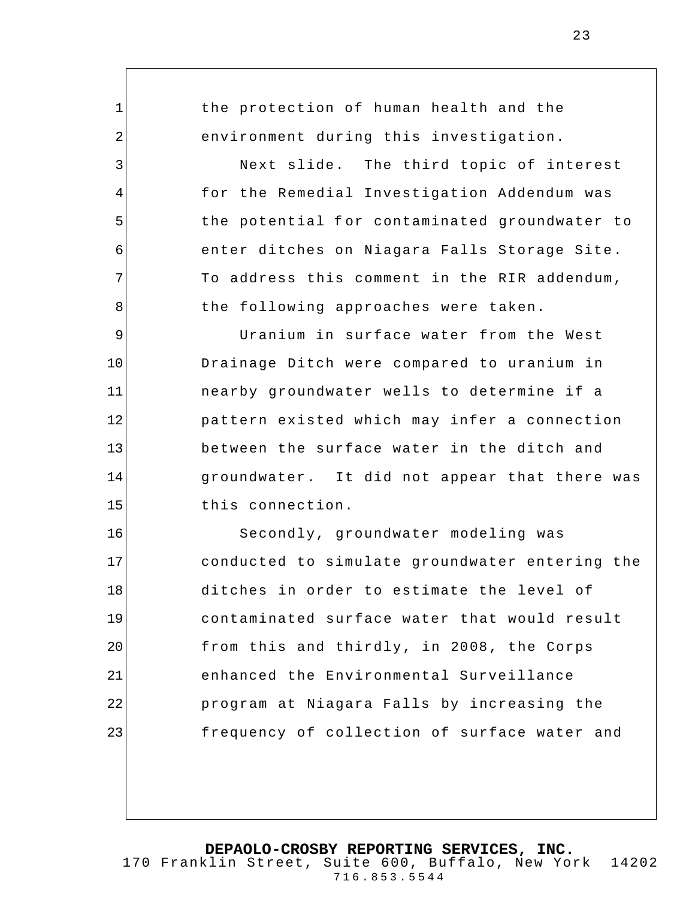1 2 3 4 5 6 7 8 9 10 11 12 13 14 15 16 17 18 19 20 21 22 the protection of human health and the environment during this investigation. Next slide. The third topic of interest for the Remedial Investigation Addendum was the potential for contaminated groundwater to enter ditches on Niagara Falls Storage Site. To address this comment in the RIR addendum, the following approaches were taken. Uranium in surface water from the West Drainage Ditch were compared to uranium in nearby groundwater wells to determine if a pattern existed which may infer a connection between the surface water in the ditch and groundwater. It did not appear that there was this connection. Secondly, groundwater modeling was conducted to simulate groundwater entering the ditches in order to estimate the level of contaminated surface water that would result from this and thirdly, in 2008, the Corps enhanced the Environmental Surveillance program at Niagara Falls by increasing the

**DEPAOLO-CROSBY REPORTING SERVICES, INC.** 170 Franklin Street, Suite 600, Buffalo, New York 14202 716.853.5544

frequency of collection of surface water and

23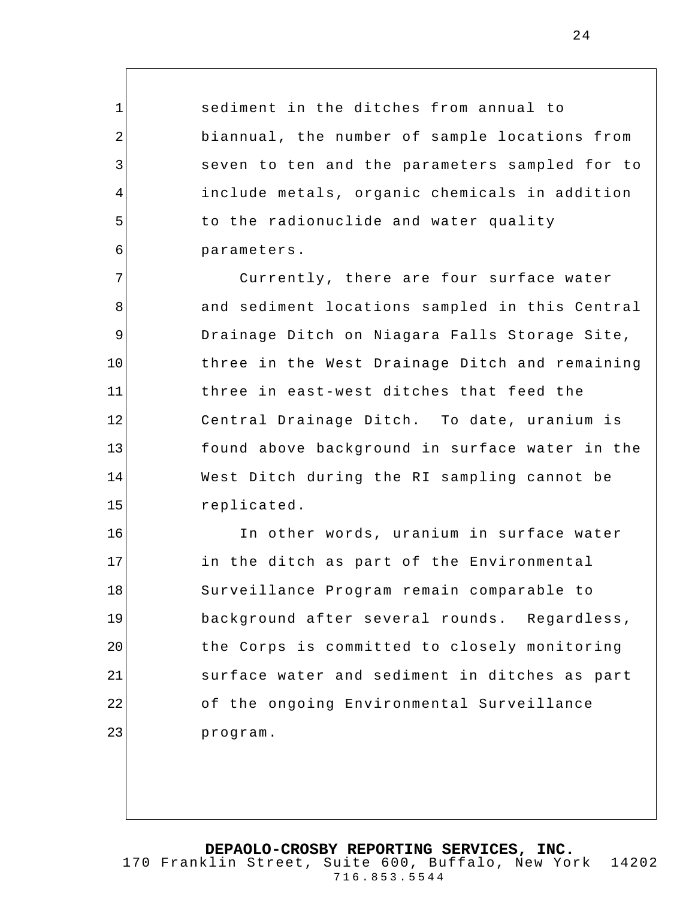sediment in the ditches from annual to biannual, the number of sample locations from seven to ten and the parameters sampled for to include metals, organic chemicals in addition to the radionuclide and water quality parameters.

1

2

3

4

5

6

7 8 9 10 11 12 13 14 15 Currently, there are four surface water and sediment locations sampled in this Central Drainage Ditch on Niagara Falls Storage Site, three in the West Drainage Ditch and remaining three in east-west ditches that feed the Central Drainage Ditch. To date, uranium is found above background in surface water in the West Ditch during the RI sampling cannot be replicated.

16 17 18 19 20 21 22 23 In other words, uranium in surface water in the ditch as part of the Environmental Surveillance Program remain comparable to background after several rounds. Regardless, the Corps is committed to closely monitoring surface water and sediment in ditches as part of the ongoing Environmental Surveillance program.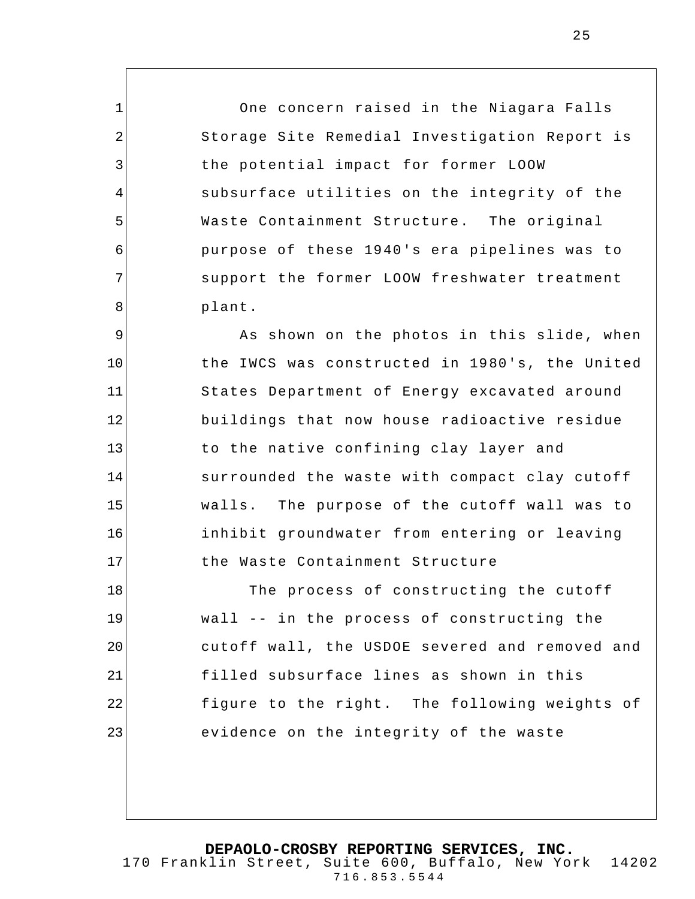One concern raised in the Niagara Falls Storage Site Remedial Investigation Report is the potential impact for former LOOW subsurface utilities on the integrity of the Waste Containment Structure. The original purpose of these 1940's era pipelines was to support the former LOOW freshwater treatment plant.

1

2

3

4

5

6

7

8

9 10 11 12 13 14 15 16 17 As shown on the photos in this slide, when the IWCS was constructed in 1980's, the United States Department of Energy excavated around buildings that now house radioactive residue to the native confining clay layer and surrounded the waste with compact clay cutoff walls. The purpose of the cutoff wall was to inhibit groundwater from entering or leaving the Waste Containment Structure

18 19 20 21 22 23 The process of constructing the cutoff wall -- in the process of constructing the cutoff wall, the USDOE severed and removed and filled subsurface lines as shown in this figure to the right. The following weights of evidence on the integrity of the waste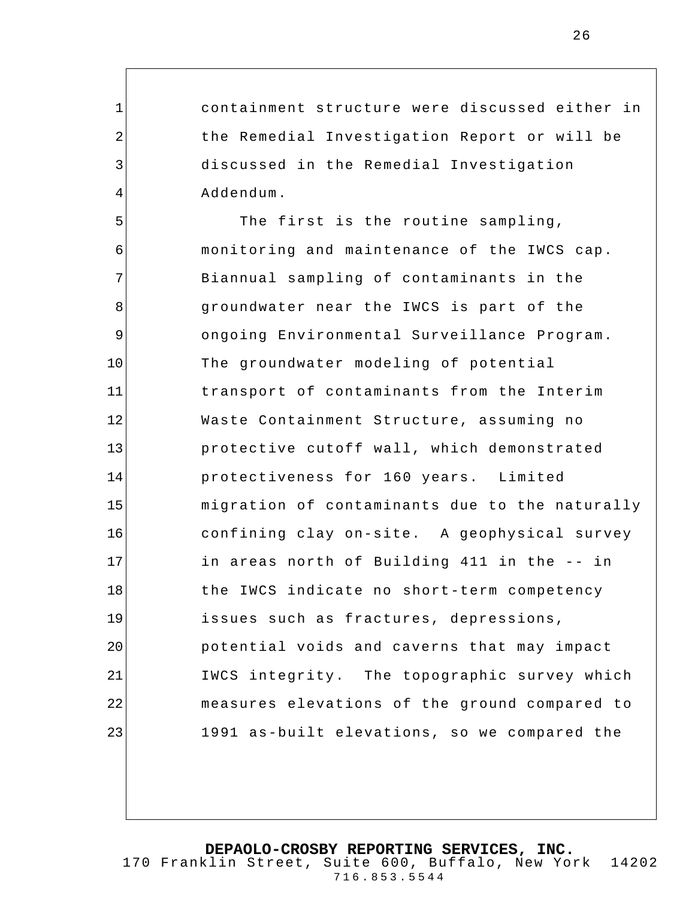containment structure were discussed either in the Remedial Investigation Report or will be discussed in the Remedial Investigation Addendum.

1

2

3

4

5 6 7 8 9 10 11 12 13 14 15 16 17 18 19 20 21 22 23 The first is the routine sampling, monitoring and maintenance of the IWCS cap. Biannual sampling of contaminants in the groundwater near the IWCS is part of the ongoing Environmental Surveillance Program. The groundwater modeling of potential transport of contaminants from the Interim Waste Containment Structure, assuming no protective cutoff wall, which demonstrated protectiveness for 160 years. Limited migration of contaminants due to the naturally confining clay on-site. A geophysical survey in areas north of Building 411 in the -- in the IWCS indicate no short-term competency issues such as fractures, depressions, potential voids and caverns that may impact IWCS integrity. The topographic survey which measures elevations of the ground compared to 1991 as-built elevations, so we compared the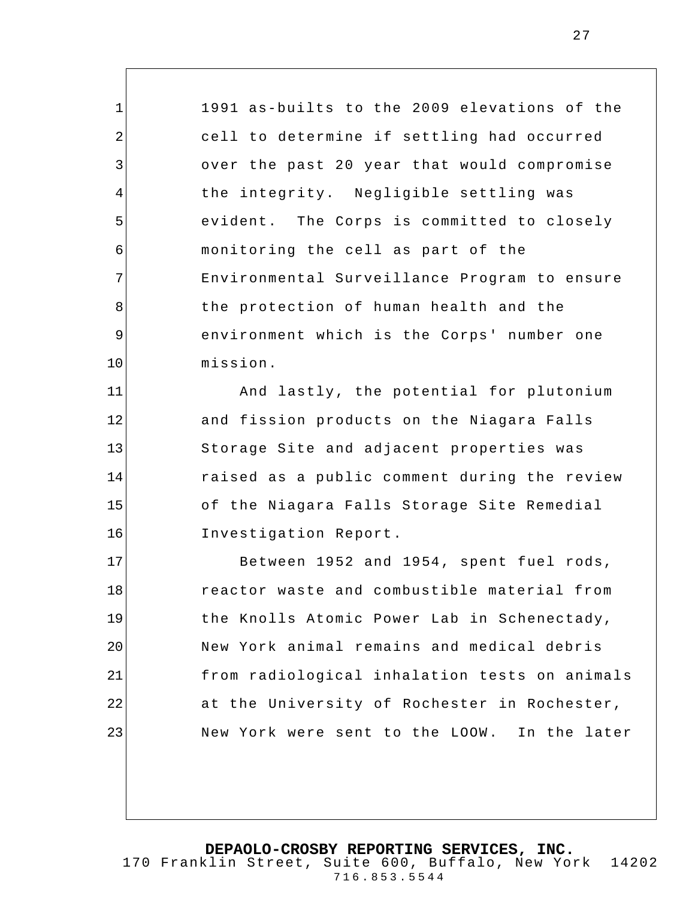1991 as-builts to the 2009 elevations of the cell to determine if settling had occurred over the past 20 year that would compromise the integrity. Negligible settling was evident. The Corps is committed to closely monitoring the cell as part of the Environmental Surveillance Program to ensure the protection of human health and the environment which is the Corps' number one mission.

1

2

3

4

5

6

7

8

9

10

11

12

13

14

15

16

And lastly, the potential for plutonium and fission products on the Niagara Falls Storage Site and adjacent properties was raised as a public comment during the review of the Niagara Falls Storage Site Remedial Investigation Report.

17 18 19 20 21 22 23 Between 1952 and 1954, spent fuel rods, reactor waste and combustible material from the Knolls Atomic Power Lab in Schenectady, New York animal remains and medical debris from radiological inhalation tests on animals at the University of Rochester in Rochester, New York were sent to the LOOW. In the later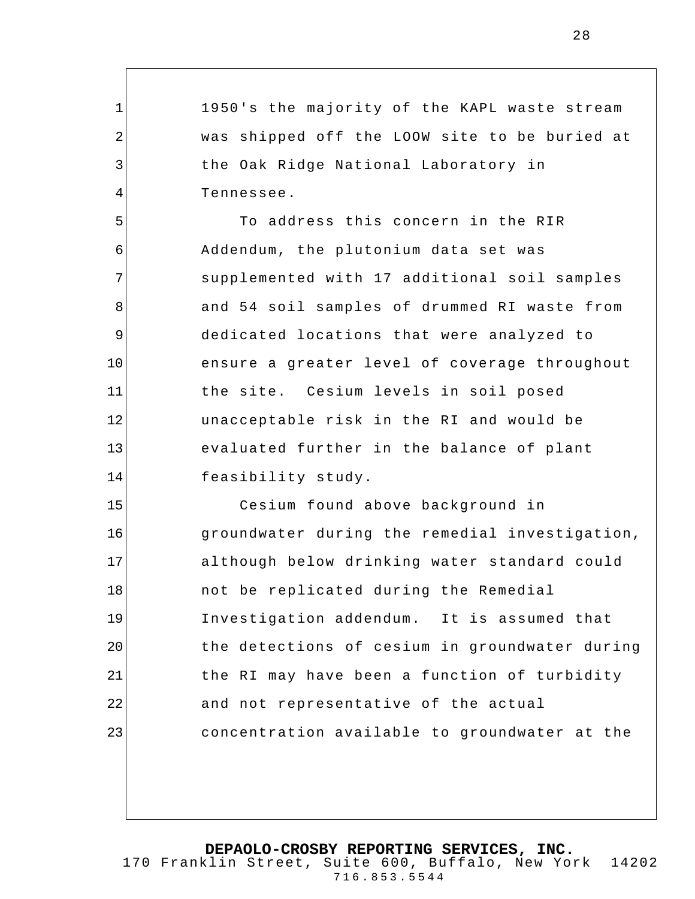1950's the majority of the KAPL waste stream was shipped off the LOOW site to be buried at the Oak Ridge National Laboratory in Tennessee.

1

2

3

4

5

7

8

11

6 9 10 12 13 14 To address this concern in the RIR Addendum, the plutonium data set was supplemented with 17 additional soil samples and 54 soil samples of drummed RI waste from dedicated locations that were analyzed to ensure a greater level of coverage throughout the site. Cesium levels in soil posed unacceptable risk in the RI and would be evaluated further in the balance of plant feasibility study.

15 16 17 18 19 20 21 22 23 Cesium found above background in groundwater during the remedial investigation, although below drinking water standard could not be replicated during the Remedial Investigation addendum. It is assumed that the detections of cesium in groundwater during the RI may have been a function of turbidity and not representative of the actual concentration available to groundwater at the

**DEPAOLO-CROSBY REPORTING SERVICES, INC.**

170 Franklin Street, Suite 600, Buffalo, New York 14202 716.853.5544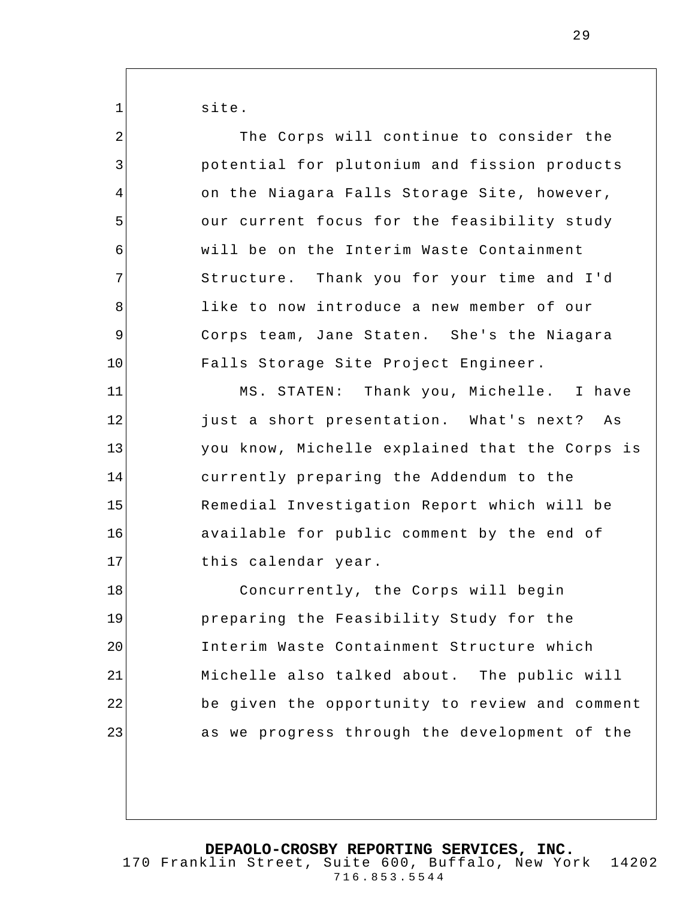site.

1

2 3 4 5 6 7 8 9 10 11 12 13 14 15 16 17 18 19 20 21 22 23 The Corps will continue to consider the potential for plutonium and fission products on the Niagara Falls Storage Site, however, our current focus for the feasibility study will be on the Interim Waste Containment Structure. Thank you for your time and I'd like to now introduce a new member of our Corps team, Jane Staten. She's the Niagara Falls Storage Site Project Engineer. MS. STATEN: Thank you, Michelle. I have just a short presentation. What's next? As you know, Michelle explained that the Corps is currently preparing the Addendum to the Remedial Investigation Report which will be available for public comment by the end of this calendar year. Concurrently, the Corps will begin preparing the Feasibility Study for the Interim Waste Containment Structure which Michelle also talked about. The public will be given the opportunity to review and comment as we progress through the development of the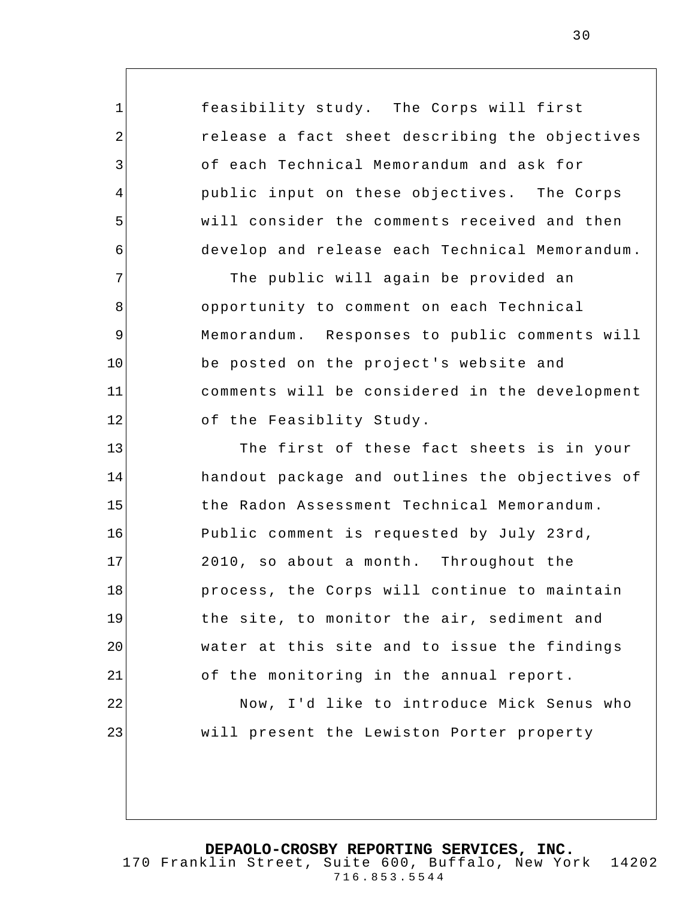feasibility study. The Corps will first release a fact sheet describing the objectives of each Technical Memorandum and ask for public input on these objectives. The Corps will consider the comments received and then develop and release each Technical Memorandum. The public will again be provided an opportunity to comment on each Technical Memorandum. Responses to public comments will be posted on the project's website and

1

2

3

4

5

6

7

8

9

10

11

12

comments will be considered in the development of the Feasiblity Study.

13 14 15 16 17 18 19 20 21 22 23 The first of these fact sheets is in your handout package and outlines the objectives of the Radon Assessment Technical Memorandum. Public comment is requested by July 23rd, 2010, so about a month. Throughout the process, the Corps will continue to maintain the site, to monitor the air, sediment and water at this site and to issue the findings of the monitoring in the annual report. Now, I'd like to introduce Mick Senus who will present the Lewiston Porter property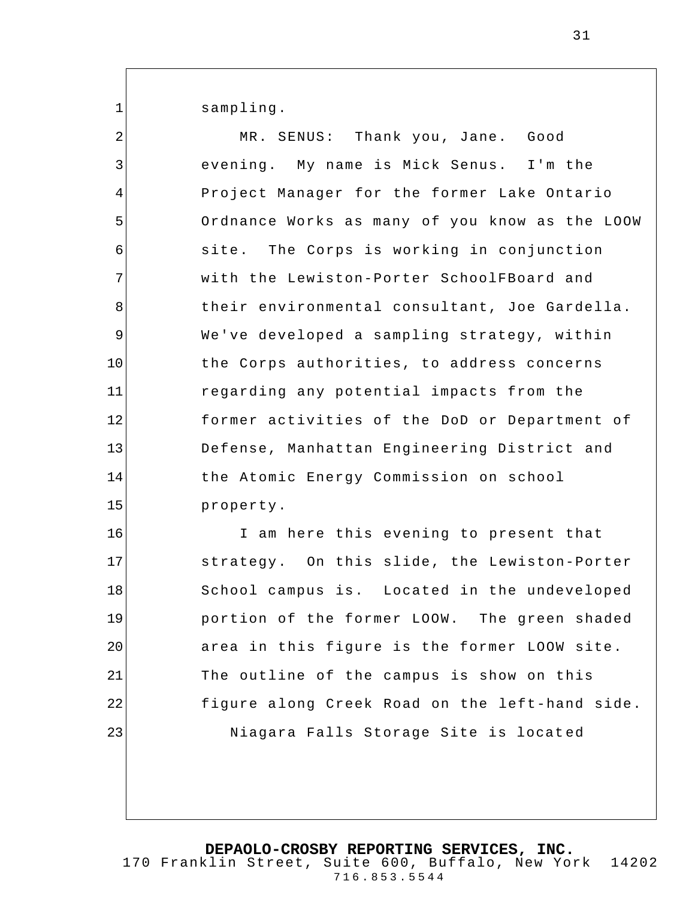sampling.

1

2 3 4 5 6 7 8 9 10 11 12 13 14 15 16 17 18 19 20 21 22 23 MR. SENUS: Thank you, Jane. Good evening. My name is Mick Senus. I'm the Project Manager for the former Lake Ontario Ordnance Works as many of you know as the LOOW site. The Corps is working in conjunction with the Lewiston-Porter SchoolFBoard and their environmental consultant, Joe Gardella. We've developed a sampling strategy, within the Corps authorities, to address concerns regarding any potential impacts from the former activities of the DoD or Department of Defense, Manhattan Engineering District and the Atomic Energy Commission on school property. I am here this evening to present that strategy. On this slide, the Lewiston-Porter School campus is. Located in the undeveloped portion of the former LOOW. The green shaded area in this figure is the former LOOW site. The outline of the campus is show on this figure along Creek Road on the left-hand side. Niagara Falls Storage Site is locat ed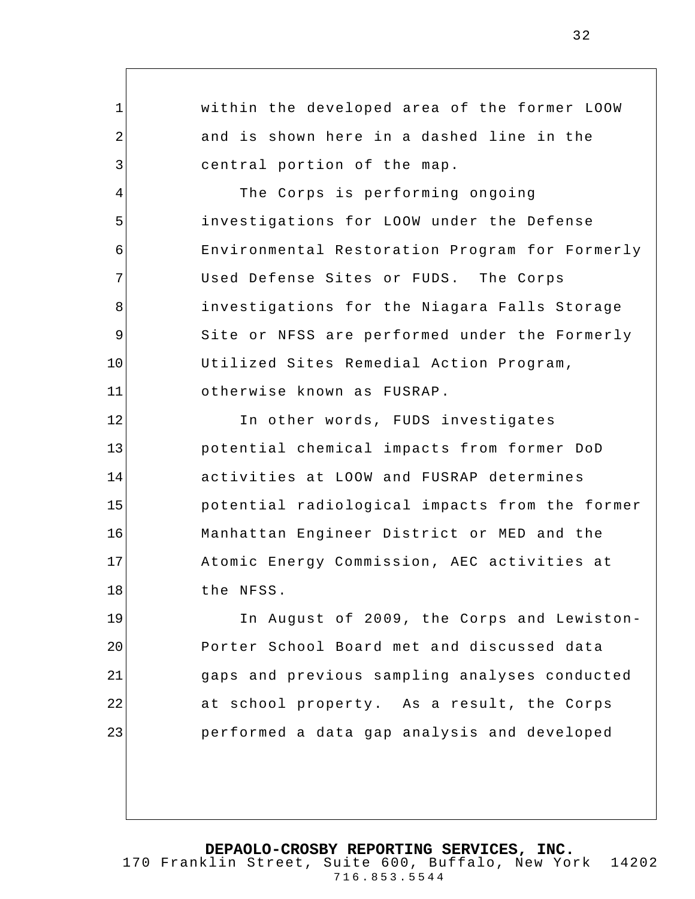1 2 3 4 5 6 7 8 9 10 11 12 13 14 15 16 17 18 19 20 21 22 23 within the developed area of the former LOOW and is shown here in a dashed line in the central portion of the map. The Corps is performing ongoing investigations for LOOW under the Defense Environmental Restoration Program for Formerly Used Defense Sites or FUDS. The Corps investigations for the Niagara Falls Storage Site or NFSS are performed under the Formerly Utilized Sites Remedial Action Program, otherwise known as FUSRAP. In other words, FUDS investigates potential chemical impacts from former DoD activities at LOOW and FUSRAP determines potential radiological impacts from the former Manhattan Engineer District or MED and the Atomic Energy Commission, AEC activities at the NFSS. In August of 2009, the Corps and Lewiston-Porter School Board met and discussed data gaps and previous sampling analyses conducted at school property. As a result, the Corps performed a data gap analysis and developed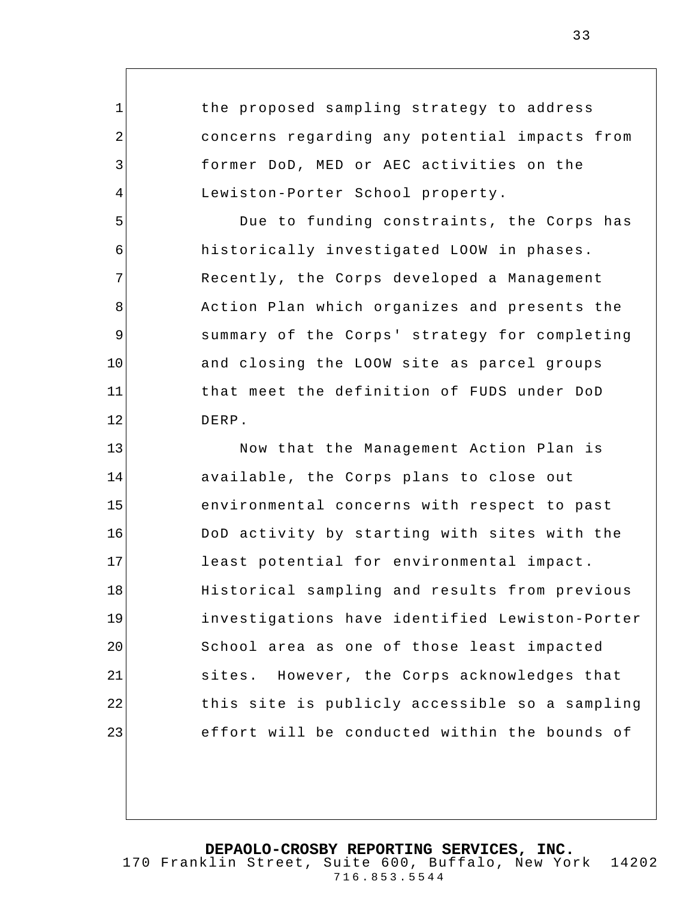the proposed sampling strategy to address concerns regarding any potential impacts from former DoD, MED or AEC activities on the Lewiston-Porter School property.

1

2

3

4

5

6

7

8

9

10

11

12

Due to funding constraints, the Corps has historically investigated LOOW in phases. Recently, the Corps developed a Management Action Plan which organizes and presents the summary of the Corps' strategy for completing and closing the LOOW site as parcel groups that meet the definition of FUDS under DoD DERP.

13 14 15 16 17 18 19 20 21 22 23 Now that the Management Action Plan is available, the Corps plans to close out environmental concerns with respect to past DoD activity by starting with sites with the least potential for environmental impact. Historical sampling and results from previous investigations have identified Lewiston-Porter School area as one of those least impacted sites. However, the Corps acknowledges that this site is publicly accessible so a sampling effort will be conducted within the bounds of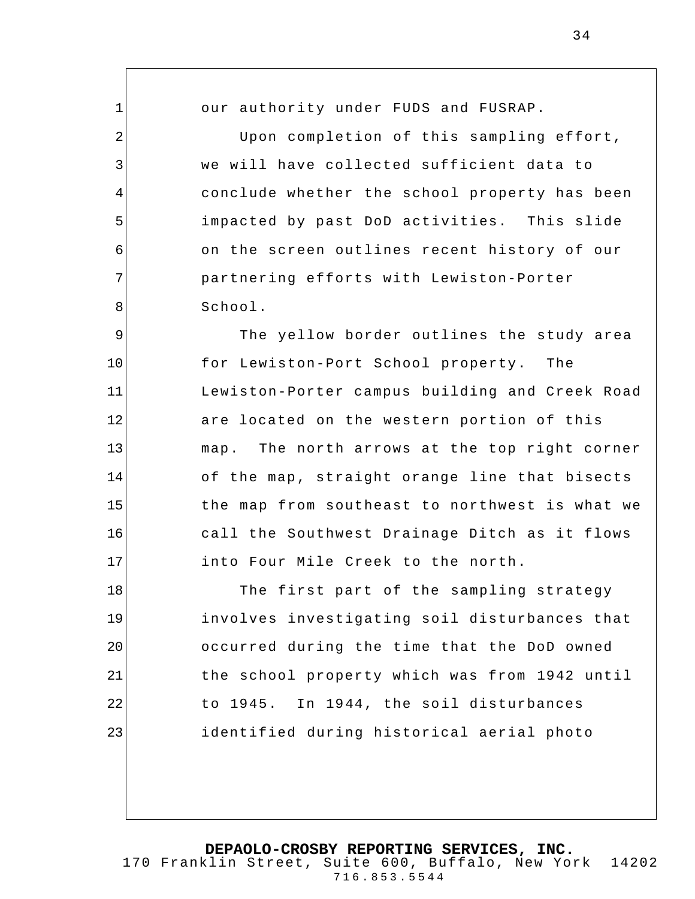1 2 3 4 5 6 7 8 9 10 11 12 13 14 15 16 17 18 19 20 21 22 our authority under FUDS and FUSRAP. Upon completion of this sampling effort, we will have collected sufficient data to conclude whether the school property has been impacted by past DoD activities. This slide on the screen outlines recent history of our partnering efforts with Lewiston-Porter School. The yellow border outlines the study area for Lewiston-Port School property. The Lewiston-Porter campus building and Creek Road are located on the western portion of this map. The north arrows at the top right corner of the map, straight orange line that bisects the map from southeast to northwest is what we call the Southwest Drainage Ditch as it flows into Four Mile Creek to the north. The first part of the sampling strategy involves investigating soil disturbances that occurred during the time that the DoD owned the school property which was from 1942 until to 1945. In 1944, the soil disturbances

**DEPAOLO-CROSBY REPORTING SERVICES, INC.** 170 Franklin Street, Suite 600, Buffalo, New York 14202 716.853.5544

identified during historical aerial photo

23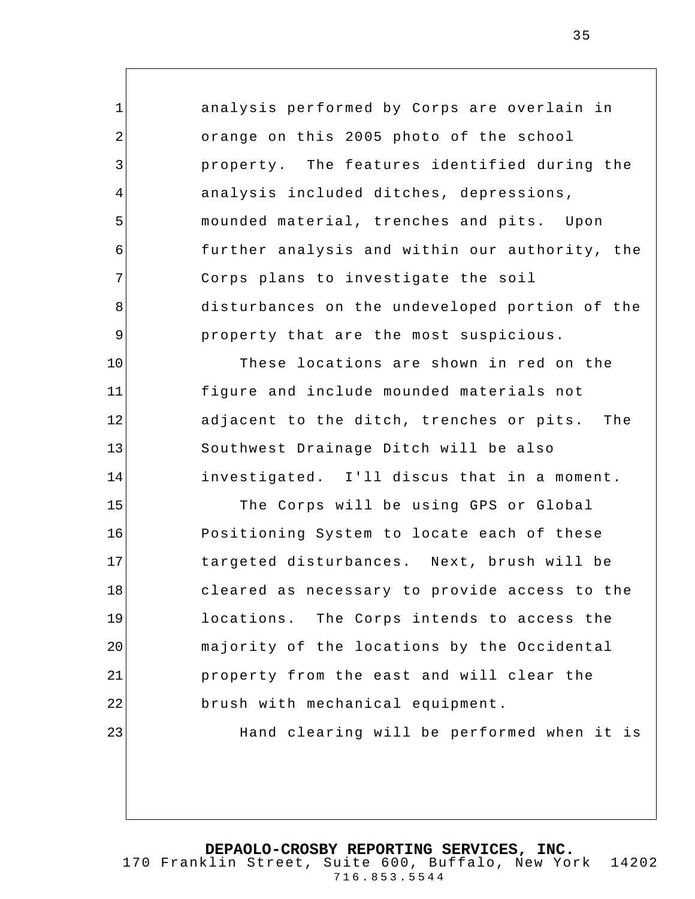analysis performed by Corps are overlain in orange on this 2005 photo of the school property. The features identified during the analysis included ditches, depressions, mounded material, trenches and pits. Upon further analysis and within our authority, the Corps plans to investigate the soil disturbances on the undeveloped portion of the property that are the most suspicious. These locations are shown in red on the figure and include mounded materials not

1

2

3

4

5

6

7

8

9

10

11

12

13

14

adjacent to the ditch, trenches or pits. The Southwest Drainage Ditch will be also investigated. I'll discus that in a moment.

15 16 17 18 19 20 21 22 23 The Corps will be using GPS or Global Positioning System to locate each of these targeted disturbances. Next, brush will be cleared as necessary to provide access to the locations. The Corps intends to access the majority of the locations by the Occidental property from the east and will clear the brush with mechanical equipment. Hand clearing will be performed when it is

**DEPAOLO-CROSBY REPORTING SERVICES, INC.**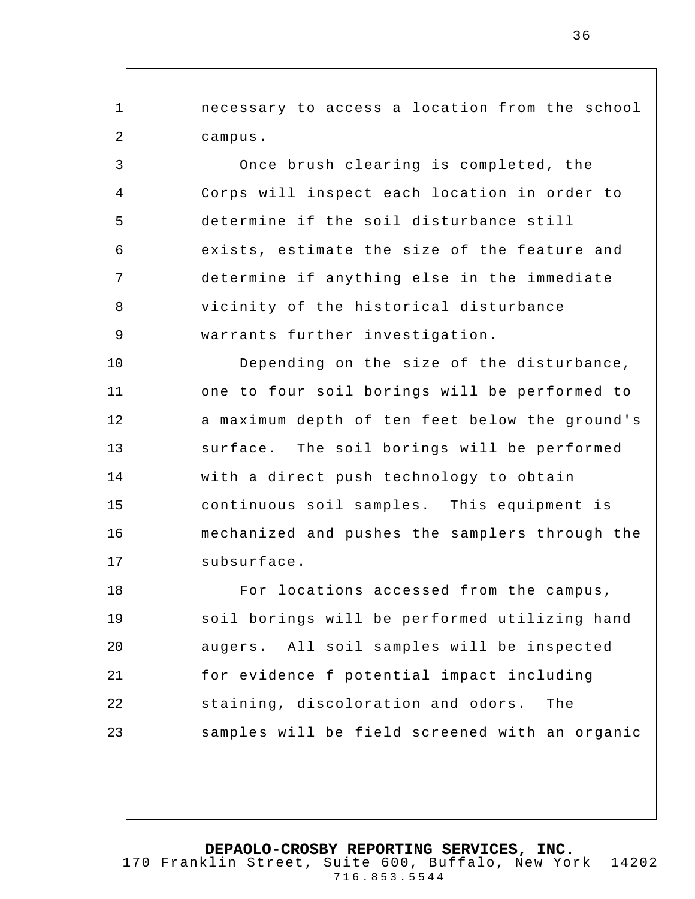necessary to access a location from the school campus.

1

2

3

4

5

6

7

8

9

Once brush clearing is completed, the Corps will inspect each location in order to determine if the soil disturbance still exists, estimate the size of the feature and determine if anything else in the immediate vicinity of the historical disturbance warrants further investigation.

10 11 12 13 14 15 16 17 Depending on the size of the disturbance, one to four soil borings will be performed to a maximum depth of ten feet below the ground's surface. The soil borings will be performed with a direct push technology to obtain continuous soil samples. This equipment is mechanized and pushes the samplers through the subsurface.

18 19 20 21 22 23 For locations accessed from the campus, soil borings will be performed utilizing hand augers. All soil samples will be inspected for evidence f potential impact including staining, discoloration and odors. The samples will be field screened with an organic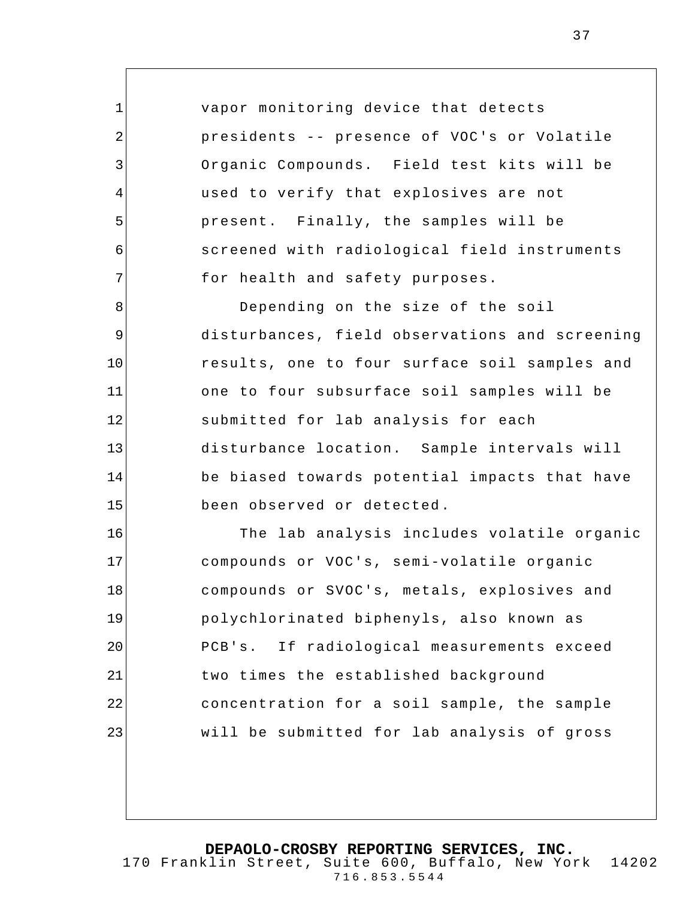vapor monitoring device that detects presidents -- presence of VOC's or Volatile Organic Compounds. Field test kits will be used to verify that explosives are not present. Finally, the samples will be screened with radiological field instruments for health and safety purposes.

1

2

3

4

5

6

7

8 9 10 11 12 13 14 15 Depending on the size of the soil disturbances, field observations and screening results, one to four surface soil samples and one to four subsurface soil samples will be submitted for lab analysis for each disturbance location. Sample intervals will be biased towards potential impacts that have been observed or detected .

16 17 18 19 20 21 22 23 The lab analysis includes volatile organic compounds or VOC's, semi-volatile organic compounds or SVOC's, metals, explosives and polychlorinated biphenyls, also known as PCB's. If radiological measurements exceed two times the established background concentration for a soil sample, the sample will be submitted for lab analysis of gross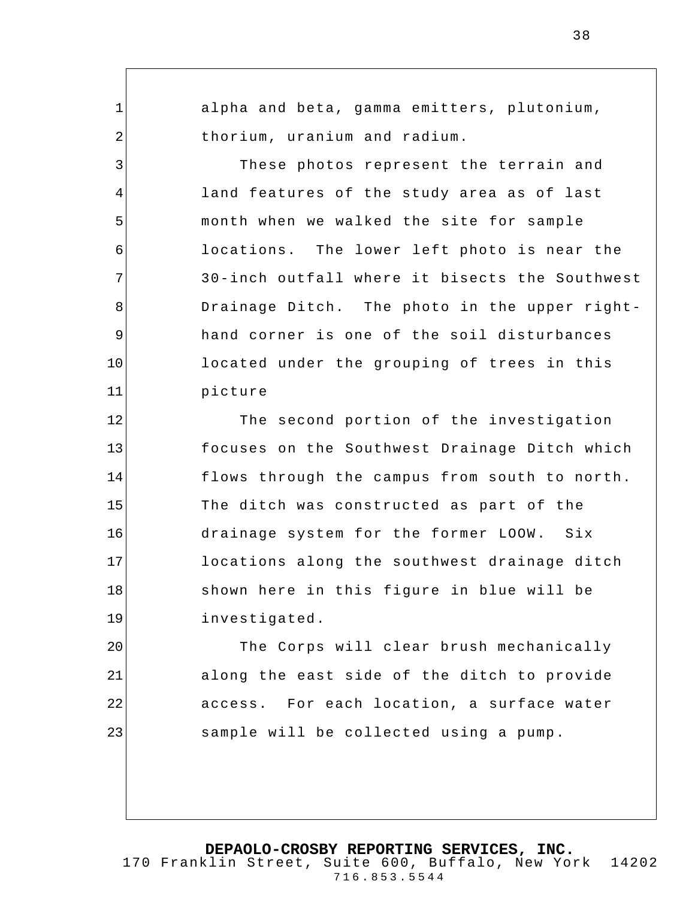alpha and beta, gamma emitters, plutonium, thorium, uranium and radium.

1

2

3

4

5

6

7

8

9

10

11

These photos represent the terrain and land features of the study area as of last month when we walked the site for sample locations. The lower left photo is near the 30-inch outfall where it bisects the Southwest Drainage Ditch. The photo in the upper righthand corner is one of the soil disturbances located under the grouping of trees in this picture

12 13 14 15 16 17 18 19 The second portion of the investigation focuses on the Southwest Drainage Ditch which flows through the campus from south to north. The ditch was constructed as part of the drainage system for the former LOOW. Six locations along the southwest drainage ditch shown here in this figure in blue will be investigated.

20 21 22 23 The Corps will clear brush mechanically along the east side of the ditch to provide access. For each location, a surface water sample will be collected using a pump.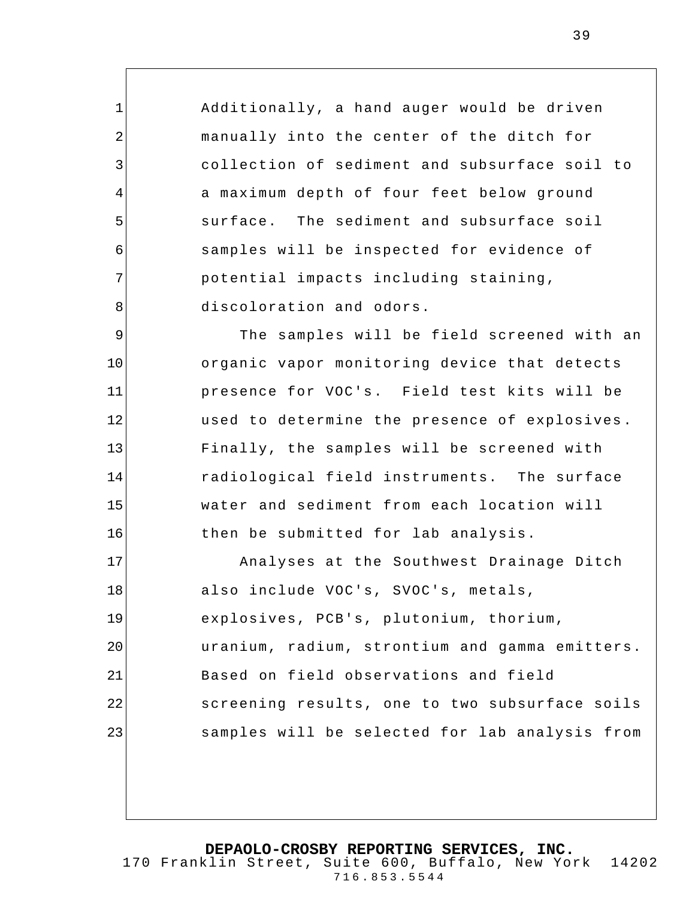Additionally, a hand auger would be driven manually into the center of the ditch for collection of sediment and subsurface soil to a maximum depth of four feet below ground surface. The sediment and subsurface soil samples will be inspected for evidence of potential impacts including staining, discoloration and odors.

1

2

3

4

5

6

7

8

9 10 11 12 13 14 15 16 The samples will be field screened with an organic vapor monitoring device that detects presence for VOC's. Field test kits will be used to determine the presence of explosives . Finally, the samples will be screened with radiological field instruments. The surface water and sediment from each location will then be submitted for lab analysis.

17 18 19 20 21 22 23 Analyses at the Southwest Drainage Ditch also include VOC's, SVOC's, metals, explosives, PCB's, plutonium, thorium, uranium, radium, strontium and gamma emitters. Based on field observations and field screening results, one to two subsurface soils samples will be selected for lab analysis from

**DEPAOLO-CROSBY REPORTING SERVICES, INC.**

170 Franklin Street, Suite 600, Buffalo, New York 14202 716.853.5544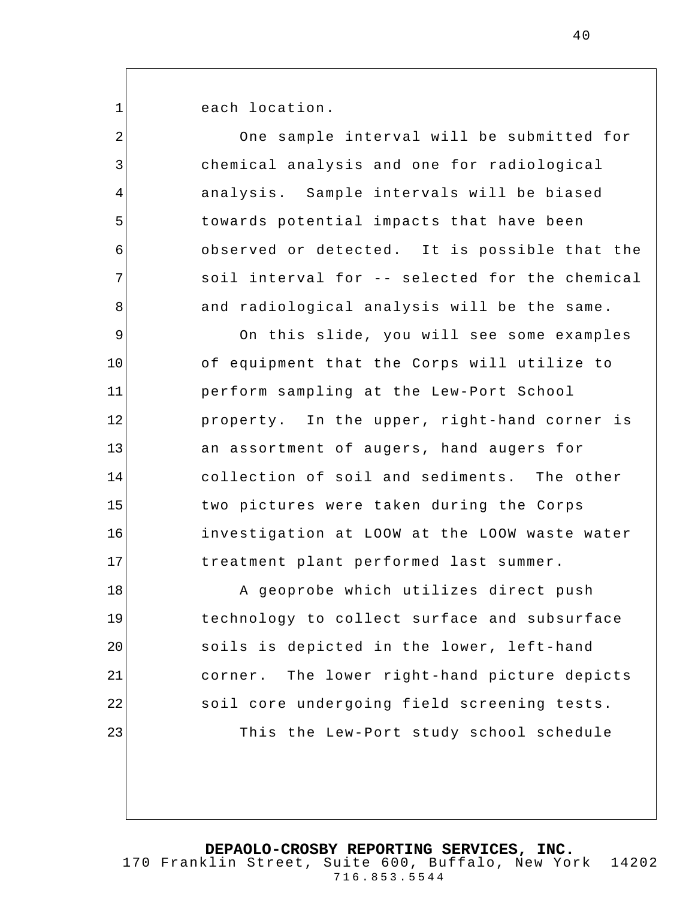each location.

1

21

22

23

| $\overline{2}$ | One sample interval will be submitted for      |
|----------------|------------------------------------------------|
| 3              | chemical analysis and one for radiological     |
| $\overline{4}$ | analysis. Sample intervals will be biased      |
| 5              | towards potential impacts that have been       |
| 6              | observed or detected. It is possible that the  |
| 7              | soil interval for -- selected for the chemical |
| 8              | and radiological analysis will be the same.    |
| 9              | On this slide, you will see some examples      |
| 10             | of equipment that the Corps will utilize to    |
| 11             | perform sampling at the Lew-Port School        |
| 12             | property. In the upper, right-hand corner is   |
| 13             | an assortment of augers, hand augers for       |
| 14             | collection of soil and sediments. The other    |
| 15             | two pictures were taken during the Corps       |
| 16             | investigation at LOOW at the LOOW waste water  |
| 17             | treatment plant performed last summer.         |
| 18             | A geoprobe which utilizes direct push          |
| 19             | technology to collect surface and subsurface   |
| 20             | soils is depicted in the lower, left-hand      |

soils is depicted in the lower, left-hand corner. The lower right-hand picture depicts soil core undergoing field screening tests. This the Lew-Port study school schedule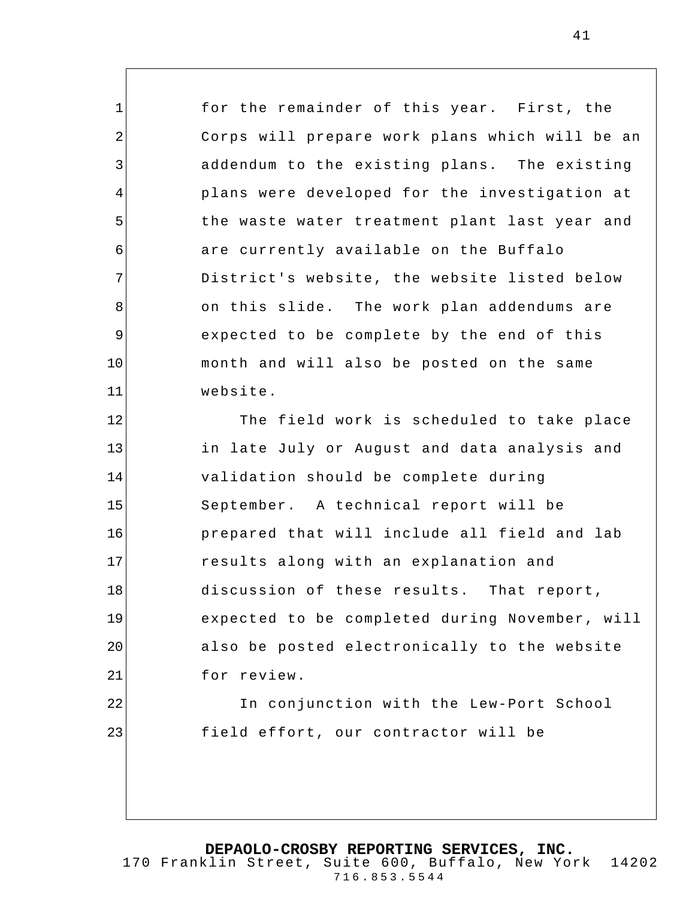for the remainder of this year. First, the Corps will prepare work plans which will be an addendum to the existing plans. The existing plans were developed for the investigation at the waste water treatment plant last year and are currently available on the Buffalo District's website, the website listed below on this slide. The work plan addendums are expected to be complete by the end of this month and will also be posted on the same website.

1

2

3

4

5

6

7

8

9

10

11

23

12 13 14 15 16 17 18 19 20 21 22 The field work is scheduled to take place in late July or August and data analysis and validation should be complete during September. A technical report will be prepared that will include all field and lab results along with an explanation and discussion of these results. That report, expected to be completed during November, will also be posted electronically to the website for review.

In conjunction with the Lew-Port School field effort, our contractor will be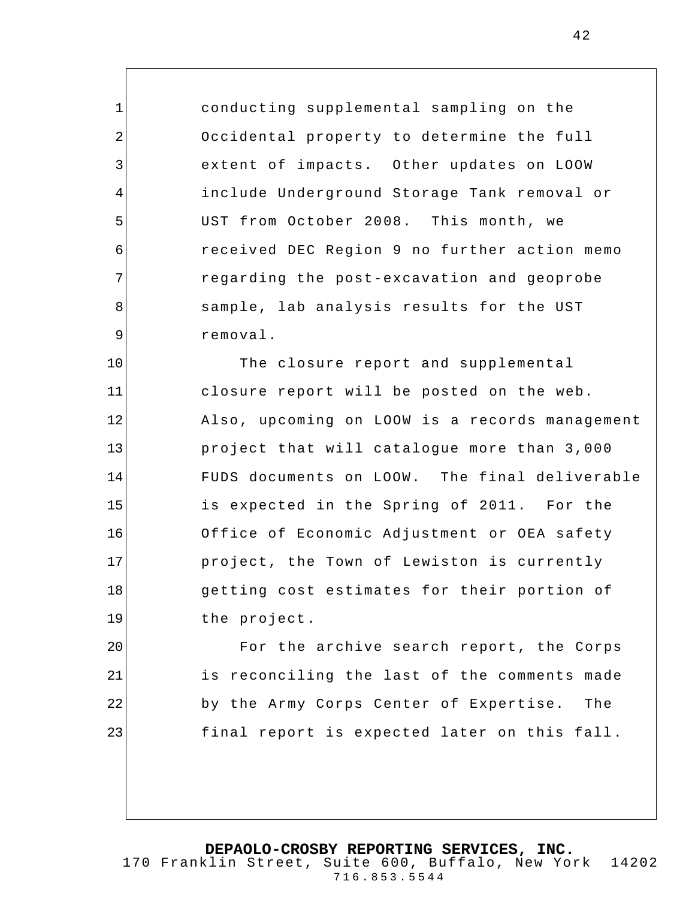conducting supplemental sampling on the Occidental property to determine the full extent of impacts. Other updates on LOOW include Underground Storage Tank removal or UST from October 2008. This month, we received DEC Region 9 no further action memo regarding the post-excavation and geoprobe sample, lab analysis results for the UST removal.

1

2

3

4

5

6

7

8

9

10 11 12 13 14 15 16 17 18 19 The closure report and supplemental closure report will be posted on the web. Also, upcoming on LOOW is a records management project that will catalogue more than 3,000 FUDS documents on LOOW. The final deliverable is expected in the Spring of 2011. For the Office of Economic Adjustment or OEA safety project, the Town of Lewiston is currently getting cost estimates for their portion of the project.

20 21 22 23 For the archive search report, the Corps is reconciling the last of the comments made by the Army Corps Center of Expertise. The final report is expected later on this fall .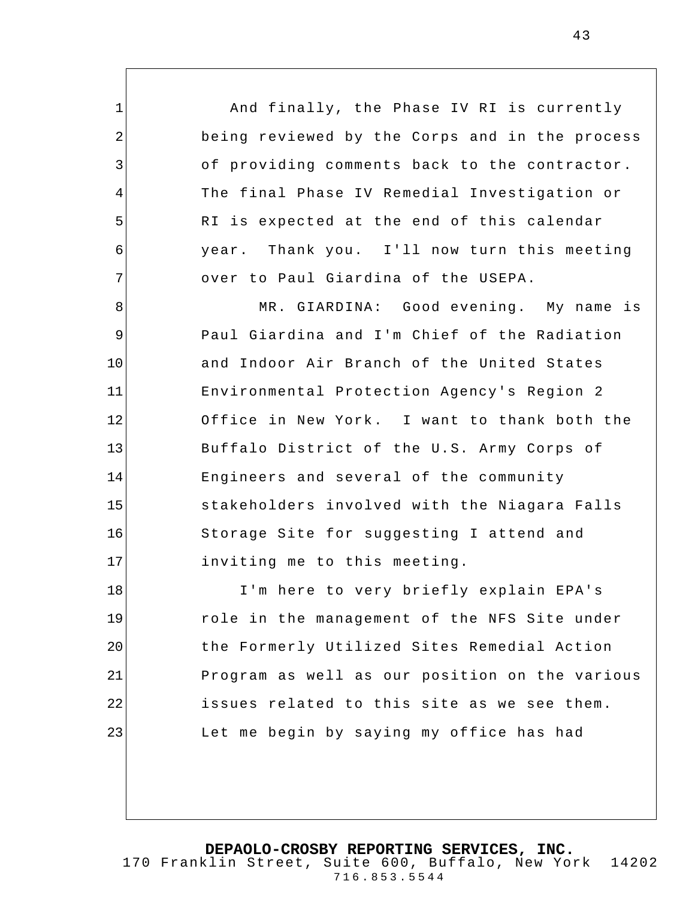And finally, the Phase IV RI is currently being reviewed by the Corps and in the process of providing comments back to the contractor. The final Phase IV Remedial Investigation or RI is expected at the end of this calendar year. Thank you. I'll now turn this meeting over to Paul Giardina of the USEPA.

1

2

3

4

5

6

7

8 9 10 11 12 13 14 15 16 17 MR. GIARDINA: Good evening. My name is Paul Giardina and I'm Chief of the Radiation and Indoor Air Branch of the United States Environmental Protection Agency's Region 2 Office in New York. I want to thank both the Buffalo District of the U.S. Army Corps of Engineers and several of the community stakeholders involved with the Niagara Falls Storage Site for suggesting I attend and inviting me to this meeting.

18 19 20 21 22 23 I'm here to very briefly explain EPA's role in the management of the NFS Site under the Formerly Utilized Sites Remedial Action Program as well as our position on the various issues related to this site as we see them. Let me begin by saying my office has had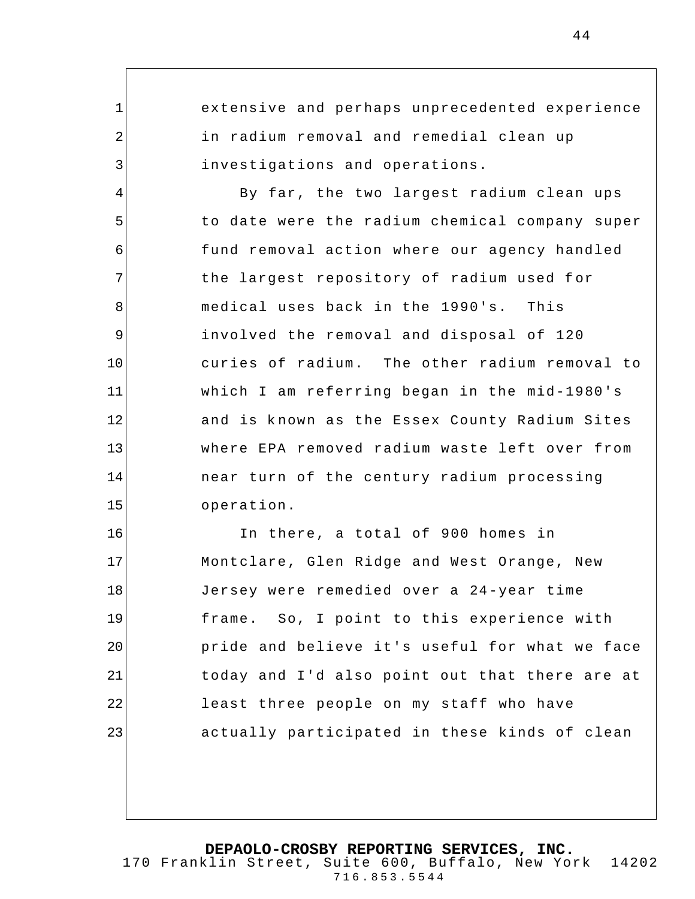1 2 3 4 5 6 7 8 9 10 11 12 13 14 15 16 17 18 19 20 21 22 23 extensive and perhaps unprecedented experience in radium removal and remedial clean up investigations and operations. By far, the two largest radium clean ups to date were the radium chemical company super fund removal action where our agency handled the largest repository of radium used for medical uses back in the 1990's. This involved the removal and disposal of 120 curies of radium. The other radium removal to which I am referring began in the mid-1980's and is known as the Essex County Radium Sites where EPA removed radium waste left over from near turn of the century radium processing operation. In there, a total of 900 homes in Montclare, Glen Ridge and West Orange, New Jersey were remedied over a 24-year time frame. So, I point to this experience with pride and believe it's useful for what we face today and I'd also point out that there are at least three people on my staff who have actually participated in these kinds of clean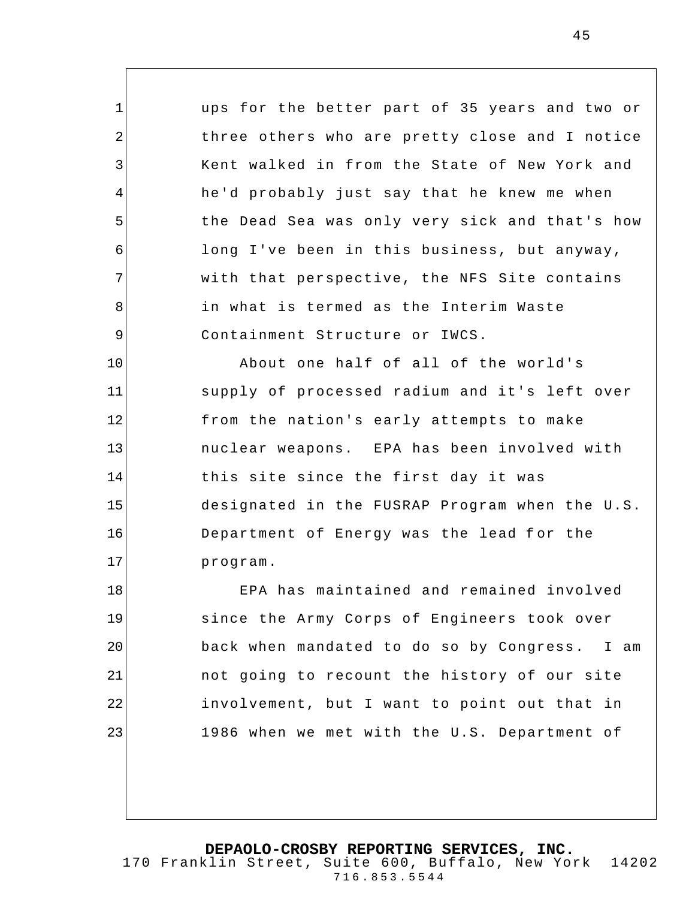ups for the better part of 35 years and two or three others who are pretty close and I notice Kent walked in from the State of New York and he'd probably just say that he knew me when the Dead Sea was only very sick and that's how long I've been in this business, but anyway, with that perspective, the NFS Site contains in what is termed as the Interim Waste Containment Structure or IWCS.

1

2

3

4

5

6

7

8

9

10 11 12 13 14 15 16 17 About one half of all of the world's supply of processed radium and it's left over from the nation's early attempts to make nuclear weapons. EPA has been involved with this site since the first day it was designated in the FUSRAP Program when the U.S. Department of Energy was the lead for the program.

18 19 20 21 22 23 EPA has maintained and remained involved since the Army Corps of Engineers took over back when mandated to do so by Congress. I am not going to recount the history of our site involvement, but I want to point out that in 1986 when we met with the U.S. Department of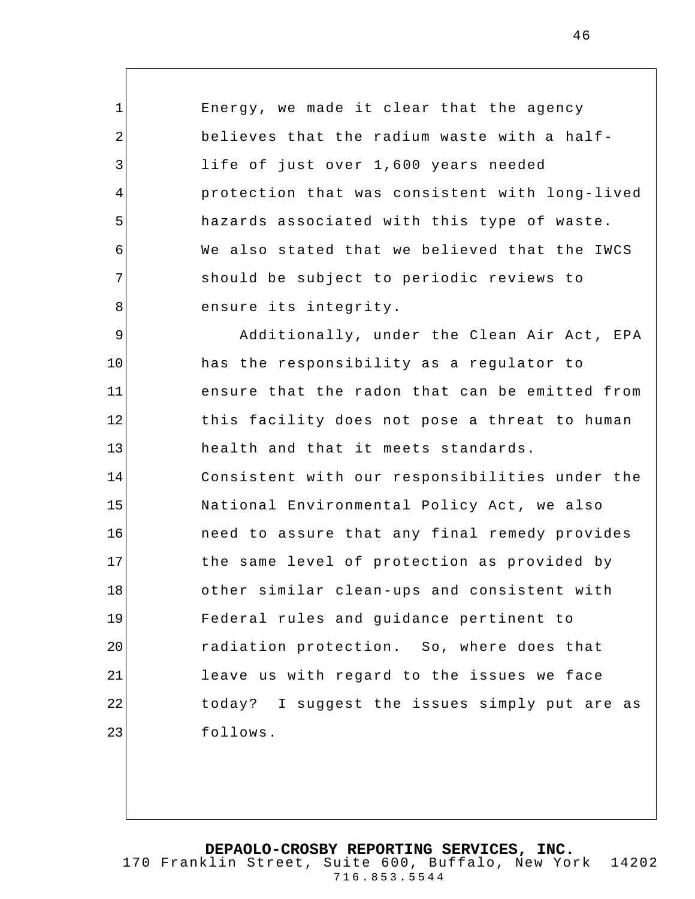Energy, we made it clear that the agency believes that the radium waste with a halflife of just over 1,600 years needed protection that was consistent with long-lived hazards associated with this type of waste. We also stated that we believed that the IWCS should be subject to periodic reviews to ensure its integrity.

1

2

3

4

5

6

7

8

9 10 11 12 13 14 15 16 17 18 19 20 21 22 23 Additionally, under the Clean Air Act, EPA has the responsibility as a regulator to ensure that the radon that can be emitted from this facility does not pose a threat to human health and that it meets standards. Consistent with our responsibilities under the National Environmental Policy Act, we also need to assure that any final remedy provides the same level of protection as provided by other similar clean-ups and consistent with Federal rules and guidance pertinent to radiation protection. So, where does that leave us with regard to the issues we face today? I suggest the issues simply put are as follows.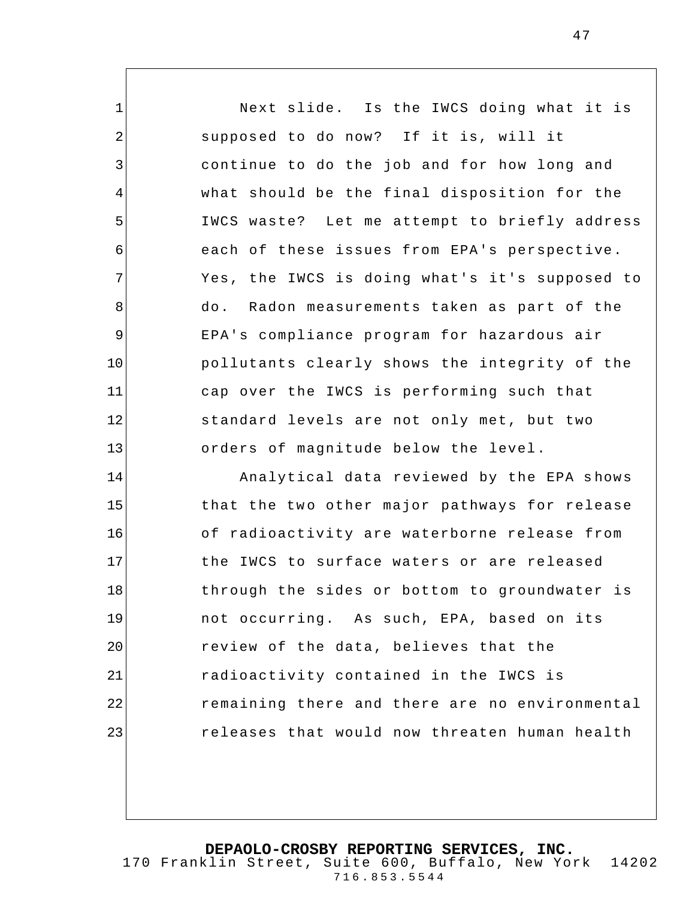1 2 3 4 5 6 7 8 9 10 11 12 13 14 15 16 17 18 19 20 21 22 Next slide. Is the IWCS doing what it is supposed to do now? If it is, will it continue to do the job and for how long and what should be the final disposition for the IWCS waste? Let me attempt to briefly address each of these issues from EPA's perspective. Yes, the IWCS is doing what's it's supposed to do. Radon measurements taken as part of the EPA's compliance program for hazardous air pollutants clearly shows the integrity of the cap over the IWCS is performing such that standard levels are not only met, but two orders of magnitude below the level. Analytical data reviewed by the EPA shows that the two other major pathways for release of radioactivity are waterborne release from the IWCS to surface waters or are released through the sides or bottom to groundwater is not occurring. As such, EPA, based on its review of the data, believes that the radioactivity contained in the IWCS is remaining there and there are no environmental

releases that would now threaten human health

23

**DEPAOLO-CROSBY REPORTING SERVICES, INC.** 170 Franklin Street, Suite 600, Buffalo, New York 14202 716.853.5544

47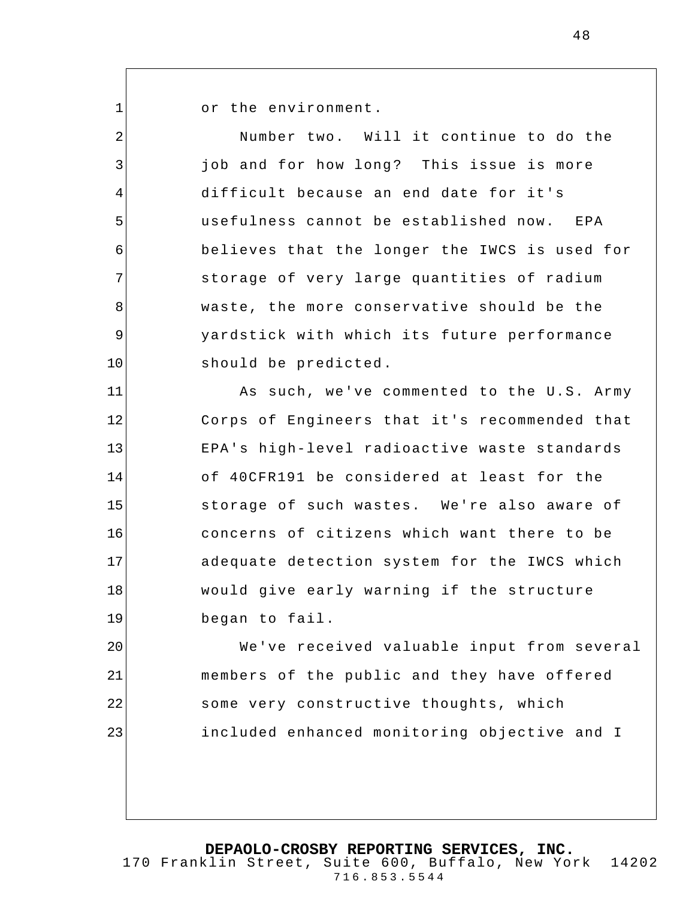1

or the environment.

2 3 4 5 6 7 8 9 10 11 12 13 14 15 16 17 18 19 20 21 22 23 Number two. Will it continue to do the job and for how long? This issue is more difficult because an end date for it's usefulness cannot be established now. EPA believes that the longer the IWCS is used for storage of very large quantities of radium waste, the more conservative should be the yardstick with which its future performance should be predicted. As such, we've commented to the U.S. Army Corps of Engineers that it's recommended that EPA's high-level radioactive waste standards of 40CFR191 be considered at least for the storage of such wastes. We're also aware of concerns of citizens which want there to be adequate detection system for the IWCS which would give early warning if the structure began to fail. We've received valuable input from several members of the public and they have offered some very constructive thoughts, which included enhanced monitoring objective and I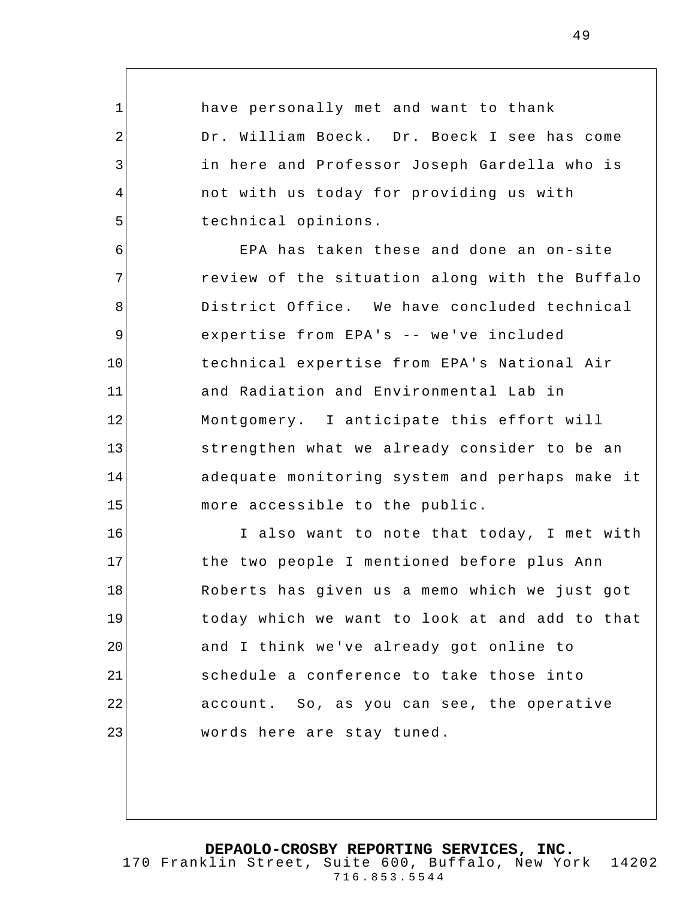have personally met and want to thank Dr. William Boeck. Dr. Boeck I see has come in here and Professor Joseph Gardella who is not with us today for providing us with technical opinions.

1

2

3

4

5

6 7 8 9 10 11 12 13 14 15 EPA has taken these and done an on-site review of the situation along with the Buffalo District Office. We have concluded technical expertise from EPA's -- we've included technical expertise from EPA's National Air and Radiation and Environmental Lab in Montgomery. I anticipate this effort will strengthen what we already consider to be an adequate monitoring system and perhaps make it more accessible to the public.

16 17 18 19 20 21 22 23 I also want to note that today, I met with the two people I mentioned before plus Ann Roberts has given us a memo which we just got today which we want to look at and add to that and I think we've already got online to schedule a conference to take those into account. So, as you can see, the operative words here are stay tuned.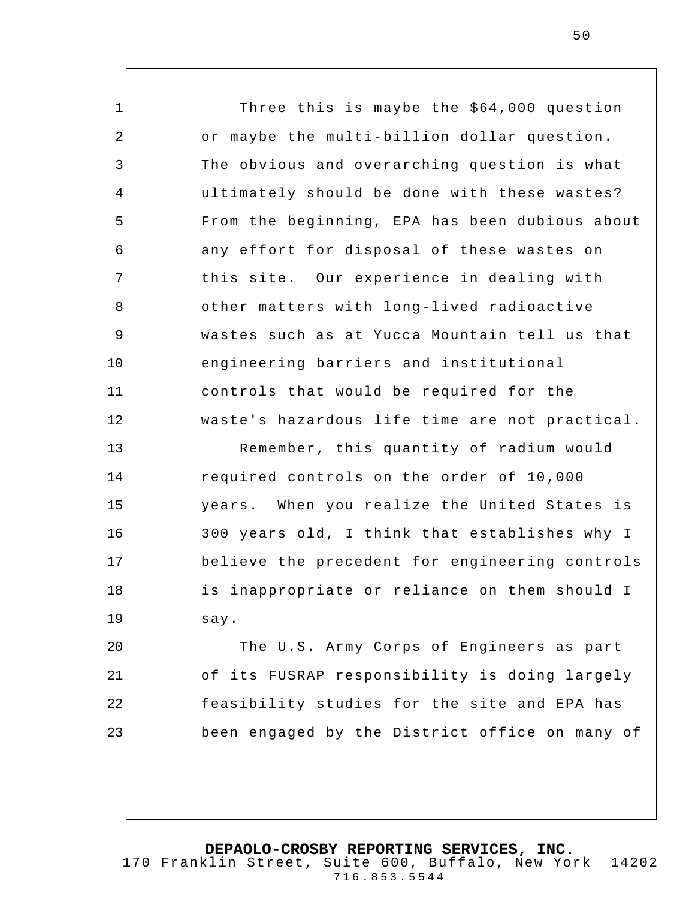Three this is maybe the \$64,000 question or maybe the multi-billion dollar question. The obvious and overarching question is what ultimately should be done with these wastes? From the beginning, EPA has been dubious about any effort for disposal of these wastes on this site. Our experience in dealing with other matters with long-lived radioactive wastes such as at Yucca Mountain tell us that engineering barriers and institutional controls that would be required for the waste's hazardous life time are not practical.

1

2

3

4

5

6

7

8

9

10

11

12

13

14

15

16

17

18

19

Remember, this quantity of radium would required controls on the order of 10,000 years. When you realize the United States is 300 years old, I think that establishes why I believe the precedent for engineering controls is inappropriate or reliance on them should I say.

20 21 22 23 The U.S. Army Corps of Engineers as part of its FUSRAP responsibility is doing largely feasibility studies for the site and EPA has been engaged by the District office on many of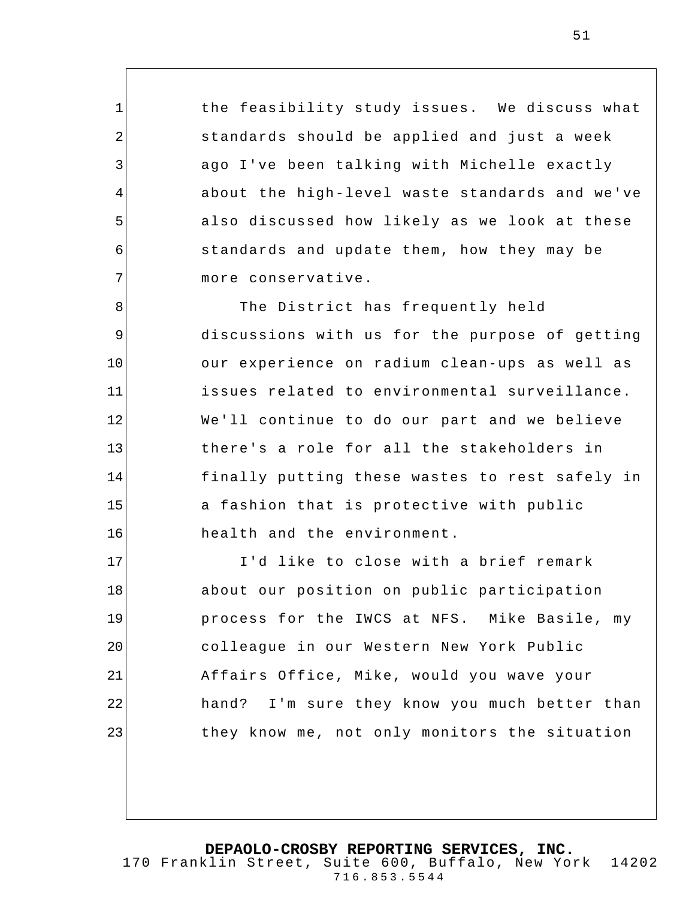the feasibility study issues. We discuss what standards should be applied and just a week ago I've been talking with Michelle exactly about the high-level waste standards and we've also discussed how likely as we look at these standards and update them, how they may be more conservative.

1

2

3

4

5

6

7

8 9 10 11 12 13 14 15 16 The District has frequently held discussions with us for the purpose of getting our experience on radium clean-ups as well as issues related to environmental surveillance. We'll continue to do our part and we believe there's a role for all the stakeholders in finally putting these wastes to rest safely in a fashion that is protective with public health and the environment.

17 18 19 20 21 22 23 I'd like to close with a brief remark about our position on public participation process for the IWCS at NFS. Mike Basile, my colleague in our Western New York Public Affairs Office, Mike, would you wave your hand? I'm sure they know you much better than they know me, not only monitors the situation

**DEPAOLO-CROSBY REPORTING SERVICES, INC.**

51

170 Franklin Street, Suite 600, Buffalo, New York 14202 716.853.5544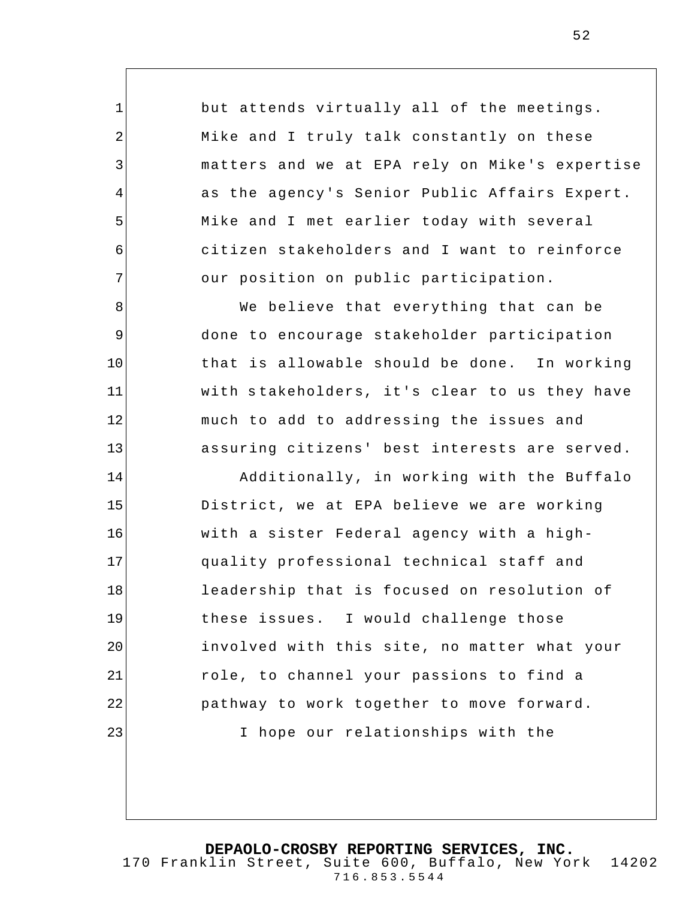but attends virtually all of the meetings. Mike and I truly talk constantly on these matters and we at EPA rely on Mike's expertise as the agency's Senior Public Affairs Expert. Mike and I met earlier today with several citizen stakeholders and I want to reinforce our position on public participation.

1

2

3

4

5

6

7

8

9

10

11

12

13

14

15

16

17

18

19

20

21

22

23

We believe that everything that can be done to encourage stakeholder participation that is allowable should be done. In working with stakeholders, it's clear to us they have much to add to addressing the issues and assuring citizens' best interests are served.

Additionally, in working with the Buffalo District, we at EPA believe we are working with a sister Federal agency with a highquality professional technical staff and leadership that is focused on resolution of these issues. I would challenge those involved with this site, no matter what your role, to channel your passions to find a pathway to work together to move forward. I hope our relationships with the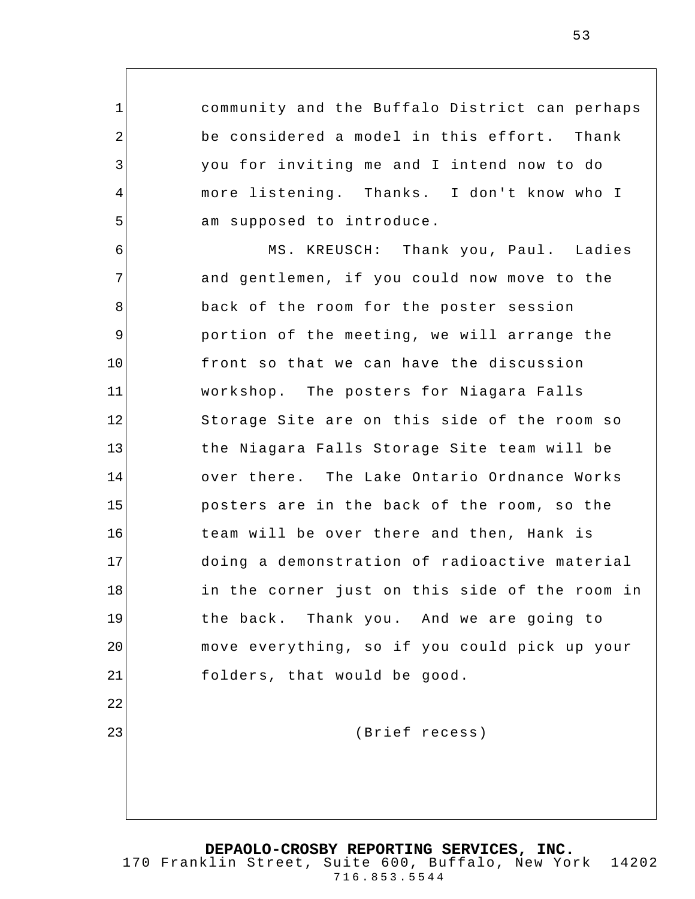community and the Buffalo District can perhaps be considered a model in this effort. Thank you for inviting me and I intend now to do more listening. Thanks. I don't know who I am supposed to introduce.

1

2

3

4

5

22

23

6 7 8 9 10 11 12 13 14 15 16 17 18 19 20 21 MS. KREUSCH: Thank you, Paul. Ladies and gentlemen, if you could now move to the back of the room for the poster session portion of the meeting, we will arrange the front so that we can have the discussion workshop. The posters for Niagara Falls Storage Site are on this side of the room so the Niagara Falls Storage Site team will be over there. The Lake Ontario Ordnance Works posters are in the back of the room, so the team will be over there and then, Hank is doing a demonstration of radioactive material in the corner just on this side of the room in the back. Thank you. And we are going to move everything, so if you could pick up your folders, that would be good.

(Brief recess)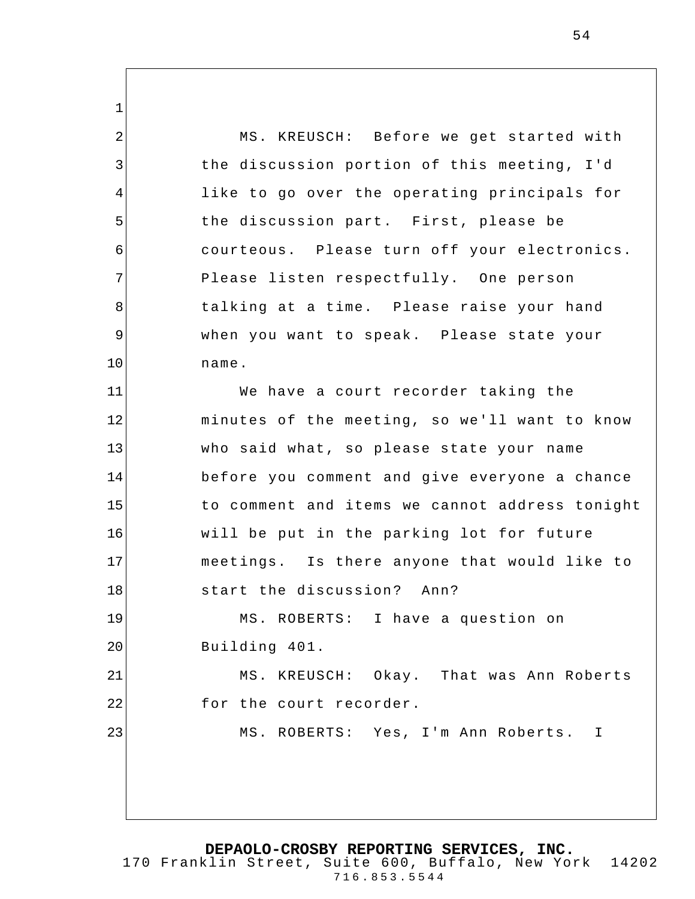1 2 3 4 5 6 7 8 9 10 11 12 13 14 15 16 17 18 19 20 21 22 23 MS. KREUSCH: Before we get started with the discussion portion of this meeting, I'd like to go over the operating principals for the discussion part. First, please be courteous. Please turn off your electronics. Please listen respectfully. One person talking at a time. Please raise your hand when you want to speak. Please state your name. We have a court recorder taking the minutes of the meeting, so we'll want to know who said what, so please state your name before you comment and give everyone a chance to comment and items we cannot address tonight will be put in the parking lot for future meetings. Is there anyone that would like to start the discussion? Ann? MS. ROBERTS: I have a question on Building 401. MS. KREUSCH: Okay. That was Ann Roberts for the court recorder. MS. ROBERTS: Yes, I'm Ann Roberts. I

**DEPAOLO-CROSBY REPORTING SERVICES, INC.**

170 Franklin Street, Suite 600, Buffalo, New York 14202 716.853.5544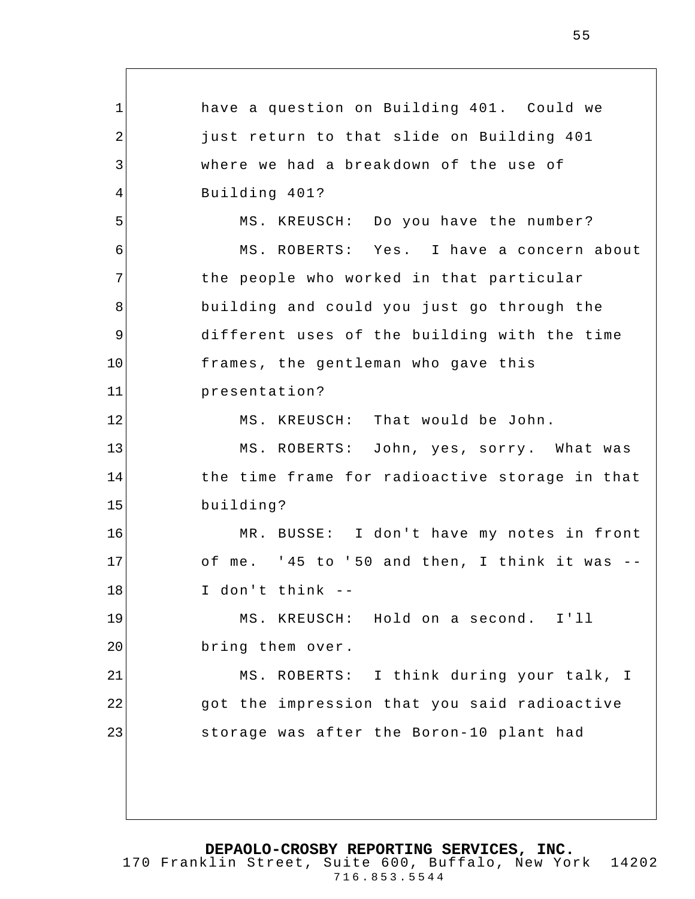1 2 3 4 5 6 7 8 9 10 11 12 13 14 15 16 17 18 19 20 21 22 23 have a question on Building 401. Could we just return to that slide on Building 401 where we had a break down of the use of Building 401? MS. KREUSCH: Do you have the number? MS. ROBERTS: Yes. I have a concern about the people who worked in that particular building and could you just go through the different uses of the building with the time frames, the gentleman who gave this presentation? MS. KREUSCH: That would be John. MS. ROBERTS: John, yes, sorry. What was the time frame for radioactive storage in that building? MR. BUSSE: I don't have my notes in front of me. ' 45 to ' 50 and then, I think it was -- I don't think -- MS. KREUSCH: Hold on a second. I'll bring them over. MS. ROBERTS: I think during your talk, I got the impression that you said radioactive storage was after the Boron-10 plant had

**DEPAOLO-CROSBY REPORTING SERVICES, INC.**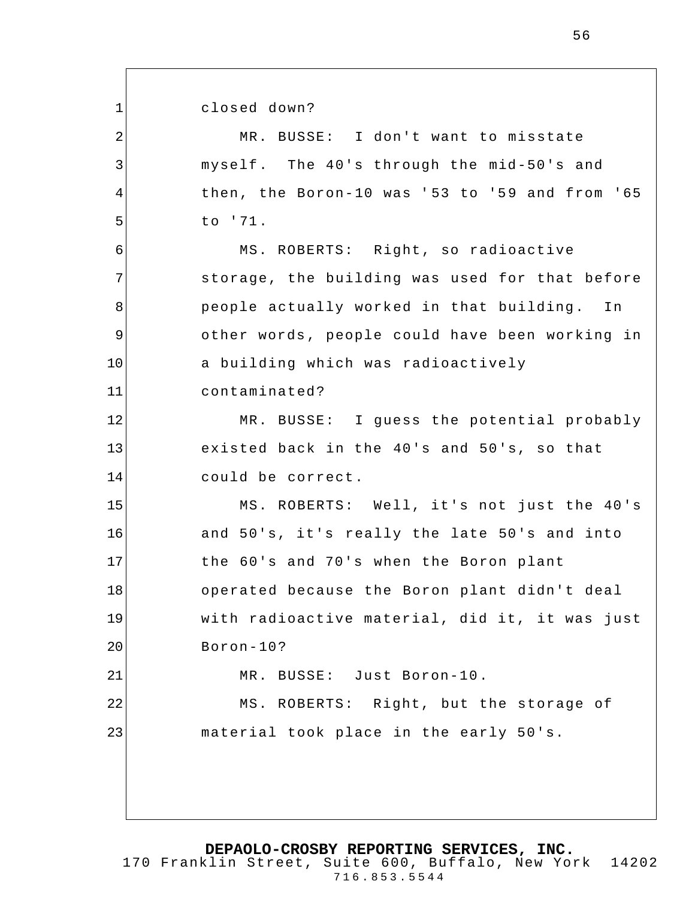closed down?

1

2 3 4 5 6 7 8 9 10 11 12 13 14 15 16 17 18 19 20 21 22 23 MR. BUSSE: I don't want to misstate myself. The 40's through the mid-50's and then, the Boron-10 was '53 to '59 and from '65 to '71. MS. ROBERTS: Right, so radioactive storage, the building was used for that before people actually worked in that building. In other words , people could have been working in a building which was radioactively contaminated? MR. BUSSE: I guess the potential probably existed back in the 40's and 50's, so that could be correct. MS. ROBERTS: Well, it's not just the 40's and 50's, it's really the late 50's and into the 60's and 70's when the Boron plant operated because the Boron plant didn't deal with radioactive material, did it, it was just Boron-10? MR. BUSSE: Just Boron-10. MS. ROBERTS: Right, but the storage of material took place in the early 50's.

**DEPAOLO-CROSBY REPORTING SERVICES, INC.**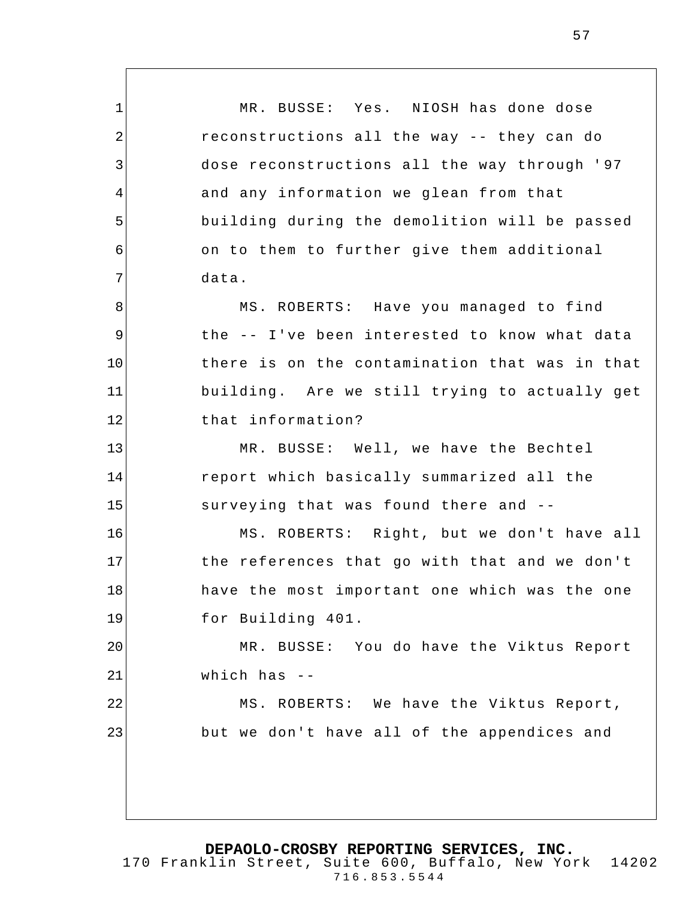1 2 3 4 5 6 7 8 9 10 11 MR. BUSSE: Yes. NIOSH has done dose reconstructions all the way -- they can do dose reconstructions all the way through ' 97 and any information we glean from that building during the demolition will be passed on to them to further give them additional data. MS. ROBERTS: Have you managed to find the -- I've been interested to know what data there is on the contamination that was in that building. Are we still trying to actually get

MR. BUSSE: Well, we have the Bechtel report which basically summarized all the surveying that was found there and --

that information?

12

13

14

15

16

17

18

19

22

23

MS. ROBERTS: Right, but we don't have all the references that go with that and we don't have the most important one which was the one for Building 401.

20 21 MR. BUSSE: You do have the Viktus Report which has --

MS. ROBERTS: We have the Viktus Report, but we don't have all of the appendices and

170 Franklin Street, Suite 600, Buffalo, New York 14202 716.853.5544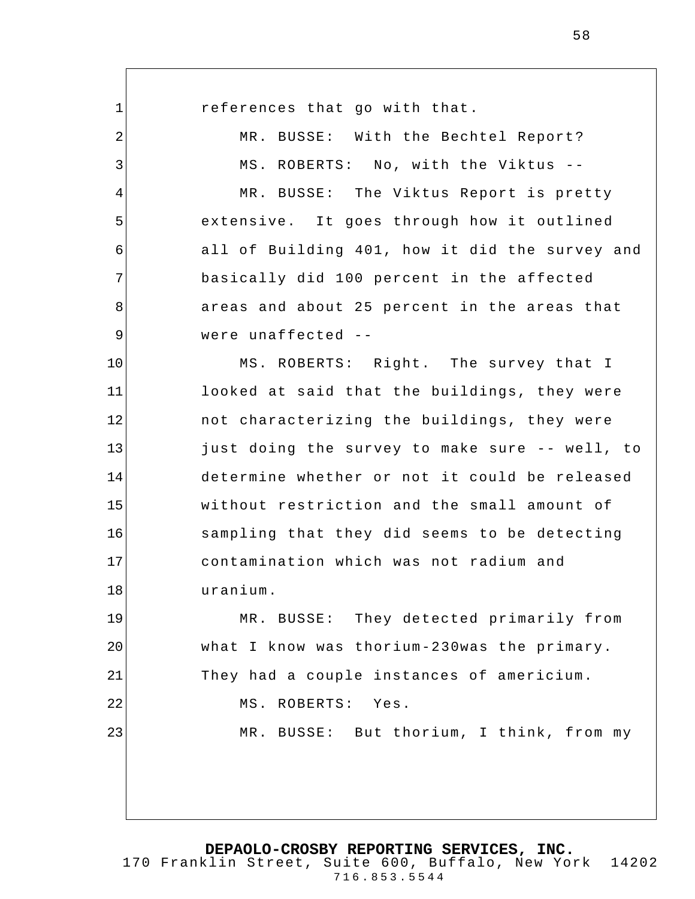1 2 3 4 5 6 7 8 9 10 11 12 13 14 15 16 17 18 19 20 21 22 23 references that go with that. MR. BUSSE: With the Bechtel Report? MS. ROBERTS: No, with the Viktus -- MR. BUSSE: The Viktus Report is pretty extensive. It goes through how it outlined all of Building 401, how it did the survey and basically did 100 percent in the affected areas and about 25 percent in the areas that were unaffected -- MS. ROBERTS: Right. The survey that I looked at said that the buildings, they were not characterizing the buildings, they were just doing the survey to make sure -- well, to determine whether or not it could be released without restriction and the small amount of sampling that they did seems to be detecting contamination which was not radium and uranium. MR. BUSSE: They detected primarily from what I know was thorium-230was the primary. They had a couple instances of americium. MS. ROBERTS: Yes. MR. BUSSE: But thorium, I think, from my

**DEPAOLO-CROSBY REPORTING SERVICES, INC.**

170 Franklin Street, Suite 600, Buffalo, New York 14202 716.853.5544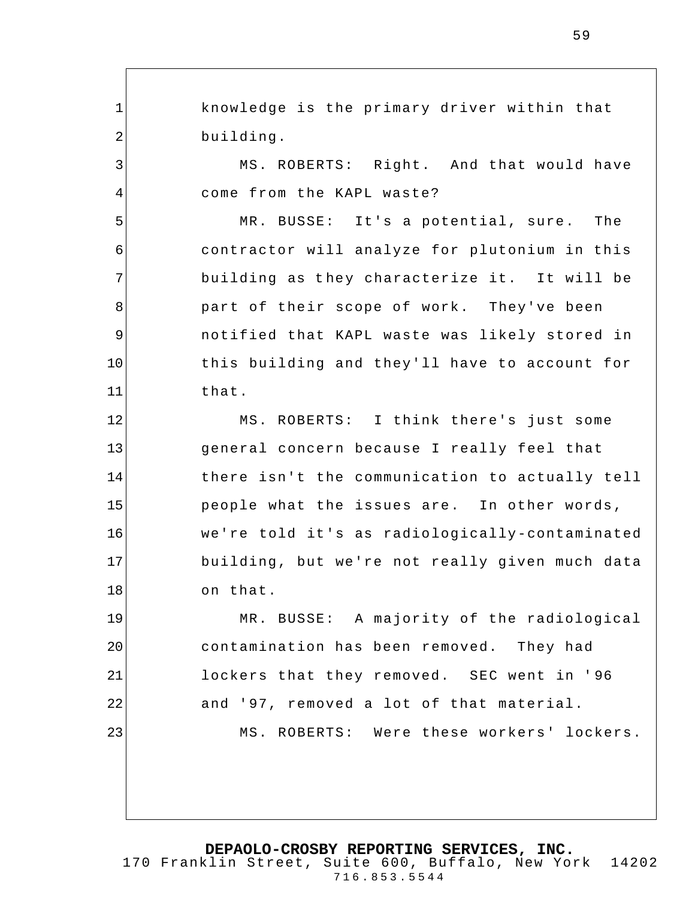1 2 3 4 5 6 7 8 9 10 11 12 13 14 15 16 17 18 19 20 21 22 23 knowledge is the primary driver within that building. MS. ROBERTS: Right. And that would have come from the KAPL waste? MR. BUSSE: It's a potential, sure. The contractor will analyze for plutonium in this building as t hey characterize it. It will be part of their scope of work. They've been notified that KAPL waste was likely stored in this building and they'll have to account for that. MS. ROBERTS: I think there's just some general concern because I really feel that there isn't the communication to actually tell people what the issues are. In other words, we're told it's as radiologically-contaminated building, but we're not really given much data on that. MR. BUSSE: A majority of the radiological contamination has been removed. They had lockers that they removed. SEC went in ' 96 and '97, removed a lot of that material. MS. ROBERTS: Were these workers' lockers.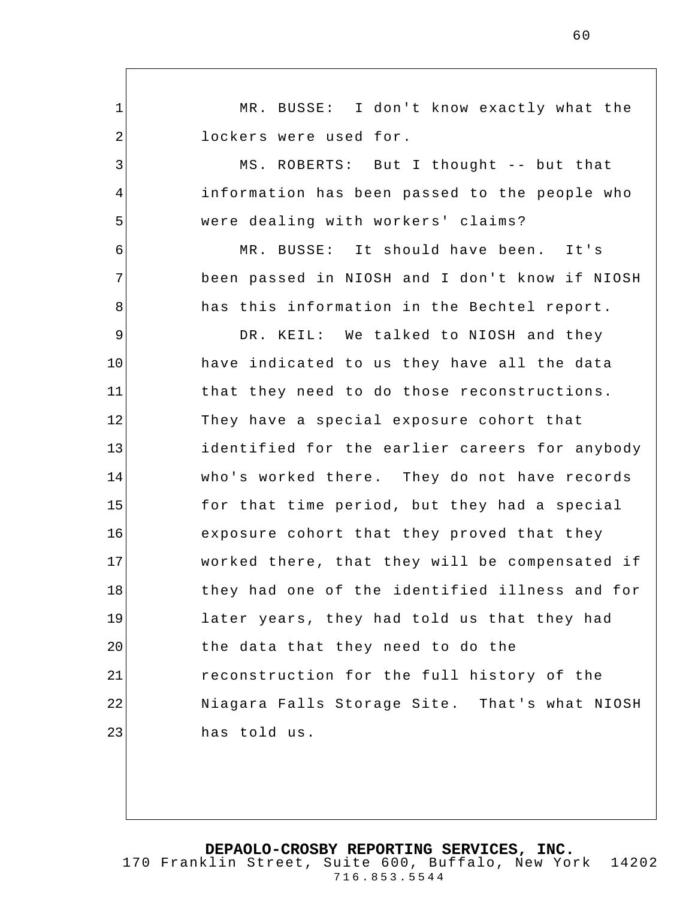1 2 3 4 5 6 7 8 9 10 11 12 13 14 15 16 17 18 19 20 21 22 23 MR. BUSSE: I don't know exactly what the lockers were used for. MS. ROBERTS: But I thought -- but that information has been passed to the people who were dealing with workers' claims? MR. BUSSE: It should have been. It's been passed in NIOSH and I don't know if NIOSH has this information in the Bechtel report. DR. KEIL: We talked to NIOSH and they have indicated to us they have all the data that they need to do those reconstructions. They have a special exposure cohort that identified for the earlier careers for anybody who's worked there. They do not have records for that time period, but they had a special exposure cohort that they proved that they worked there, that they will be compensated if they had one of the identified illness and for later years, they had told us that they had the data that they need to do the reconstruction for the full history of the Niagara Falls Storage Site. That's what NIOSH has told us.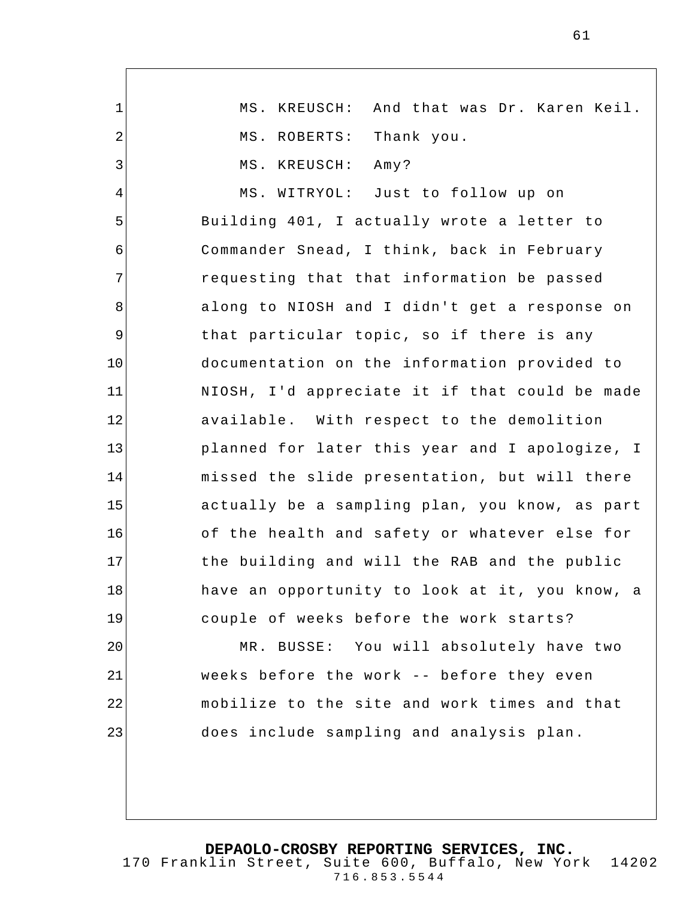1 2 3 4 5 6 7 8 9 10 11 12 13 14 15 16 17 18 19 20 21 22 23 MS. KREUSCH: And that was Dr. Karen Keil. MS. ROBERTS: Thank you. MS. KREUSCH: Amy? MS. WITRYOL: Just to follow up on Building 401, I actually wrote a letter to Commander Snead, I think, back in February requesting that that information be passed along to NIOSH and I didn't get a response on that particular topic, so if there is any documentation on the information provided to NIOSH, I'd appreciate it if that could be made available. With respect to the demolition planned for later this year and I apologize, I missed the slide presentation, but will there actually be a sampling plan, you know, as part of the health and safety or whatever else for the building and will the RAB and the public have an opportunity to look at it, you know, a couple of weeks before the work starts? MR. BUSSE: You will absolutely have two weeks before the work -- before they even mobilize to the site and work times and that does include sampling and analysis plan.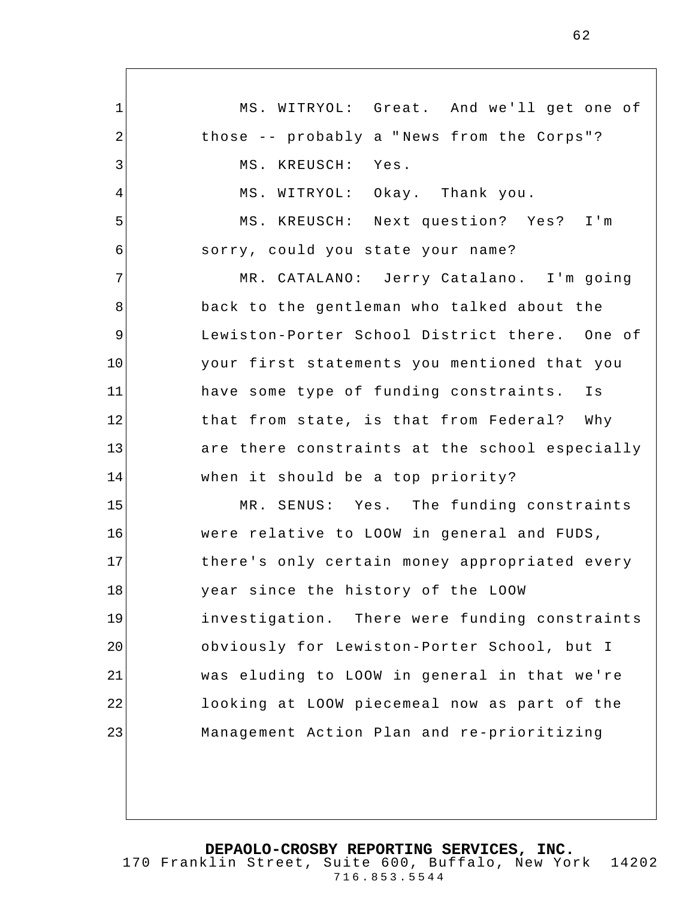1 2 3 4 5 6 7 8 9 10 11 12 13 14 15 16 17 18 19 20 21 22 23 MS. WITRYOL: Great. And we'll get one of those -- probably a " News from the Corps"? MS. KREUSCH: Yes. MS. WITRYOL: Okay. Thank you. MS. KREUSCH: Next question? Yes? I'm sorry, could you state your name? MR. CATALANO: Jerry Catalano. I'm going back to the gentleman who talked about the Lewiston-Porter School District there. One of your first statements you mentioned that you have some type of funding constraints. Is that from state, is that from Federal? Why are there constraints at the school especially when it should be a top priority? MR. SENUS: Yes. The funding constraints were relative to LOOW in general and FUDS, there's only certain money appropriated every year since the history of the LOOW investigation. There were funding constraints obviously for Lewiston-Porter School, but I was eluding to LOOW in general in that we're looking at LOOW piecemeal now as part of the Management Action Plan and re-prioritizing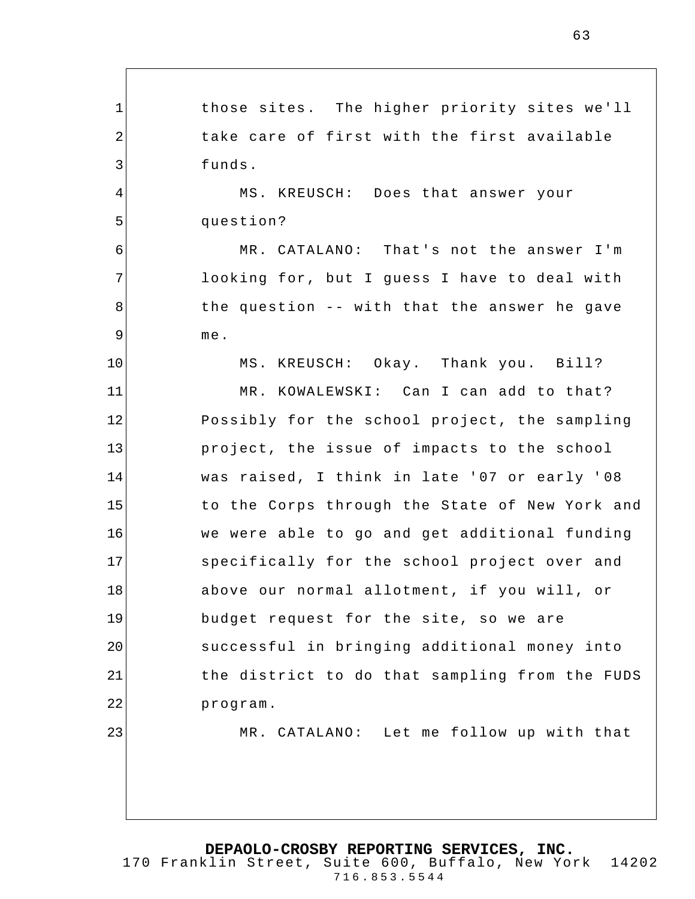1 2 3 4 5 6 7 8 9 10 11 12 13 14 15 16 17 18 19 20 21 22 23 those sites. The higher priority sites we'll take care of first with the first available funds. MS. KREUSCH: Does that answer your question? MR. CATALANO: That's not the answer I'm looking for, but I guess I have to deal with the question -- with that the answer he gave me. MS. KREUSCH: Okay. Thank you. Bill? MR. KOWALEWSKI: Can I can add to that? Possibly for the school project, the sampling project, the issue of impacts to the school was raised, I think in late '07 or early ' 08 to the Corps through the State of New York and we were able to go and get additional funding specifically for the school project over and above our normal allotment, if you will, or budget request for the site, so we are successful in bringing additional money into the district to do that sampling from the FUDS program. MR. CATALANO: Let me follow up with that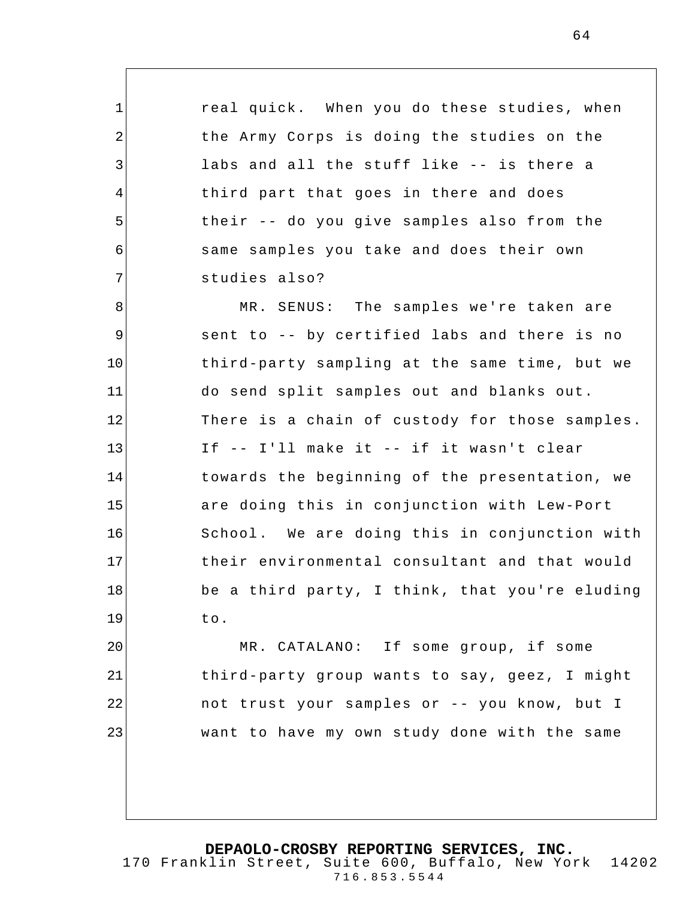real quick. When you do these studies, when the Army Corps is doing the studies on the labs and all the stuff like -- is there a third part that goes in there and does their -- do you give samples also from the same samples you take and does their own studies also?

1

2

3

4

5

6

7

8 9 10 11 12 13 14 15 16 17 18 19 MR. SENUS: The samples we're taken are sent to -- by certified labs and there is no third-party sampling at the same time, but we do send split samples out and blanks out. There is a chain of custody for those samples. If -- I'll make it -- if it wasn't clear towards the beginning of the presentation, we are doing this in conjunction with Lew-Port School. We are doing this in conjunction with their environmental consultant and that would be a third party, I think, that you're eluding to.

20 21 22 23 MR. CATALANO: If some group, if some third-party group wants to say, geez, I might not trust your samples or -- you know, but I want to have my own study done with the same

**DEPAOLO-CROSBY REPORTING SERVICES, INC.**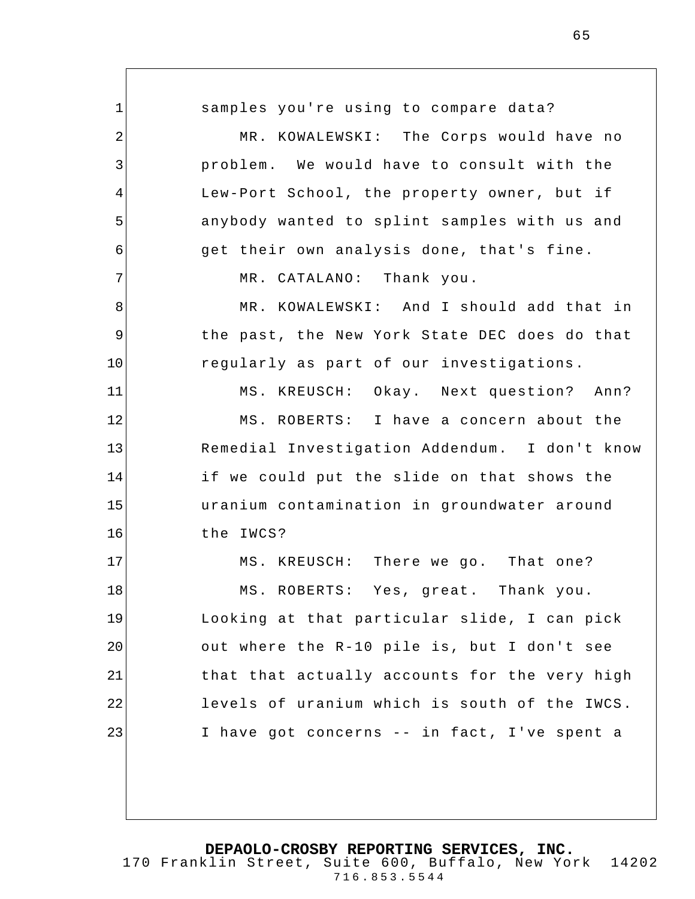1 2 3 4 5 6 7 8 9 10 11 12 13 14 15 16 17 18 19 20 21 22 23 samples you're using to compare data? MR. KOWALEWSKI: The Corps would have no problem. We would have to consult with the Lew-Port School, the property owner, but if anybody wanted to splint samples with us and get their own analysis done, that's fine. MR. CATALANO: Thank you. MR. KOWALEWSKI: And I should add that in the past, the New York State DEC does do that regularly as part of our investigations. MS. KREUSCH: Okay. Next question? Ann? MS. ROBERTS: I have a concern about the Remedial Investigation Addendum. I don't know if we could put the slide on that shows the uranium contamination in groundwater around the IWCS? MS. KREUSCH: There we go. That one? MS. ROBERTS: Yes, great. Thank you. Looking at that particular slide, I can pick out where the R-10 pile is, but I don't see that that actually accounts for the very high levels of uranium which is south of the IWCS. I have got concerns -- in fact, I've spent a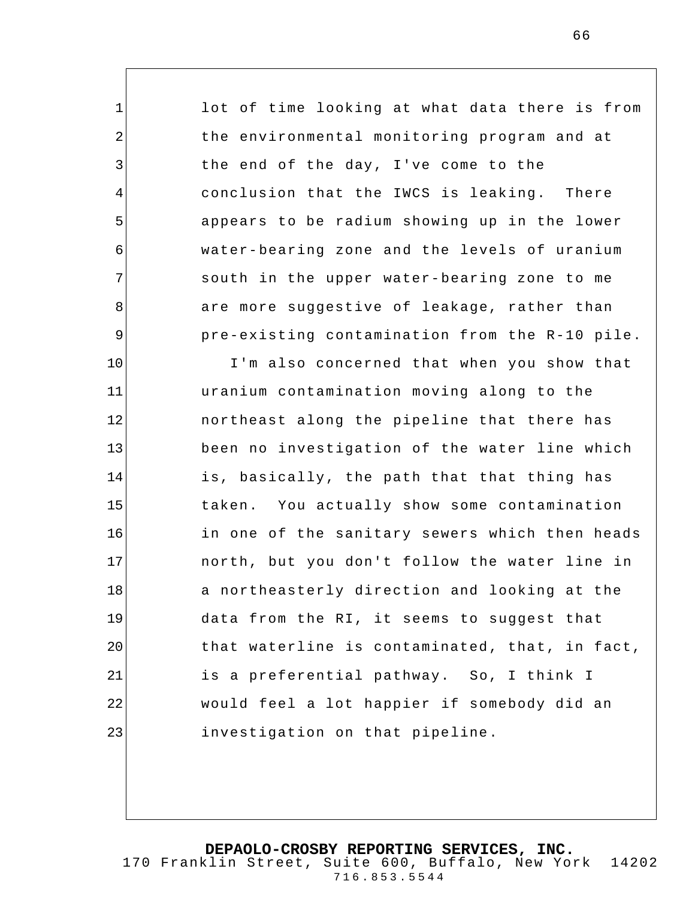lot of time looking at what data there is from the environmental monitoring program and at the end of the day, I've come to the conclusion that the IWCS is leaking. There appears to be radium showing up in the lower water-bearing zone and the levels of uranium south in the upper water-bearing zone to me are more suggestive of leakage, rather than pre-existing contamination from the R-10 pile. I'm also concerned that when you show that

1

2

3

4

5

6

7

8

9

10

11 12 13 14 15 16 17 18 19 20 21 22 23 uranium contamination moving along to the northeast along the pipeline that there has been no investigation of the water line which is, basically, the path that that thing has taken. You actually show some contamination in one of the sanitary sewers which then heads north, but you don't follow the water line in a northeasterly direction and looking at the data from the RI, it seems to suggest that that waterline is contaminated, that, in fact, is a preferential pathway. So, I think I would feel a lot happier if somebody did an investigation on that pipeline.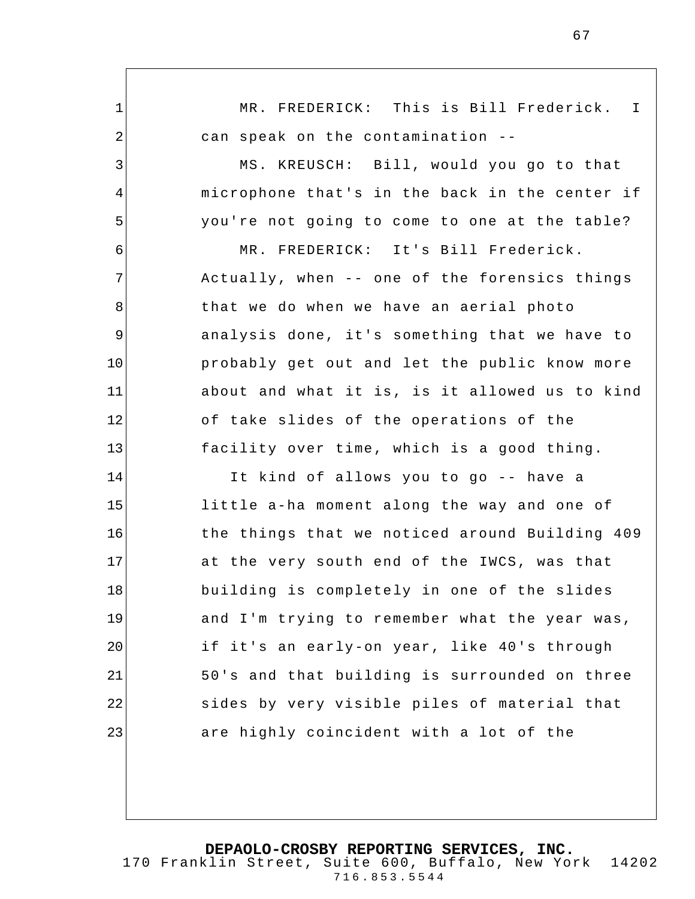1 2 3 4 5 6 7 8 9 10 11 12 13 14 15 16 17 18 19 20 21 22 23 MR. FREDERICK: This is Bill Frederick. I can speak on the contamination -- MS. KREUSCH: Bill, would you go to that microphone that's in the back in the center if you're not going to come to one at the table? MR. FREDERICK: It's Bill Frederick. Actually, when -- one of the forensics things that we do when we have an aerial photo analysis done, it's something that we have to probably get out and let the public know more about and what it is, is it allowed us to kind of take slides of the operations of the facility over time, which is a good thing. It kind of allows you to go -- have a little a-ha moment along the way and one of the things that we noticed around Building 409 at the very south end of the IWCS, was that building is completely in one of the slides and I'm trying to remember what the year was, if it's an early-on year, like 40's through 50's and that building is surrounded on three sides by very visible piles of material that are highly coincident with a lot of the

**DEPAOLO-CROSBY REPORTING SERVICES, INC.** 170 Franklin Street, Suite 600, Buffalo, New York 14202 716.853.5544

67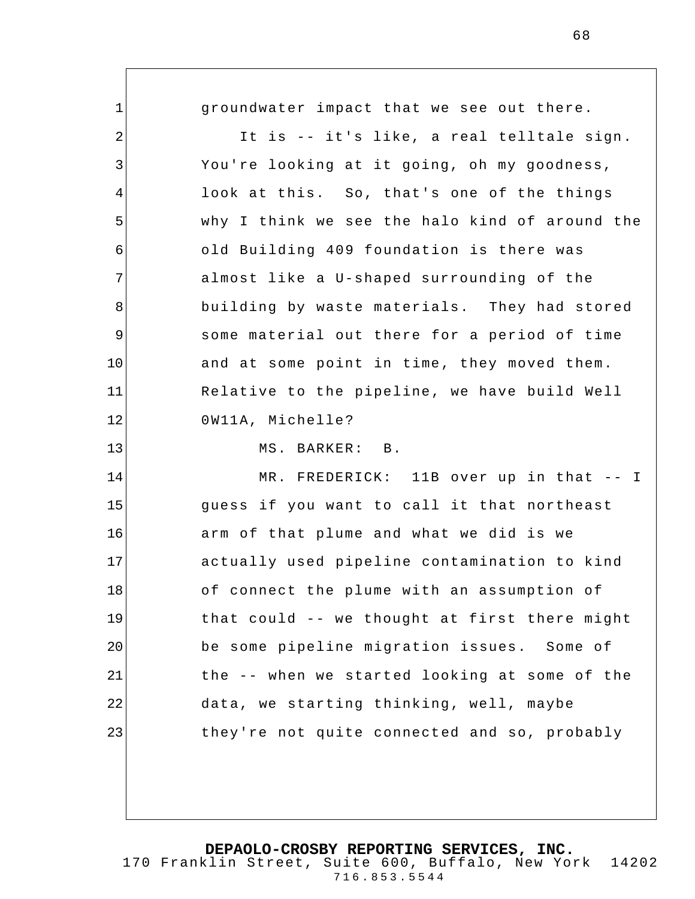1 2 3 4 5 6 7 8 9 10 11 12 13 14 15 16 17 18 19 20 21 22 23 groundwater impact that we see out there. It is -- it's like, a real telltale sign. You're looking at it going, oh my goodness, look at this. So, that's one of the things why I think we see the halo kind of around the old Building 409 foundation is there was almost like a U-shaped surrounding of the building by waste materials. They had stored some material out there for a period of time and at some point in time, they moved them. Relative to the pipeline, we have build Well 0W11A, Michelle? MS. BARKER: B. MR. FREDERICK: 11B over up in that -- I guess if you want to call it that northeast arm of that plume and what we did is we actually used pipeline contamination to kind of connect the plume with an assumption of that could -- we thought at first there might be some pipeline migration issues. Some of the -- when we started looking at some of the data, we starting thinking, well, maybe they're not quite connected and so, probably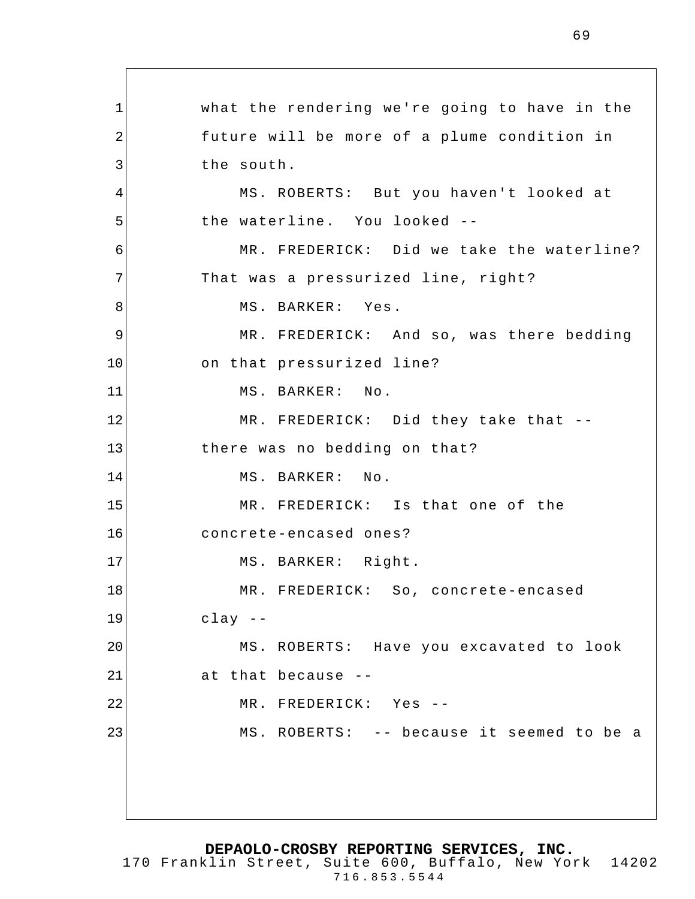1 2 3 4 5 6 7 8 9 10 11 12 13 14 15 16 17 18 19 20 21 22 23 what the rendering we're going to have in the future will be more of a plume condition in the south. MS. ROBERTS: But you haven't looked at the waterline. You looked -- MR. FREDERICK: Did we take the waterline? That was a pressurized line, right? MS. BARKER: Yes. MR. FREDERICK: And so, was there bedding on that pressurized line? MS. BARKER: No. MR. FREDERICK: Did they take that - there was no bedding on that? MS. BARKER: No. MR. FREDERICK: Is that one of the concrete-encased ones? MS. BARKER: Right. MR. FREDERICK: So, concrete-encased clay -- MS. ROBERTS: Have you excavated to look at that because -- MR. FREDERICK: Yes -- MS. ROBERTS: -- because it seemed to be a

**DEPAOLO-CROSBY REPORTING SERVICES, INC.**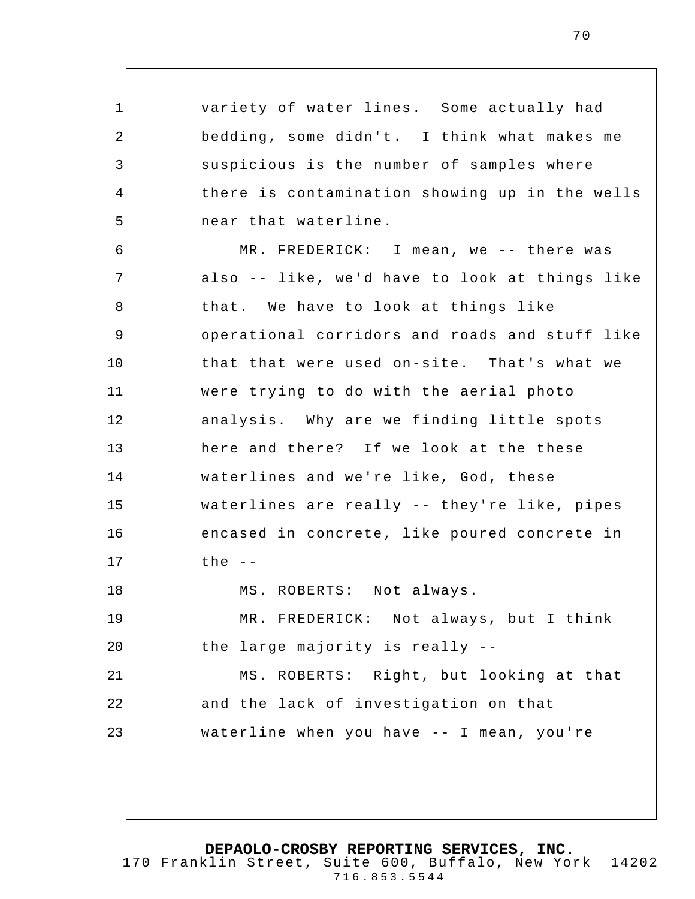variety of water lines. Some actually had bedding, some didn't. I think what makes me suspicious is the number of samples where there is contamination showing up in the wells near that waterline.

1

2

3

4

5

6 7 8 9 10 11 12 13 14 15 16 17 18 19 20 21 22 23 MR. FREDERICK: I mean, we -- there was also -- like, we'd have to look at things like that. We have to look at things like operational corridors and roads and stuff like that that were used on-site. That's what we were trying to do with the aerial photo analysis. Why are we finding little spots here and there? If we look at the these waterlines and we're like, God, these waterlines are really -- they're like, pipes encased in concrete, like poured concrete in the  $-$ MS. ROBERTS: Not always. MR. FREDERICK: Not always, but I think the large majority is really -- MS. ROBERTS: Right, but looking at that and the lack of investigation on that waterline when you have -- I mean, you're

**DEPAOLO-CROSBY REPORTING SERVICES, INC.**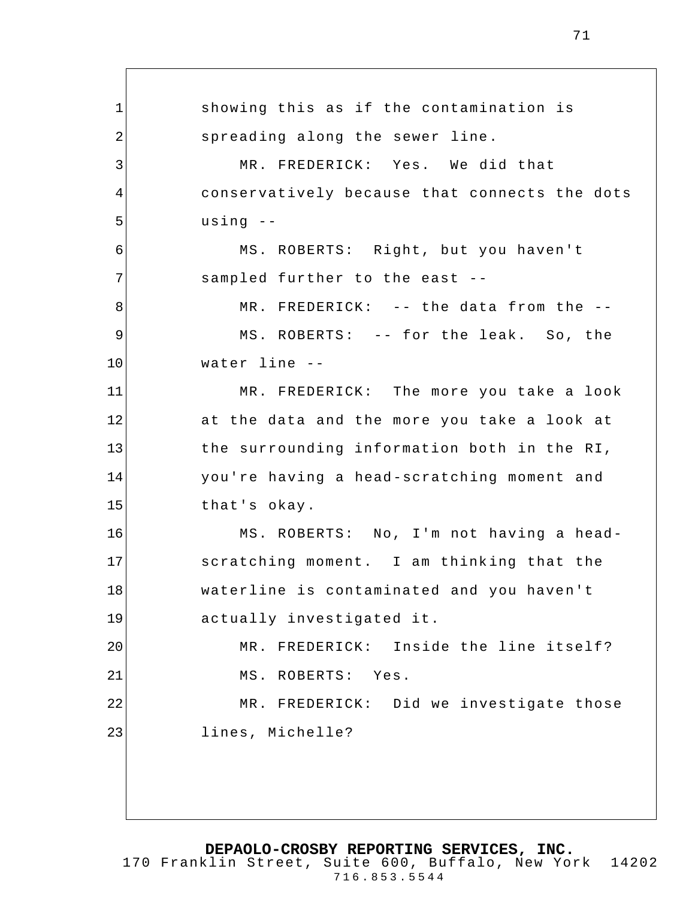1 2 3 4 5 6 7 8 9 10 11 12 13 14 15 16 17 18 19 20 21 22 23 showing this as if the contamination is spreading along the sewer line. MR. FREDERICK: Yes. We did that conservatively because that connects the dots using -- MS. ROBERTS: Right, but you haven't sampled further to the east -- MR. FREDERICK: -- the data from the --MS. ROBERTS: -- for the leak. So, the water line -- MR. FREDERICK: The more you take a look at the data and the more you take a look at the surrounding information both in the RI, you're having a head-scratching moment and that's okay. MS. ROBERTS: No, I'm not having a headscratching moment. I am thinking that the waterline is contaminated and you haven't actually investigated it. MR. FREDERICK: Inside the line itself? MS. ROBERTS: Yes. MR. FREDERICK: Did we investigate those lines, Michelle?

**DEPAOLO-CROSBY REPORTING SERVICES, INC.** 170 Franklin Street, Suite 600, Buffalo, New York 14202

716.853.5544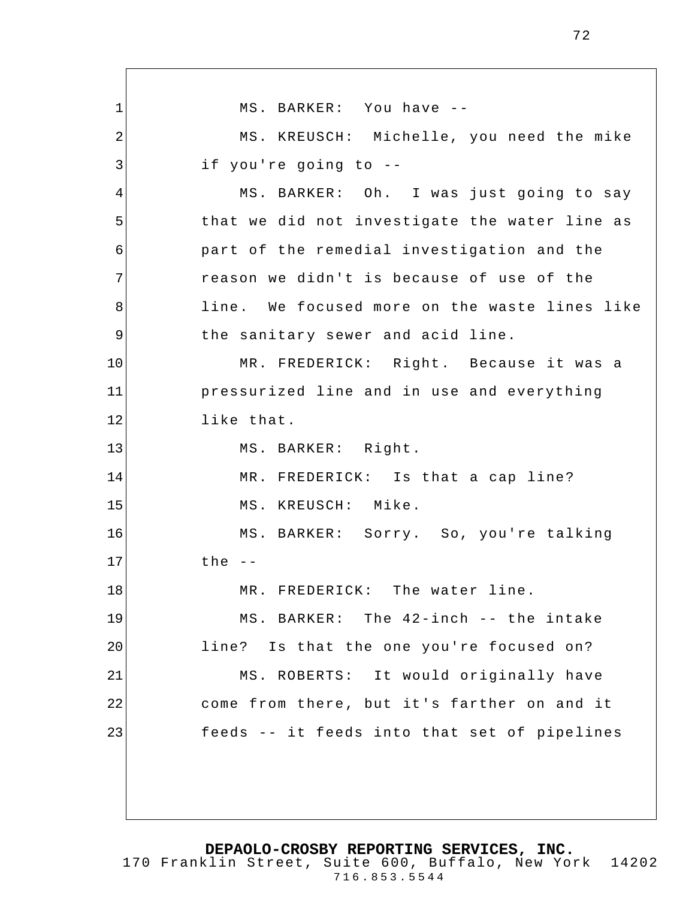1 2 3 4 5 6 7 8 9 10 11 12 13 14 15 16 17 18 19 20 21 22 23 MS. BARKER: You have -- MS. KREUSCH: Michelle, you need the mike if you're going to -- MS. BARKER: Oh. I was just going to say that we did not investigate the water line as part of the remedial investigation and the reason we didn't is because of use of the line. We focused more on the waste lines like the sanitary sewer and acid line. MR. FREDERICK: Right. Because it was a pressurized line and in use and everything like that. MS. BARKER: Right. MR. FREDERICK: Is that a cap line? MS. KREUSCH: Mike. MS. BARKER: Sorry. So, you're talking the -- MR. FREDERICK: The water line. MS. BARKER: The 42-inch -- the intake line? Is that the one you're focused on? MS. ROBERTS: It would originally have come from there, but it's farther on and it feeds -- it feeds into that set of pipelines

72

**DEPAOLO-CROSBY REPORTING SERVICES, INC.**

170 Franklin Street, Suite 600, Buffalo, New York 14202 716.853.5544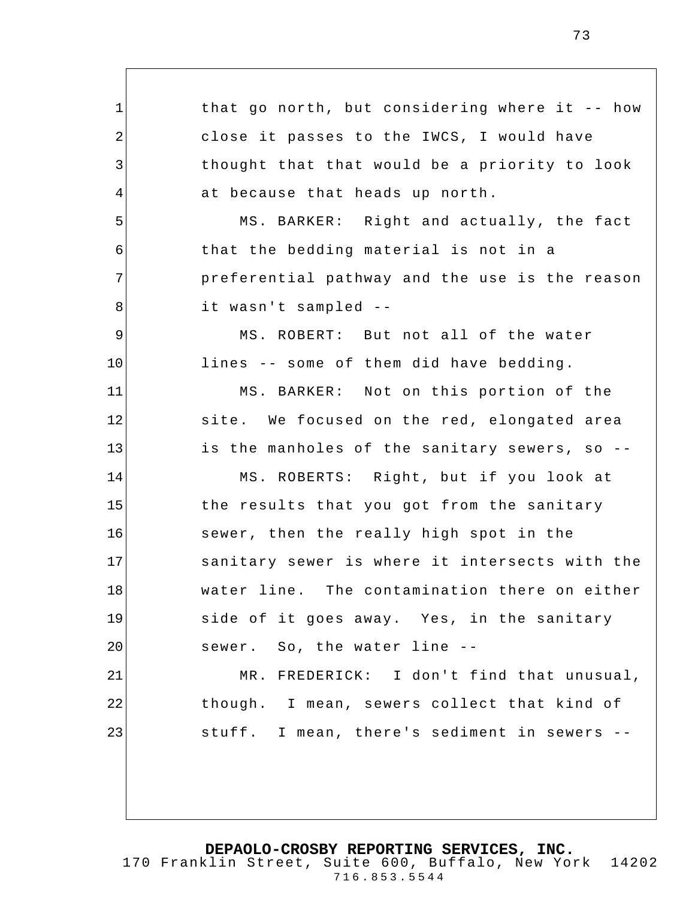1 2 3 4 5 6 7 8 9 10 11 12 13 14 15 16 17 18 19 20 21 22 23 that go north, but considering where it -- how close it passes to the IWCS, I would have thought that that would be a priority to look at because that heads up north. MS. BARKER: Right and actually, the fact that the bedding material is not in a preferential pathway and the use is the reason it wasn't sampled -- MS. ROBERT: But not all of the water lines -- some of them did have bedding. MS. BARKER: Not on this portion of the site. We focused on the red, elongated area is the manholes of the sanitary sewers, so -- MS. ROBERTS: Right, but if you look at the results that you got from the sanitary sewer, then the really high spot in the sanitary sewer is where it intersects with the water line. The contamination there on either side of it goes away. Yes, in the sanitary sewer. So, the water line -- MR. FREDERICK: I don't find that unusual, though. I mean, sewers collect that kind of stuff. I mean, there's sediment in sewers --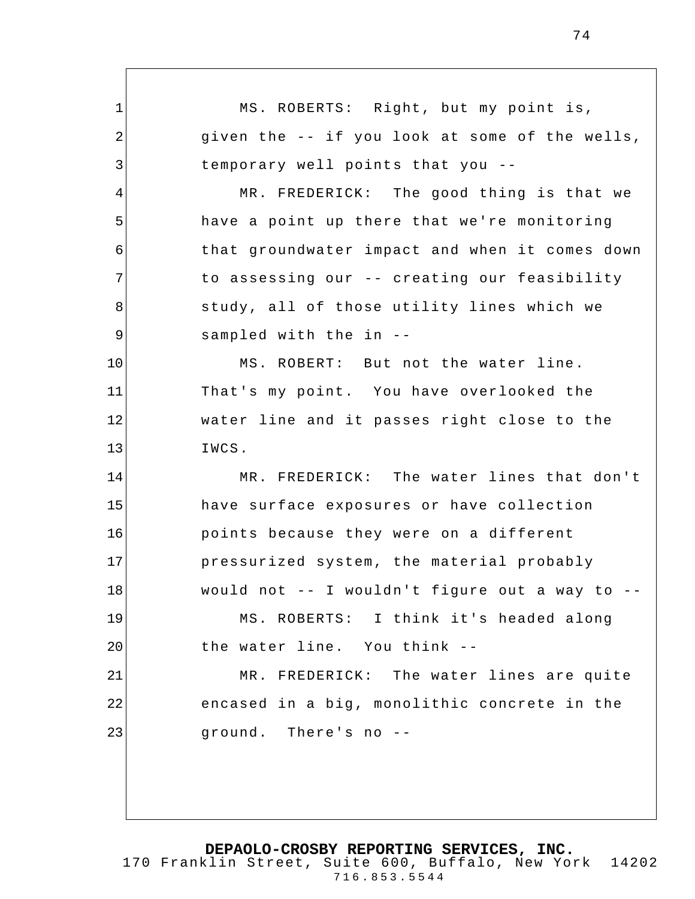1 2 3 4 5 6 7 8 9 10 11 12 13 14 15 16 17 18 19 20 21 22 23 MS. ROBERTS: Right, but my point is, given the -- if you look at some of the wells, temporary well points that you -- MR. FREDERICK: The good thing is that we have a point up there that we're monitoring that groundwater impact and when it comes down to assessing our -- creating our feasibility study, all of those utility lines which we sampled with the in -- MS. ROBERT: But not the water line. That's my point. You have overlooked the water line and it passes right close to the IWCS. MR. FREDERICK: The water lines that don't have surface exposures or have collection points because they were on a different pressurized system, the material probably would not -- I wouldn't figure out a way to -- MS. ROBERTS: I think it's headed along the water line. You think -- MR. FREDERICK: The water lines are quite encased in a big, monolithic concrete in the ground. There's no --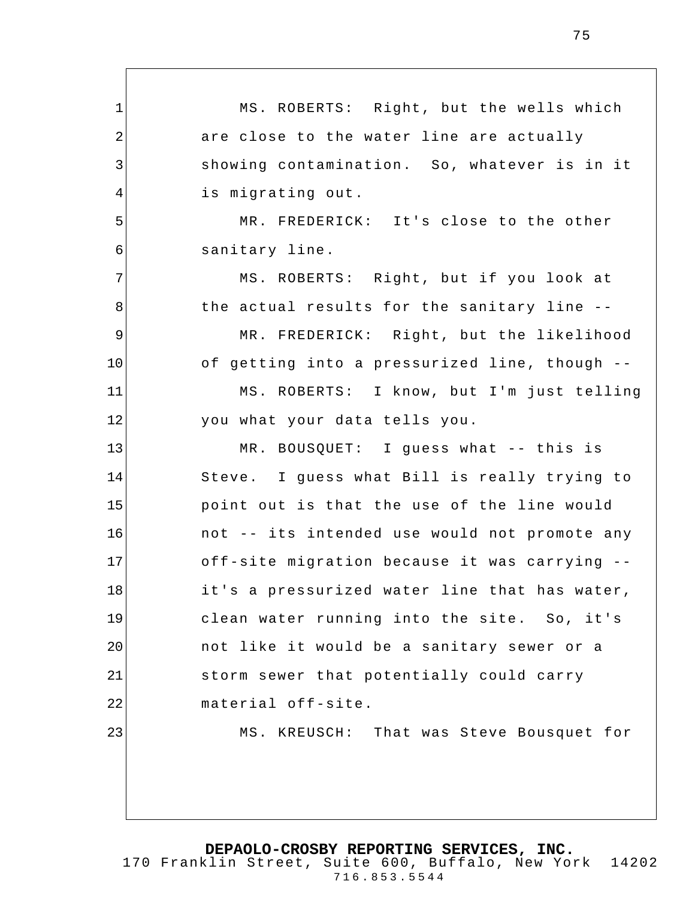1 2 3 4 5 6 7 8 9 10 11 12 13 14 15 16 17 18 19 20 21 22 23 MS. ROBERTS: Right, but the wells which are close to the water line are actually showing contamination. So, whatever is in it is migrating out. MR. FREDERICK: It's close to the other sanitary line. MS. ROBERTS: Right, but if you look at the actual results for the sanitary line -- MR. FREDERICK: Right, but the likelihood of getting into a pressurized line, though -- MS. ROBERTS: I know, but I'm just telling you what your data tells you. MR. BOUSQUET: I guess what -- this is Steve. I guess what Bill is really trying to point out is that the use of the line would not -- its intended use would not promote any off-site migration because it was carrying - it's a pressurized water line that has water, clean water running into the site. So, it's not like it would be a sanitary sewer or a storm sewer that potentially could carry material off-site. MS. KREUSCH: That was Steve Bousquet for

**DEPAOLO-CROSBY REPORTING SERVICES, INC.**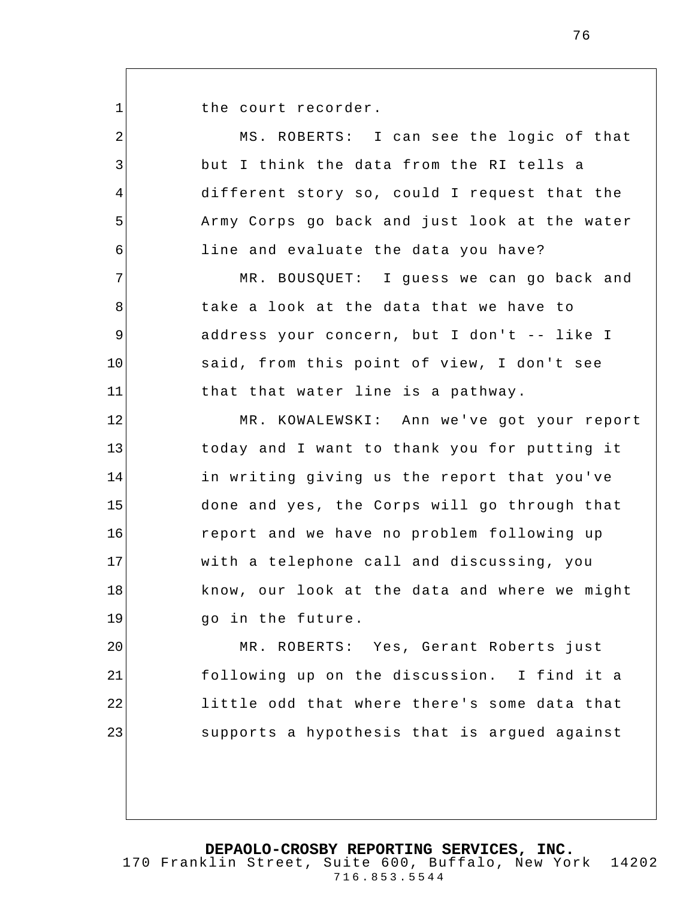the court recorder.

1

2 3 4 5 6 7 8 9 10 11 12 13 14 15 16 17 18 19 20 21 22 23 MS. ROBERTS: I can see the logic of that but I think the data from the RI tells a different story so, could I request that the Army Corps go back and just look at the water line and evaluate the data you have? MR. BOUSQUET: I guess we can go back and take a look at the data that we have to address your concern, but I don't -- like I said, from this point of view, I don't see that that water line is a pathway. MR. KOWALEWSKI: Ann we've got your report today and I want to thank you for putting it in writing giving us the report that you've done and yes, the Corps will go through that report and we have no problem following up with a telephone call and discussing, you know, our look at the data and where we might go in the future. MR. ROBERTS: Yes, Gerant Roberts just following up on the discussion. I find it a little odd that where there's some data that supports a hypothesis that is argued against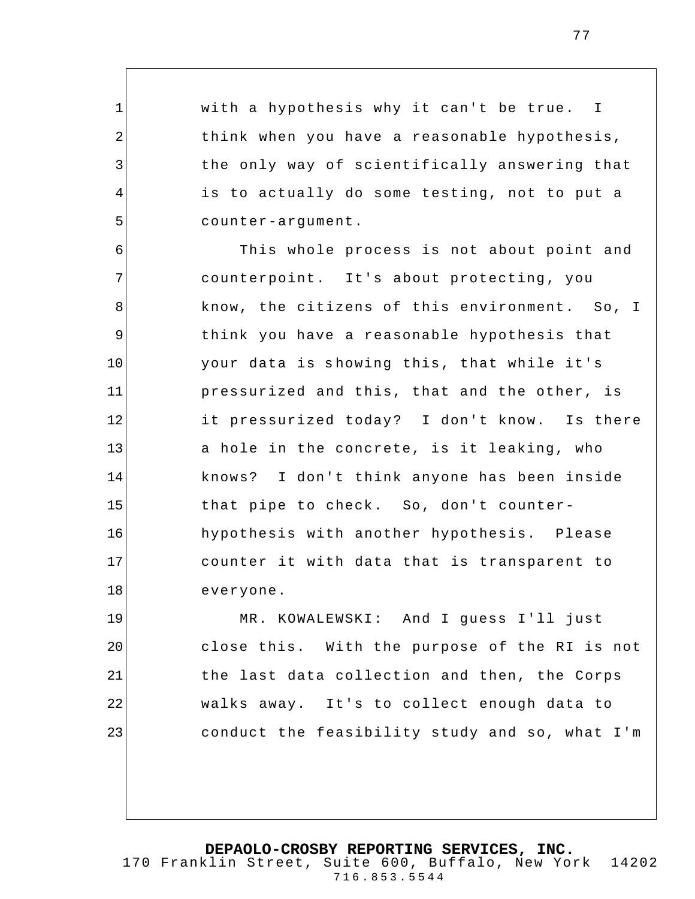with a hypothesis why it can't be true. I think when you have a reasonable hypothesis, the only way of scientifically answering that is to actually do some testing, not to put a counter-argument.

1

2

3

4

5

6 7 8 9 10 11 12 13 14 15 16 17 18 This whole process is not about point and counterpoint. It's about protecting, you know, the citizens of this environment. So, I think you have a reasonable hypothesis that your data is showing this, that while it's pressurized and this, that and the other, is it pressurized today? I don't know. Is there a hole in the concrete, is it leaking, who knows? I don't think anyone has been inside that pipe to check. So, don't counterhypothesis with another hypothesis. Please counter it with data that is transparent to everyone.

19 20 21 22 23 MR. KOWALEWSKI: And I guess I'll just close this. With the purpose of the RI is not the last data collection and then, the Corps walks away. It's to collect enough data to conduct the feasibility study and so, what I'm

**DEPAOLO-CROSBY REPORTING SERVICES, INC.** 170 Franklin Street, Suite 600, Buffalo, New York 14202

716.853.5544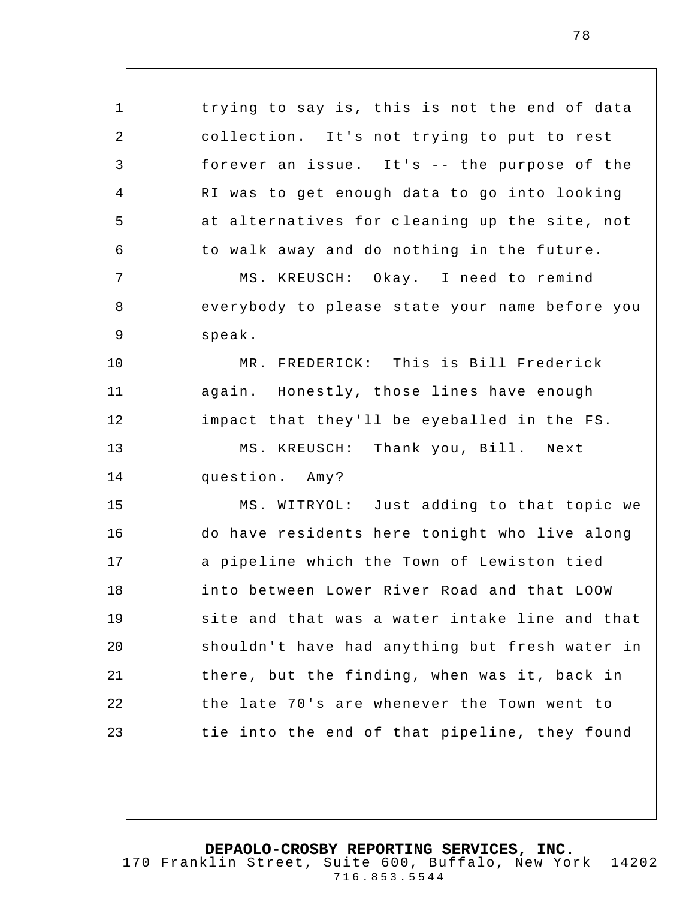1 2 3 4 5 6 7 8 9 10 11 12 13 14 15 16 17 18 19 20 21 22 23 trying to say is, this is not the end of data collection. It's not trying to put to rest forever an issue. It's -- the purpose of the RI was to get enough data to go into looking at alternatives for cleaning up the site, not to walk away and do nothing in the future. MS. KREUSCH: Okay. I need to remind everybody to please state your name before you speak. MR. FREDERICK: This is Bill Frederick again. Honestly, those lines have enough impact that they'll be eyeballed in the FS. MS. KREUSCH: Thank you, Bill. Next question. Amy? MS. WITRYOL: Just adding to that topic we do have residents here tonight who live along a pipeline which the Town of Lewiston tied into between Lower River Road and that LOOW site and that was a water intake line and that shouldn't have had anything but fresh water in there, but the finding, when was it, back in the late 70's are whenever the Town went to tie into the end of that pipeline, they found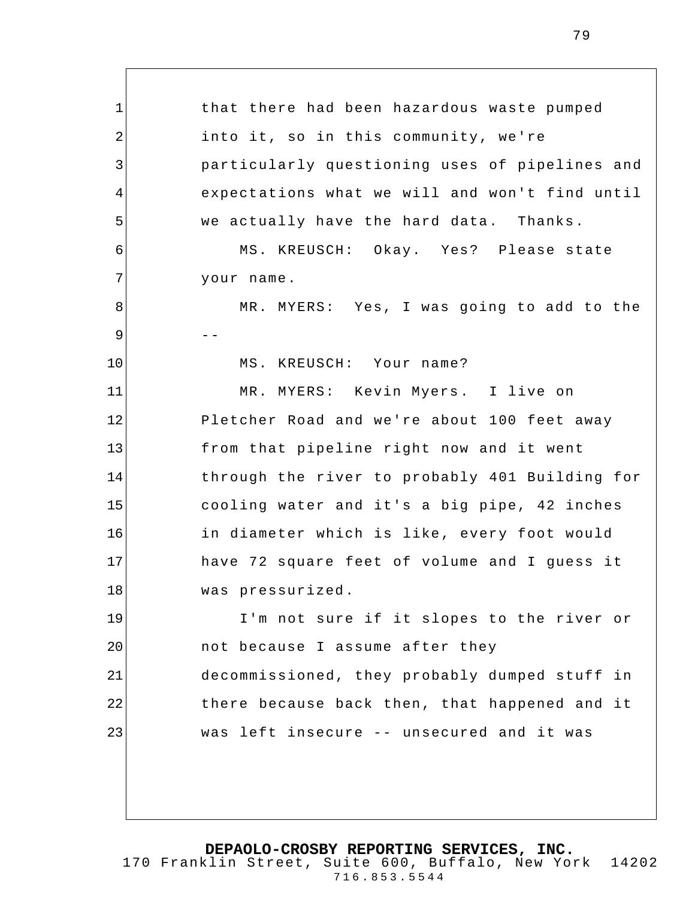1 2 3 4 5 6 7 8 9 10 11 12 13 14 15 16 17 18 19 20 21 22 23 that there had been hazardous waste pumped into it, so in this community, we're particularly questioning uses of pipelines and expectations what we will and won't find until we actually have the hard data. Thanks. MS. KREUSCH: Okay. Yes? Please state your name. MR. MYERS: Yes, I was going to add to the -- MS. KREUSCH: Your name? MR. MYERS: Kevin Myers. I live on Pletcher Road and we're about 100 feet away from that pipeline right now and it went through the river to probably 401 Building for cooling water and it's a big pipe, 42 inches in diameter which is like, every foot would have 72 square feet of volume and I guess it was pressurized. I'm not sure if it slopes to the river or not because I assume after they decommissioned, they probably dumped stuff in there because back then, that happened and it was left insecure -- unsecured and it was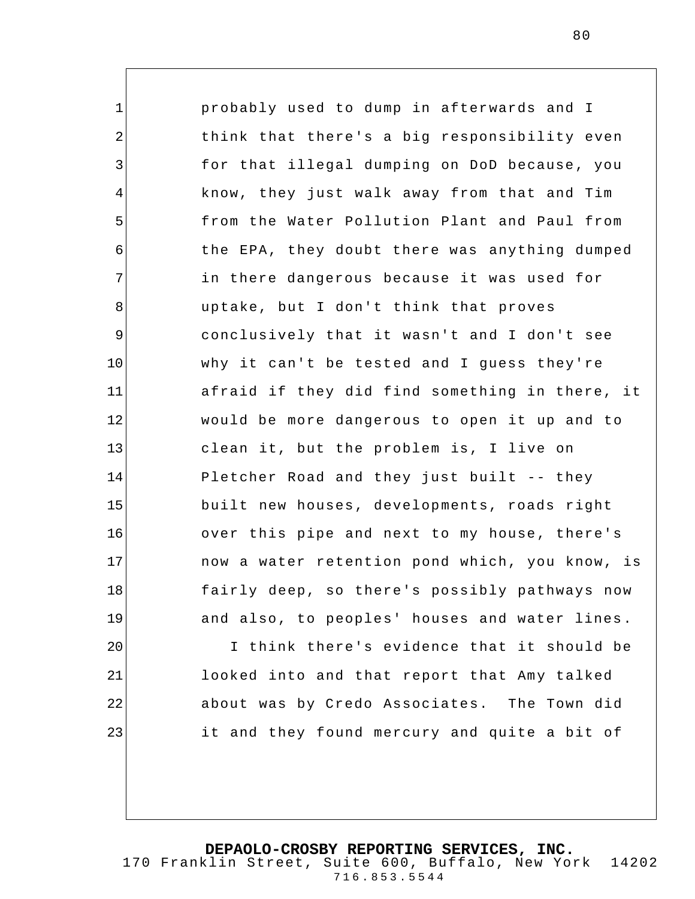1 2 3 4 5 6 7 8 9 10 11 12 13 14 15 16 17 18 19 20 probably used to dump in afterwards and I think that there's a big responsibility even for that illegal dumping on DoD because, you know, they just walk away from that and Tim from the Water Pollution Plant and Paul from the EPA, they doubt there was anything dumped in there dangerous because it was used for uptake, but I don't think that proves conclusively that it wasn't and I don't see why it can't be tested and I guess they're afraid if they did find something in there, it would be more dangerous to open it up and to clean it, but the problem is, I live on Pletcher Road and they just built -- they built new houses, developments, roads right over this pipe and next to my house, there's now a water retention pond which, you know, is fairly deep, so there's possibly pathways now and also, to peoples' houses and water lines . I think there's evidence that it should be

looked into and that report that Amy talked about was by Credo Associates. The Town did it and they found mercury and quite a bit of

21

22

23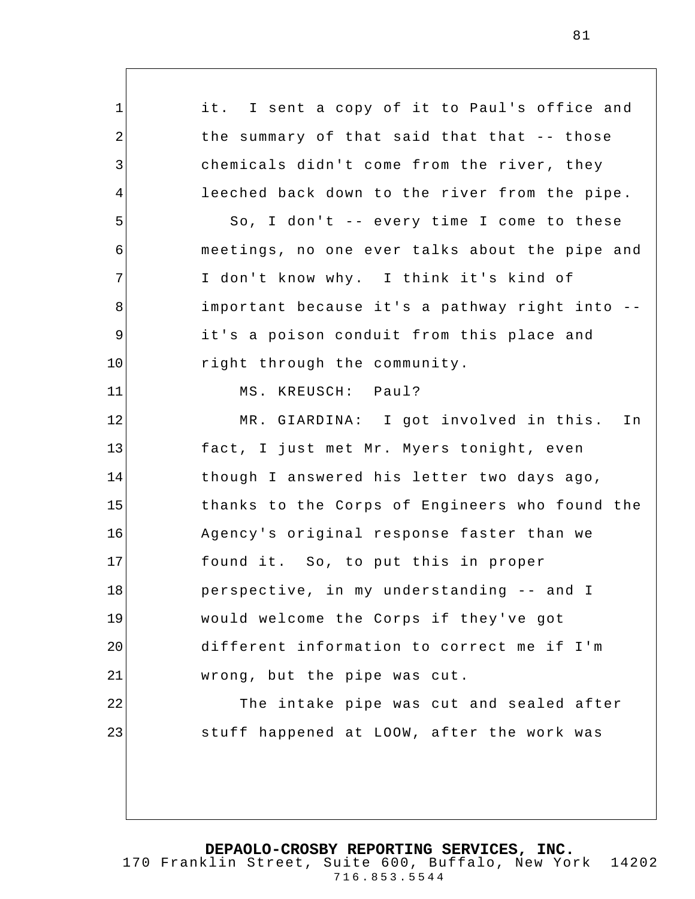1 2 3 4 5 6 7 8 9 10 11 12 13 14 15 16 17 18 19 20 21 22 23 it. I sent a copy of it to Paul's office and the summary of that said that that -- those chemicals didn't come from the river, they leeched back down to the river from the pipe. So, I don't -- every time I come to these meetings, no one ever talks about the pipe and I don't know why. I think it's kind of important because it's a pathway right into - it's a poison conduit from this place and right through the community. MS. KREUSCH: Paul? MR. GIARDINA: I got involved in this. In fact, I just met Mr. Myers tonight, even though I answered his letter two days ago, thanks to the Corps of Engineers who found the Agency's original response faster than we found it. So, to put this in proper perspective, in my understanding -- and I would welcome the Corps if they've got different information to correct me if I'm wrong, but the pipe was cut. The intake pipe was cut and sealed after stuff happened at LOOW, after the work was

**DEPAOLO-CROSBY REPORTING SERVICES, INC.**

170 Franklin Street, Suite 600, Buffalo, New York 14202 716.853.5544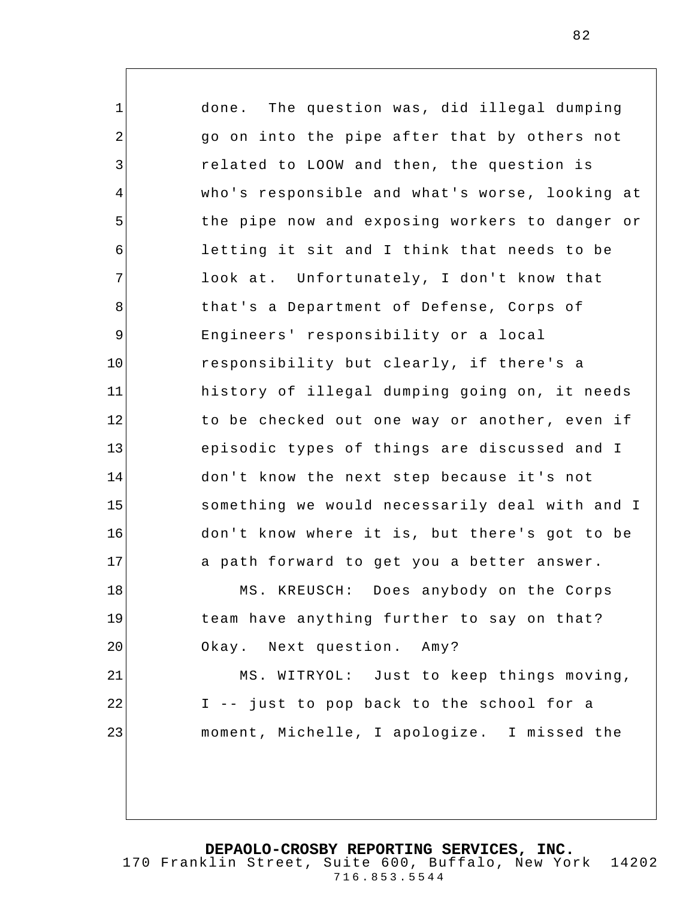1 2 3 4 5 6 7 8 9 10 11 12 13 14 15 16 17 18 19 20 21 22 23 done. The question was, did illegal dumping go on into the pipe after that by others not related to LOOW and then, the question is who's responsible and what's worse, looking at the pipe now and exposing workers to danger or letting it sit and I think that needs to be look at. Unfortunately, I don't know that that's a Department of Defense, Corps of Engineers' responsibility or a local responsibility but clearly, if there's a history of illegal dumping going on, it needs to be checked out one way or another, even if episodic types of things are discussed and I don't know the next step because it's not something we would necessarily deal with and I don't know where it is, but there's got to be a path forward to get you a better answer. MS. KREUSCH: Does anybody on the Corps team have anything further to say on that? Okay. Next question. Amy? MS. WITRYOL: Just to keep things moving, I -- just to pop back to the school for a moment, Michelle, I apologize. I missed the

**DEPAOLO-CROSBY REPORTING SERVICES, INC.**

170 Franklin Street, Suite 600, Buffalo, New York 14202 716.853.5544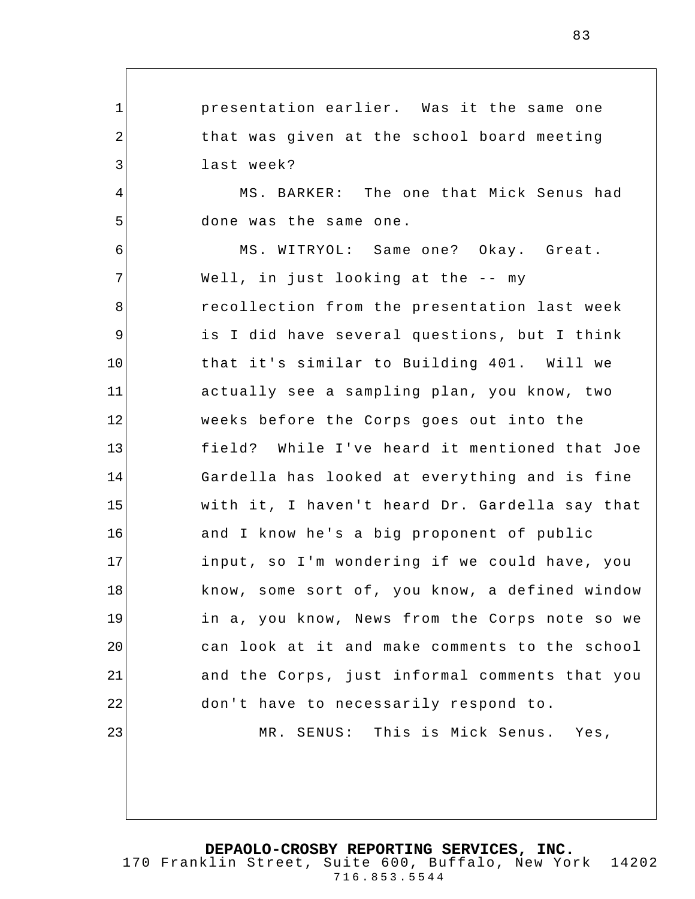1 2 3 4 5 6 7 8 9 10 11 12 13 14 15 16 17 18 19 20 21 22 23 presentation earlier. Was it the same one that was given at the school board meeting last week? MS. BARKER: The one that Mick Senus had done was the same one. MS. WITRYOL: Same one? Okay. Great. Well, in just looking at the -- my recollection from the presentation last week is I did have several questions, but I think that it's similar to Building 401. Will we actually see a sampling plan, you know, two weeks before the Corps goes out into the field? While I've heard it mentioned that Joe Gardella has looked at everything and is fine with it, I haven't heard Dr. Gardella say that and I know he's a big proponent of public input, so I'm wondering if we could have, you know, some sort of, you know, a defined window in a, you know, News from the Corps note so we can look at it and make comments to the school and the Corps, just informal comments that you don't have to necessarily respond to. MR. SENUS: This is Mick Senus. Yes,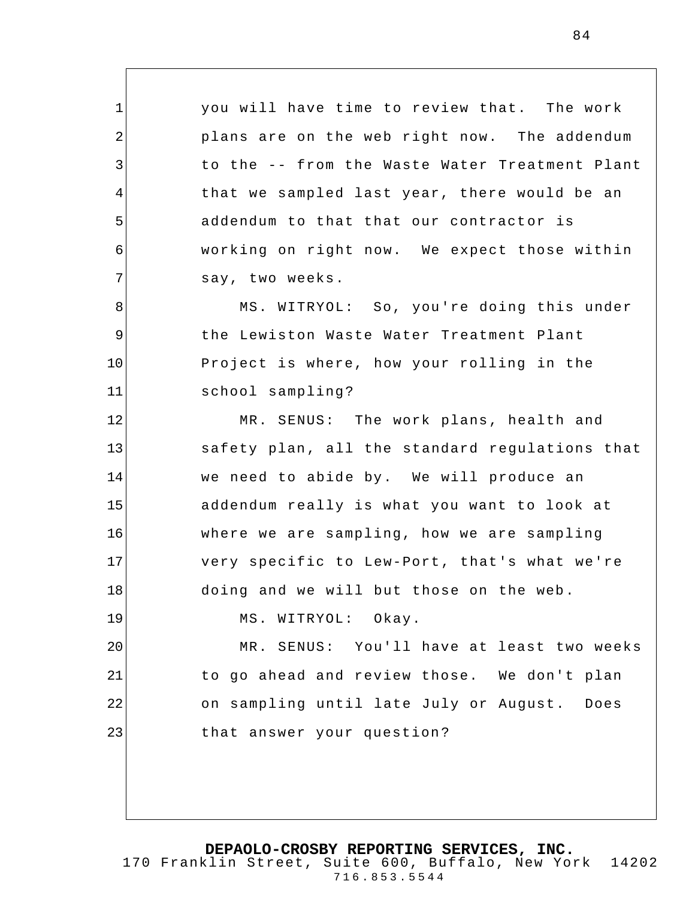you will have time to review that. The work plans are on the web right now. The addendum to the -- from the Waste Water Treatment Plant that we sampled last year, there would be an addendum to that that our contractor is working on right now. We expect those within say, two weeks.

1

2

3

4

5

6

7

8

9

10

11

MS. WITRYOL: So, you're doing this under the Lewiston Waste Water Treatment Plant Project is where, how your rolling in the school sampling?

12 13 14 15 16 17 18 19 20 MR. SENUS: The work plans, health and safety plan, all the standard regulations that we need to abide by. We will produce an addendum really is what you want to look at where we are sampling, how we are sampling very specific to Lew-Port, that's what we're doing and we will but those on the web. MS. WITRYOL: Okay. MR. SENUS: You'll have at least two weeks

21 22 23 to go ahead and review those. We don't plan on sampling until late July or August. Does that answer your question ?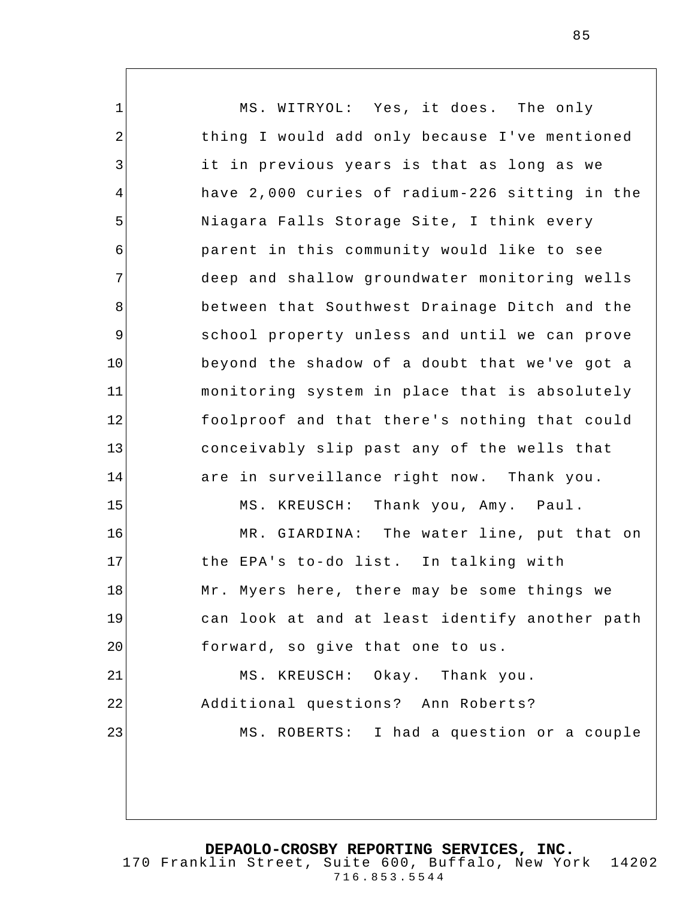1 2 3 4 5 6 7 8 9 10 11 12 13 14 15 16 17 18 19 20 21 22 23 MS. WITRYOL: Yes, it does. The only thing I would add only because I've mentioned it in previous years is that as long as we have 2,000 curies of radium-226 sitting in the Niagara Falls Storage Site, I think every parent in this community would like to see deep and shallow groundwater monitoring wells between that Southwest Drainage Ditch and the school property unless and until we can prove beyond the shadow of a doubt that we've got a monitoring system in place that is absolutely foolproof and that there's nothing that could conceivably slip past any of the wells that are in surveillance right now. Thank you. MS. KREUSCH: Thank you, Amy. Paul. MR. GIARDINA: The water line, put that on the EPA's to-do list. In talking with Mr. Myers here, there may be some things we can look at and at least identify another path forward, so give that one to us. MS. KREUSCH: Okay. Thank you. Additional questions? Ann Roberts? MS. ROBERTS: I had a question or a couple

**DEPAOLO-CROSBY REPORTING SERVICES, INC.**

170 Franklin Street, Suite 600, Buffalo, New York 14202 716.853.5544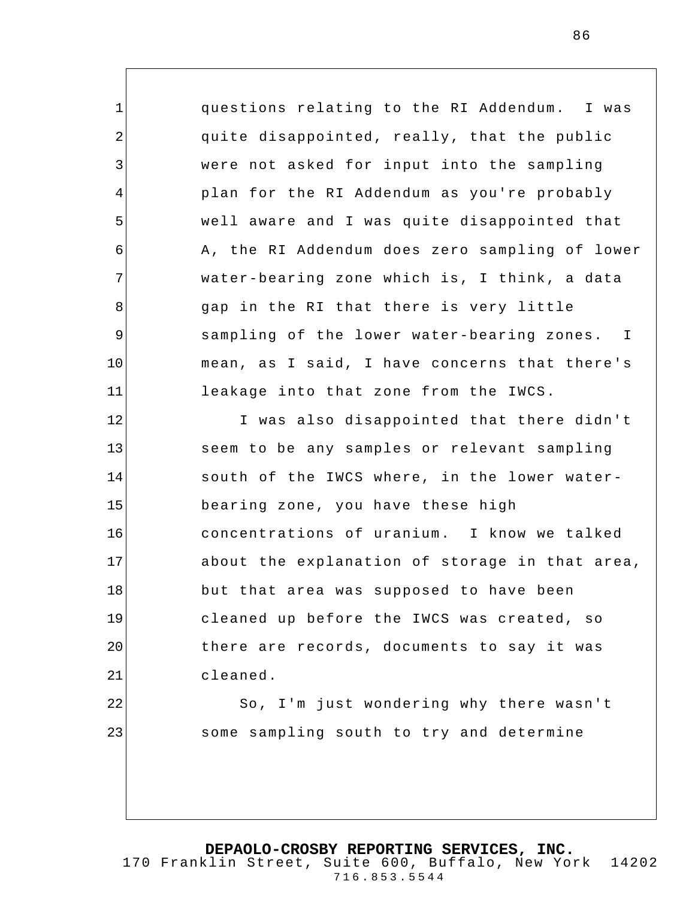questions relating to the RI Addendum. I was quite disappointed, really, that the public were not asked for input into the sampling plan for the RI Addendum as you're probably well aware and I was quite disappointed that A, the RI Addendum does zero sampling of lower water-bearing zone which is, I think, a data gap in the RI that there is very little sampling of the lower water-bearing zones. I mean, as I said, I have concerns that there's leakage into that zone from the IWCS.

1

2

3

4

5

6

7

8

9

10

11

22

23

12 13 14 15 16 17 18 19 20 21 I was also disappointed that there didn't seem to be any samples or relevant sampling south of the IWCS where, in the lower waterbearing zone, you have these high concentrations of uranium. I know we talked about the explanation of storage in that area, but that area was supposed to have been cleaned up before the IWCS was created, so there are records, documents to say it was cleaned.

> So, I'm just wondering why there wasn't some sampling south to try and determine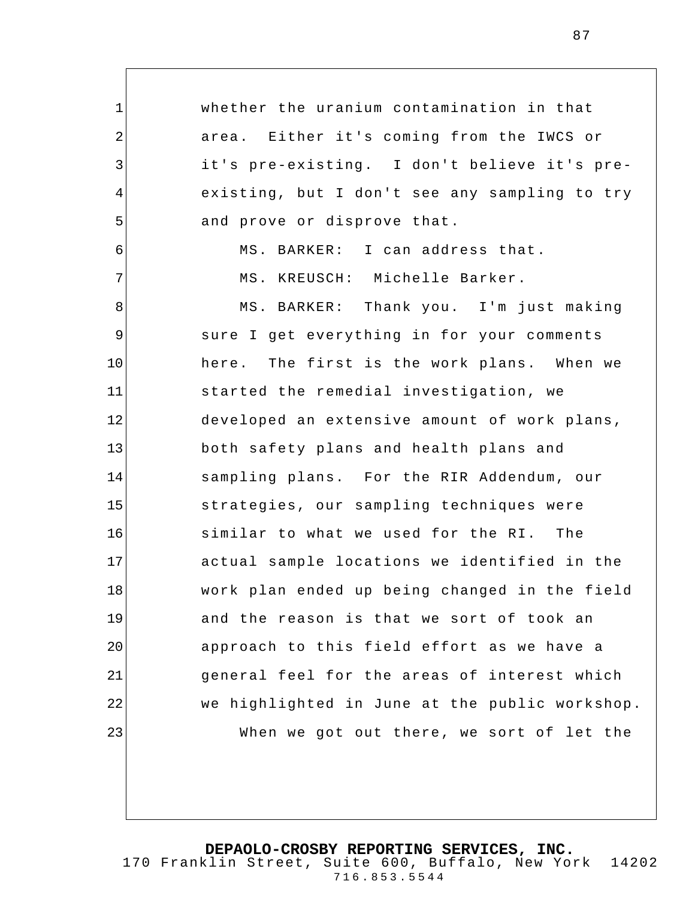1 2 3 4 5 6 7 8 9 10 11 12 13 14 15 16 17 18 19 20 21 22 23 whether the uranium contamination in that area. Either it's coming from the IWCS or it's pre-existing. I don't believe it's preexisting, but I don't see any sampling to try and prove or disprove that. MS. BARKER: I can address that. MS. KREUSCH: Michelle Barker. MS. BARKER: Thank you. I'm just making sure I get everything in for your comments here. The first is the work plans. When we started the remedial investigation, we developed an extensive amount of work plans, both safety plans and health plans and sampling plans. For the RIR Addendum, our strategies, our sampling techniques were similar to what we used for the RI. The actual sample locations we identified in the work plan ended up being changed in the field and the reason is that we sort of took an approach to this field effort as we have a general feel for the areas of interest which we highlighted in June at the public workshop. When we got out there, we sort of let the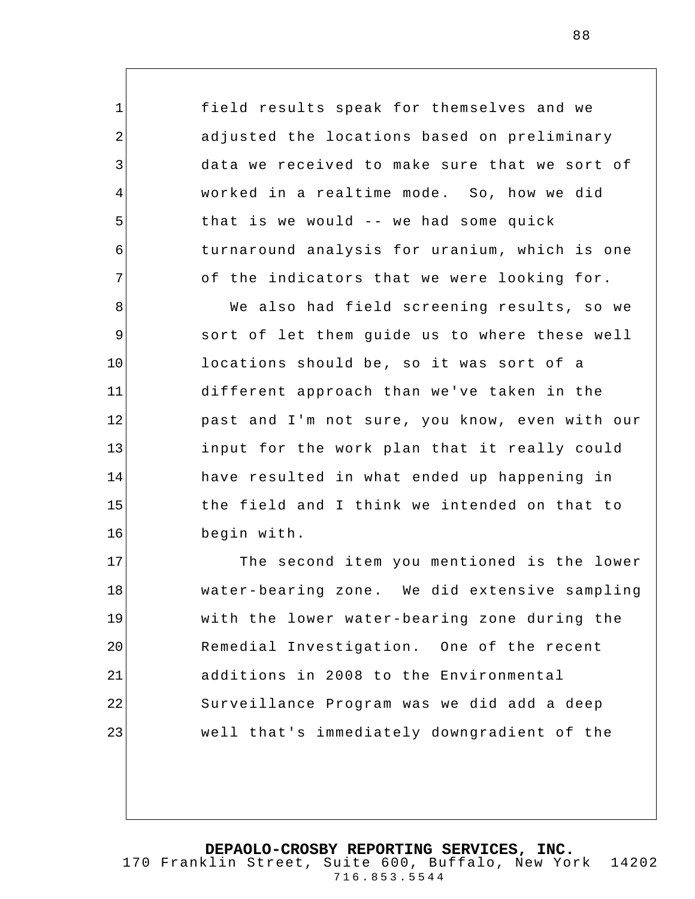field results speak for themselves and we adjusted the locations based on preliminary data we received to make sure that we sort of worked in a realtime mode. So, how we did that is we would -- we had some quick turnaround analysis for uranium, which is one of the indicators that we were looking for.

1

2

3

4

5

6

7

8 9 10 11 12 13 14 15 16 We also had field screening results, so we sort of let them guide us to where these well locations should be, so it was sort of a different approach than we've taken in the past and I'm not sure, you know, even with our input for the work plan that it really could have resulted in what ended up happening in the field and I think we intended on that to begin with.

17 18 19 20 21 22 23 The second item you mentioned is the lower water-bearing zone. We did extensive sampling with the lower water-bearing zone during the Remedial Investigation. One of the recent additions in 2008 to the Environmental Surveillance Program was we did add a deep well that's immediately downgradient of the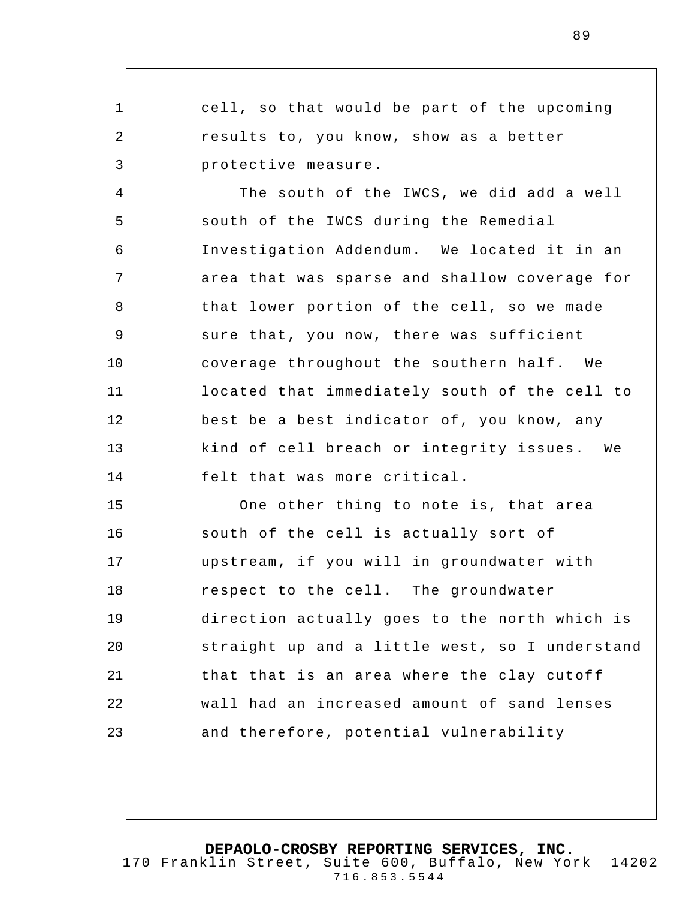1 2 3 4 5 6 7 8 9 10 11 12 13 14 15 16 17 18 19 20 21 cell, so that would be part of the upcoming results to, you know, show as a better protective measure. The south of the IWCS, we did add a well south of the IWCS during the Remedial Investigation Addendum. We located it in an area that was sparse and shallow coverage for that lower portion of the cell, so we made sure that, you now, there was sufficient coverage throughout the southern half. We located that immediately south of the cell to best be a best indicator of, you know, any kind of cell breach or integrity issues. We felt that was more critical. One other thing to note is, that area south of the cell is actually sort of upstream, if you will in groundwater with respect to the cell. The groundwater direction actually goes to the north which is straight up and a little west, so I understand that that is an area where the clay cutoff

**DEPAOLO-CROSBY REPORTING SERVICES, INC.** 170 Franklin Street, Suite 600, Buffalo, New York 14202 716.853.5544

wall had an increased amount of sand lenses

and therefore, potential vulnerability

22

23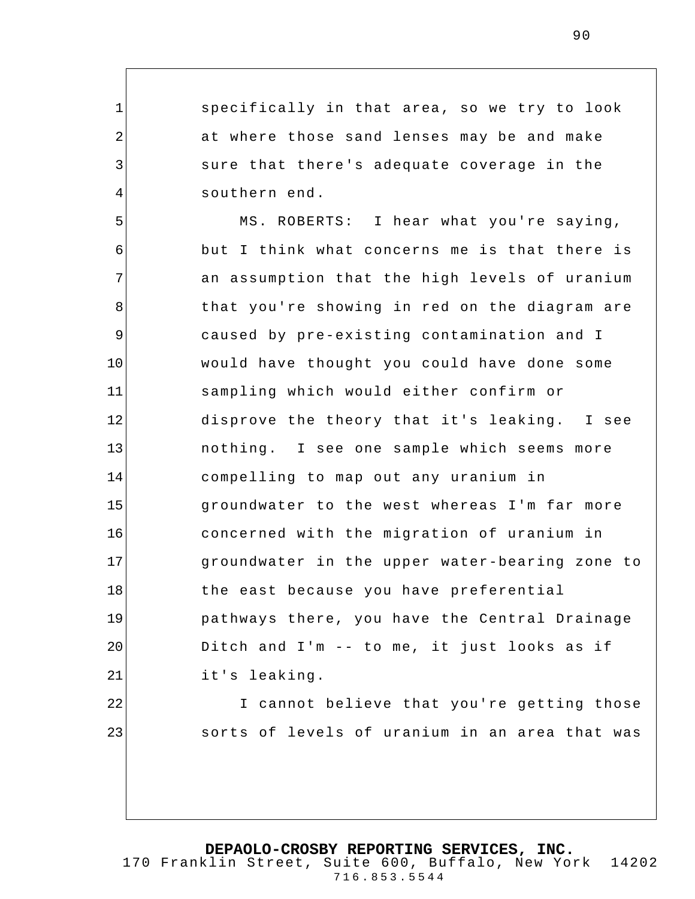specifically in that area, so we try to look at where those sand lenses may be and make sure that there's adequate coverage in the southern end.

1

2

3

4

22

23

5 6 7 8 9 10 11 12 13 14 15 16 17 18 19 20 21 MS. ROBERTS: I hear what you're saying, but I think what concerns me is that there is an assumption that the high levels of uranium that you're showing in red on the diagram are caused by pre-existing contamination and I would have thought you could have done some sampling which would either confirm or disprove the theory that it's leaking. I see nothing. I see one sample which seems more compelling to map out any uranium in groundwater to the west whereas I'm far more concerned with the migration of uranium in groundwater in the upper water-bearing zone to the east because you have preferential pathways there, you have the Central Drainage Ditch and I'm -- to me, it just looks as if it's leaking.

> I cannot believe that you're getting those sorts of levels of uranium in an area that was

**DEPAOLO-CROSBY REPORTING SERVICES, INC.**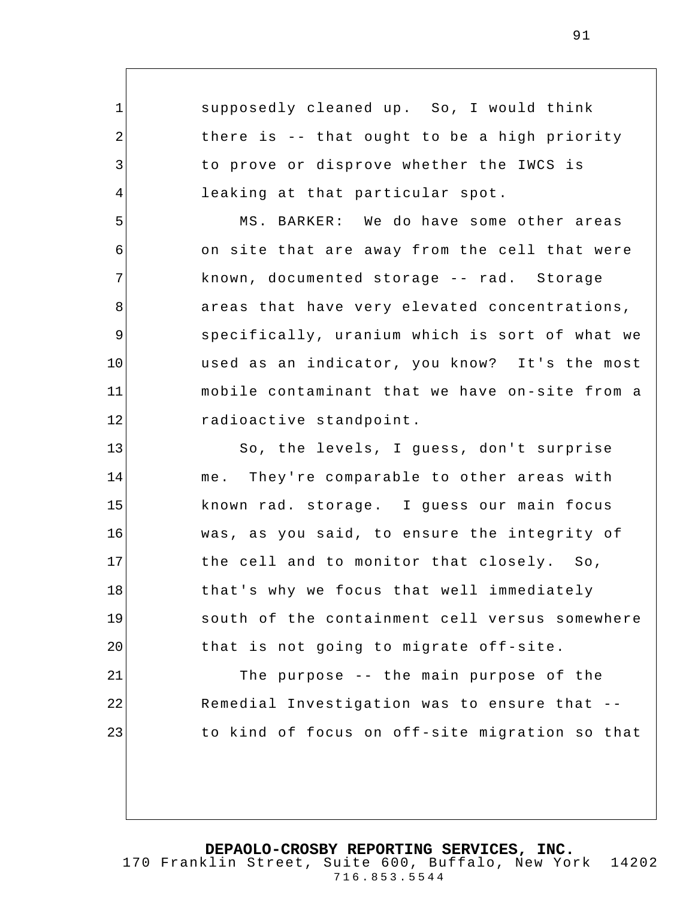supposedly cleaned up. So, I would think there is -- that ought to be a high priority to prove or disprove whether the IWCS is leaking at that particular spot.

1

2

3

4

5

6

7

8

9

10

11

12

21

22

23

MS. BARKER: We do have some other areas on site that are away from the cell that were known, documented storage -- rad. Storage areas that have very elevated concentrations, specifically, uranium which is sort of what we used as an indicator, you know? It's the most mobile contaminant that we have on-site from a radioactive standpoint.

13 14 15 16 17 18 19 20 So, the levels, I guess, don't surprise me. They're comparable to other areas with known rad. storage. I guess our main focus was, as you said, to ensure the integrity of the cell and to monitor that closely. So, that's why we focus that well immediately south of the containment cell versus somewhere that is not going to migrate off-site.

The purpose -- the main purpose of the Remedial Investigation was to ensure that - to kind of focus on off-site migration so that

716.853.5544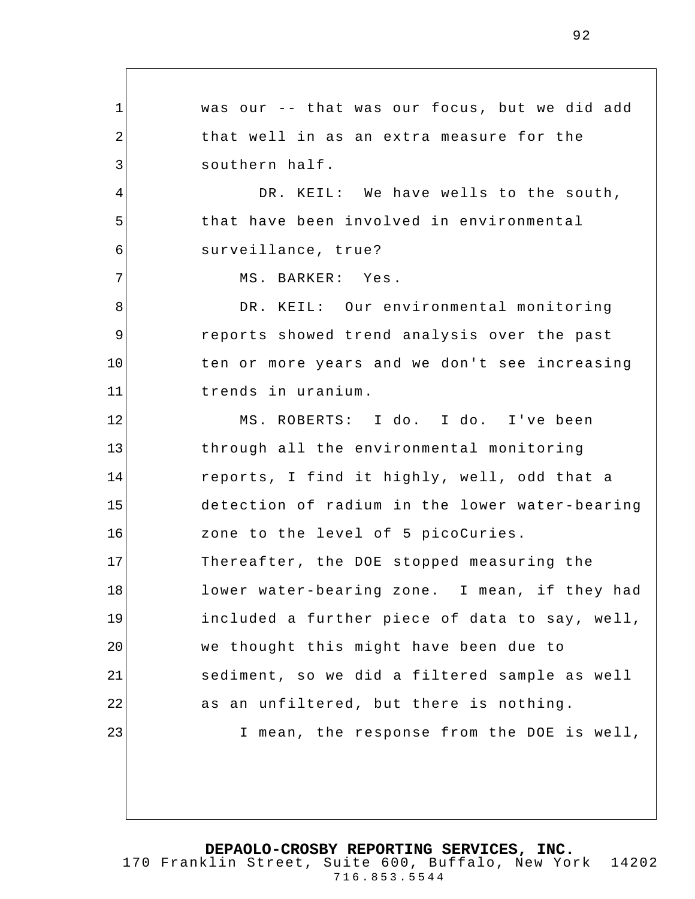1 2 3 4 5 6 7 8 9 10 11 12 13 14 15 16 17 18 19 20 21 22 23 was our -- that was our focus, but we did add that well in as an extra measure for the southern half. DR. KEIL: We have wells to the south, that have been involved in environmental surveillance, true? MS. BARKER: Yes . DR. KEIL: Our environmental monitoring reports showed trend analysis over the past ten or more years and we don't see increasing trends in uranium. MS. ROBERTS: I do. I do. I've been through all the environmental monitoring reports, I find it highly, well, odd that a detection of radium in the lower water-bearing zone to the level of 5 picoCuries. Thereafter, the DOE stopped measuring the lower water-bearing zone. I mean, if they had included a further piece of data to say, well, we thought this might have been due to sediment, so we did a filtered sample as well as an unfiltered, but there is nothing. I mean, the response from the DOE is well,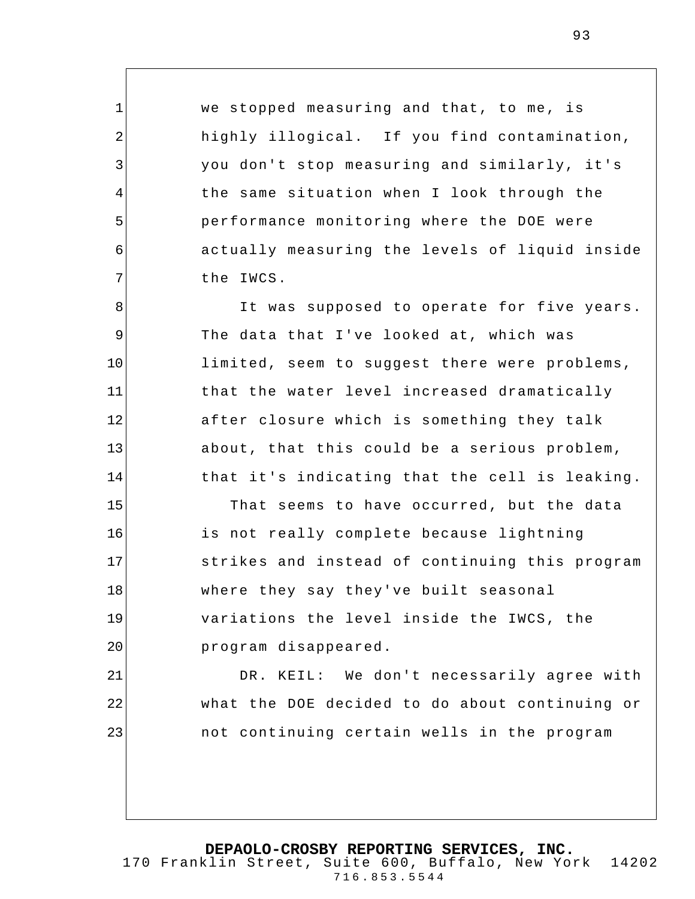we stopped measuring and that, to me, is highly illogical. If you find contamination, you don't stop measuring and similarly, it's the same situation when I look through the performance monitoring where the DOE were actually measuring the levels of liquid inside the IWCS.

1

2

3

4

5

6

7

8

9

10

11

12

13

14

21

22

23

It was supposed to operate for five years. The data that I've looked at, which was limited, seem to suggest there were problems, that the water level increased dramatically after closure which is something they talk about, that this could be a serious problem, that it's indicating that the cell is leaking.

15 16 17 18 19 20 That seems to have occurred, but the data is not really complete because lightning strikes and instead of continuing this program where they say they've built seasonal variations the level inside the IWCS, the program disappeared.

DR. KEIL: We don't necessarily agree with what the DOE decided to do about continuing or not continuing certain wells in the program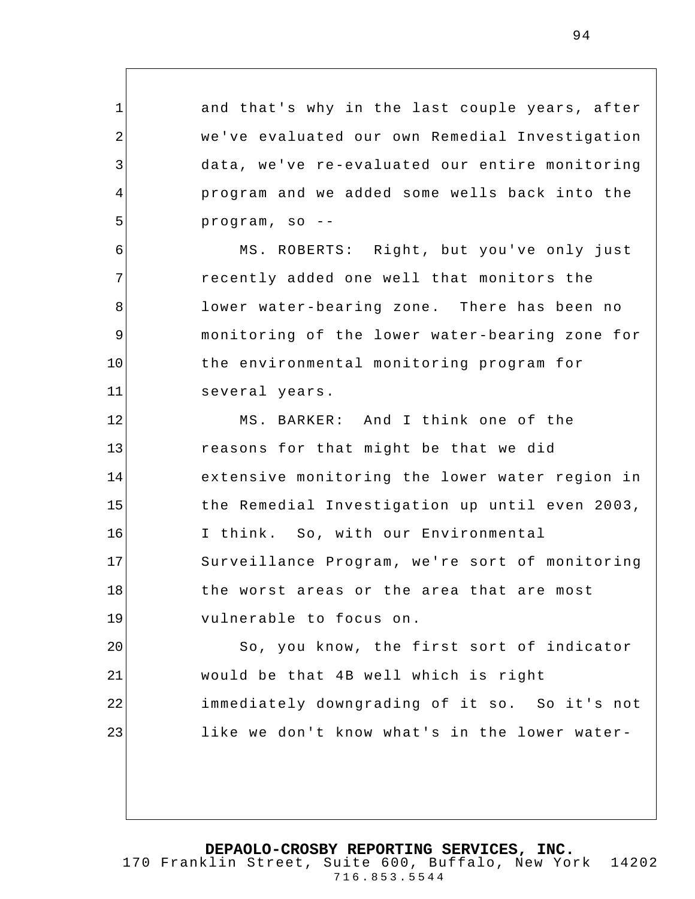and that's why in the last couple years, after we've evaluated our own Remedial Investigation data, we've re-evaluated our entire monitoring program and we added some wells back into the program, so --

1

2

3

4

5

6

7

8

9

10

11

MS. ROBERTS: Right, but you've only just recently added one well that monitors the lower water-bearing zone. There has been no monitoring of the lower water-bearing zone for the environmental monitoring program for several years.

12 13 14 15 16 17 18 19 MS. BARKER: And I think one of the reasons for that might be that we did extensive monitoring the lower water region in the Remedial Investigation up until even 2003, I think. So, with our Environmental Surveillance Program, we're sort of monitoring the worst areas or the area that are most vulnerable to focus on.

20 21 22 23 So, you know, the first sort of indicator would be that 4B well which is right immediately downgrading of it so. So it's not like we don't know what's in the lower water-

**DEPAOLO-CROSBY REPORTING SERVICES, INC.**

170 Franklin Street, Suite 600, Buffalo, New York 14202 716.853.5544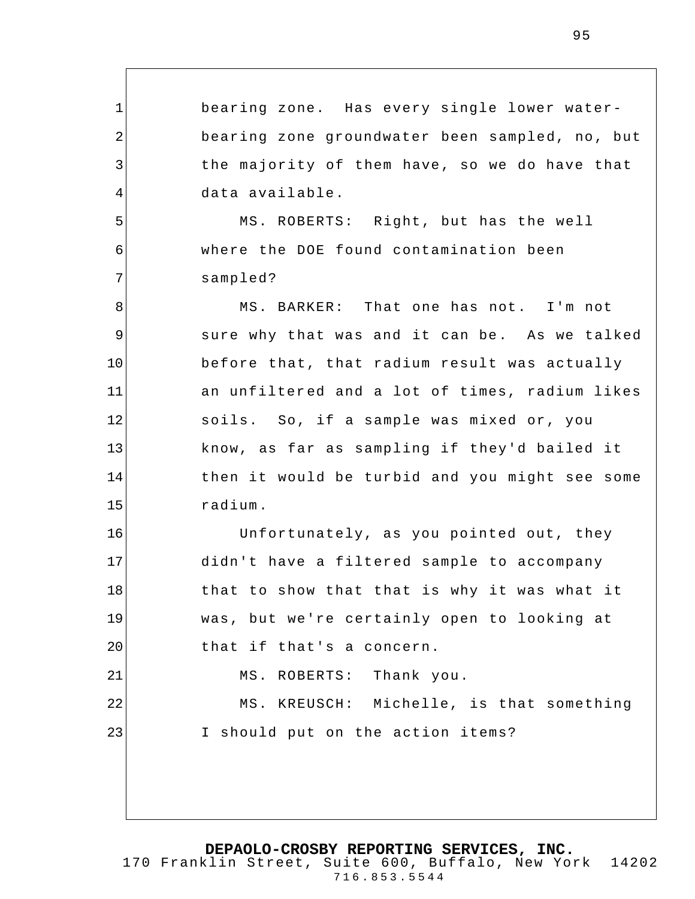bearing zone. Has every single lower waterbearing zone groundwater been sampled, no, but the majority of them have, so we do have that data available.

MS. ROBERTS: Right, but has the well where the DOE found contamination been sampled?

1

2

3

4

5

6

7

16

17

18

19

20

21

8 9 10 11 12 13 14 15 MS. BARKER: That one has not. I'm not sure why that was and it can be. As we talked before that, that radium result was actually an unfilter ed and a lot of times, radium likes soils. So, if a sample was mixed or, you know, as far as sampling if they'd bailed it then it would be turbid and you might see some radium.

Unfortunately, as you pointed out, they didn't have a filtered sample to accompany that to show that that is why it was what it was, but we're certainly open to looking at that if that's a concern. MS. ROBERTS: Thank you.

22 23 MS. KREUSCH: Michelle, is that something I should put on the action items?

**DEPAOLO-CROSBY REPORTING SERVICES, INC.**

170 Franklin Street, Suite 600, Buffalo, New York 14202 716.853.5544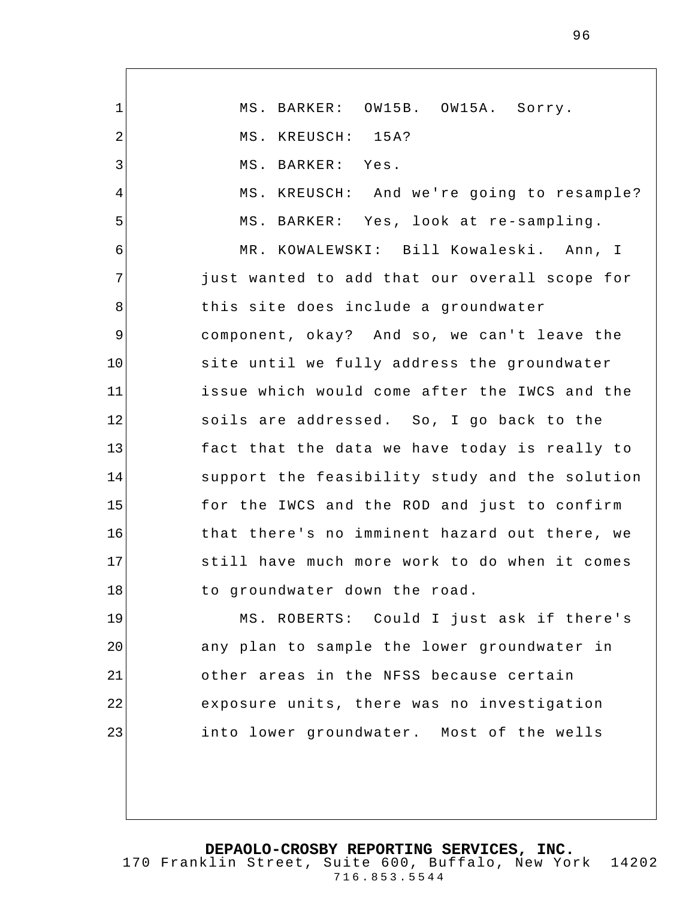1 2 3 4 5 6 7 8 9 10 11 12 13 14 15 16 17 18 19 20 21 22 23 MS. BARKER: OW15B. OW15A. Sorry. MS. KREUSCH: 15A? MS. BARKER: Yes. MS. KREUSCH: And we're going to resample? MS. BARKER: Yes, look at re-sampling. MR. KOWALEWSKI: Bill Kowaleski. Ann, I just wanted to add that our overall scope for this site does include a groundwater component, okay? And so, we can't leave the site until we fully address the groundwater issue which would come after the IWCS and the soils are addressed. So, I go back to the fact that the data we have today is really to support the feasibility study and the solution for the IWCS and the ROD and just to confirm that there's no imminent hazard out there, we still have much more work to do when it comes to groundwater down the road. MS. ROBERTS: Could I just ask if there's any plan to sample the lower groundwater in other areas in the NFSS because certain exposure units, there was no investigation into lower groundwater. Most of the wells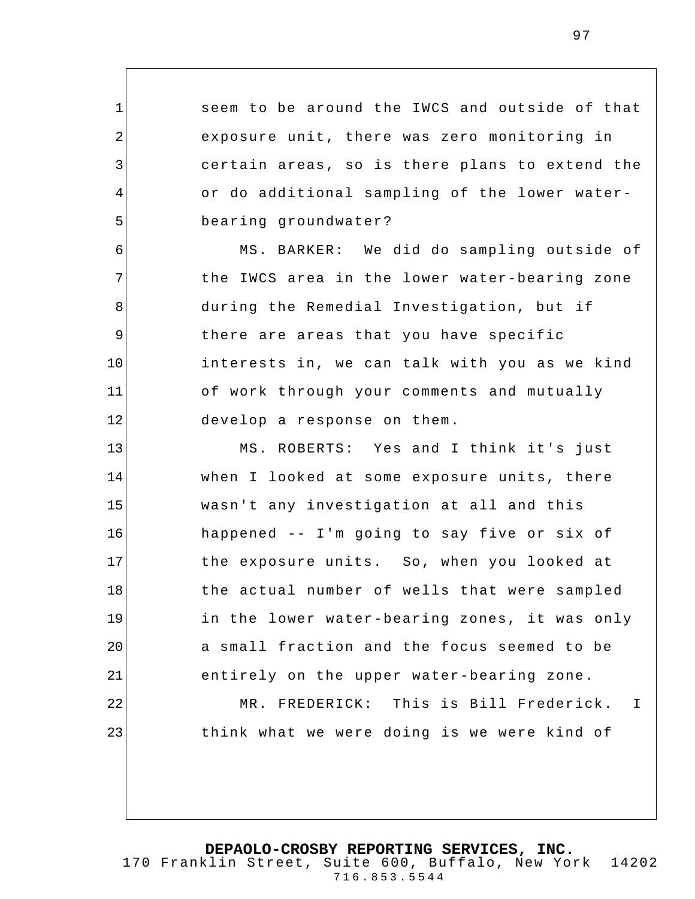seem to be around the IWCS and outside of that exposure unit, there was zero monitoring in certain areas, so is there plans to extend the or do additional sampling of the lower waterbearing groundwater?

1

2

3

4

5

6

7

8

10

11

22

23

9 12 MS. BARKER: We did do sampling outside of the IWCS area in the lower water-bearing zone during the Remedial Investigation, but if there are areas that you have specific interests in, we can talk with you as we kind of work through your comments and mutually develop a response on them.

13 14 15 16 17 18 19 20 21 MS. ROBERTS: Yes and I think it's just when I looked at some exposure units, there wasn't any investigation at all and this happened -- I'm going to say five or six of the exposure units. So, when you looked at the actual number of wells that were sampled in the lower water-bearing zones, it was only a small fraction and the focus seemed to be entirely on the upper water-bearing zone.

> MR. FREDERICK: This is Bill Frederick. I think what we were doing is we were kind of

**DEPAOLO-CROSBY REPORTING SERVICES, INC.**

170 Franklin Street, Suite 600, Buffalo, New York 14202 716.853.5544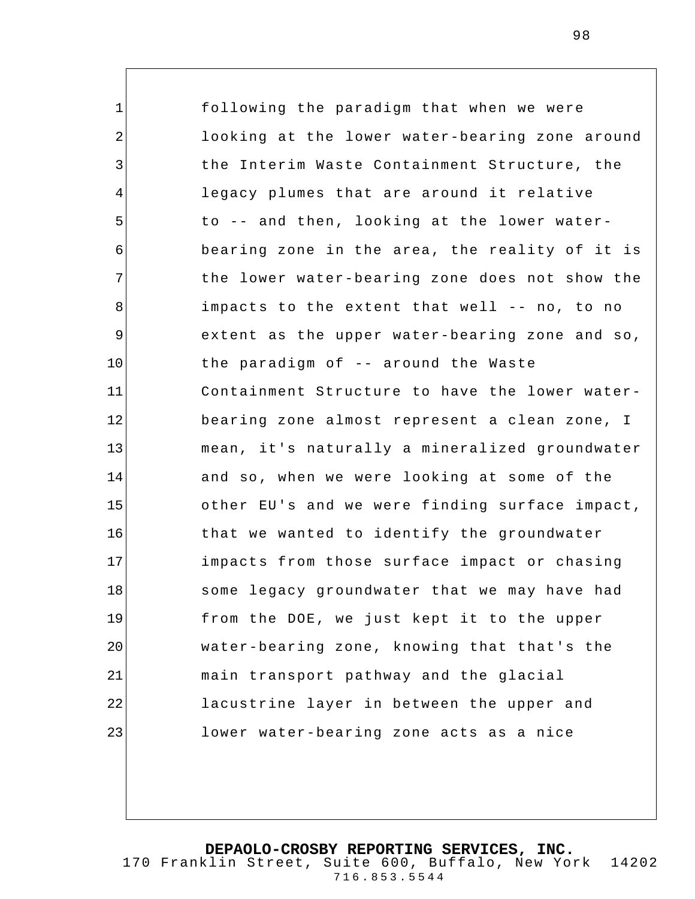1 2 3 4 5 6 7 8 9 10 11 12 13 14 15 16 17 18 19 20 21 22 23 following the paradigm that when we were looking at the lower water-bearing zone around the Interim Waste Containment Structure, the legacy plumes that are around it relative to -- and then, looking at the lower waterbearing zone in the area, the reality of it is the lower water-bearing zone does not show the impacts to the extent that well -- no, to no extent as the upper water-bearing zone and so, the paradigm of -- around the Waste Containment Structure to have the lower waterbearing zone almost represent a clean zone, I mean, it's naturally a mineralized groundwater and so, when we were looking at some of the other EU's and we were finding surface impact, that we wanted to identify the groundwater impacts from those surface impact or chasing some legacy groundwater that we may have had from the DOE, we just kept it to the upper water-bearing zone, knowing that that's the main transport pathway and the glacial lacustrine layer in between the upper and lower water-bearing zone acts as a nice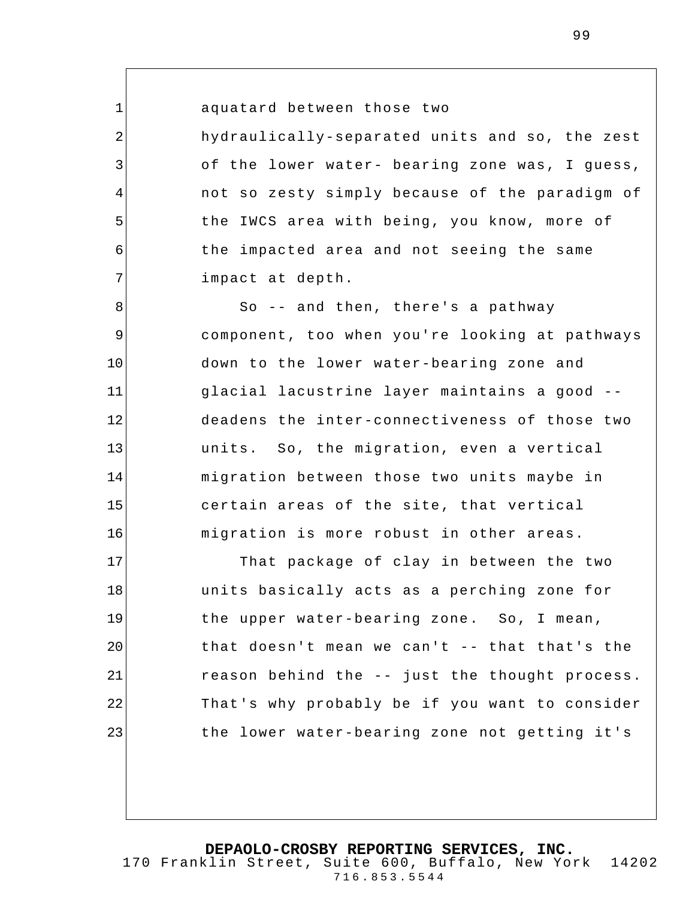aquatard between those two

1

2

3

4

5

6

7

hydraulically-separated units and so, the zest of the lower water- bearing zone was, I guess, not so zesty simply because of the paradigm of the IWCS area with being, you know, more of the impacted area and not seeing the same impact at depth.

8 9 10 11 12 13 14 15 16 So -- and then, there's a pathway component, too when you're looking at pathways down to the lower water-bearing zone and glacial lacustrine layer maintains a good - deadens the inter-connectiveness of those two units. So, the migration, even a vertical migration between those two units maybe in certain areas of the site, that vertical migration is more robust in other areas.

17 18 19 20 21 22 23 That package of clay in between the two units basically acts as a perching zone for the upper water-bearing zone. So, I mean, that doesn't mean we can't -- that that's the reason behind the -- just the thought process. That's why probably be if you want to consider the lower water-bearing zone not getting it's

**DEPAOLO-CROSBY REPORTING SERVICES, INC.**

170 Franklin Street, Suite 600, Buffalo, New York 14202 716.853.5544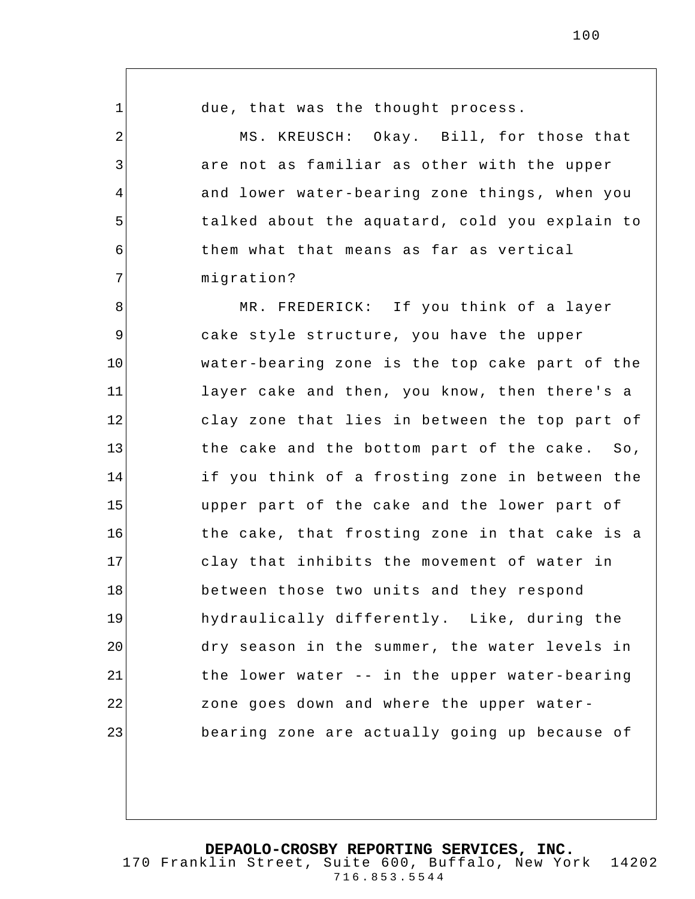1 2 3 4 5 6 7 8 9 10 11 12 13 14 15 16 17 18 19 20 due, that was the thought process. MS. KREUSCH: Okay. Bill, for those that are not as familiar as other with the upper and lower water-bearing zone things , when you talked about the aquatard, cold you explain to them what that means as far as vertical migration? MR. FREDERICK: If you think of a layer cake style structure, you have the upper water-bearing zone is the top cake part of the layer cake and then, you know, then there's a clay zone that lies in between the top part of the cake and the bottom part of the cake. So, if you think of a frosting zone in between the upper part of the cake and the lower part of the cake, that frosting zone in that cake is a clay that inhibits the movement of water in between those two units and they respond hydraulically differently. Like, during the dry season in the summer, the water levels in

the lower water -- in the upper water-bearing zone goes down and where the upper waterbearing zone are actually going up because of

21

22

23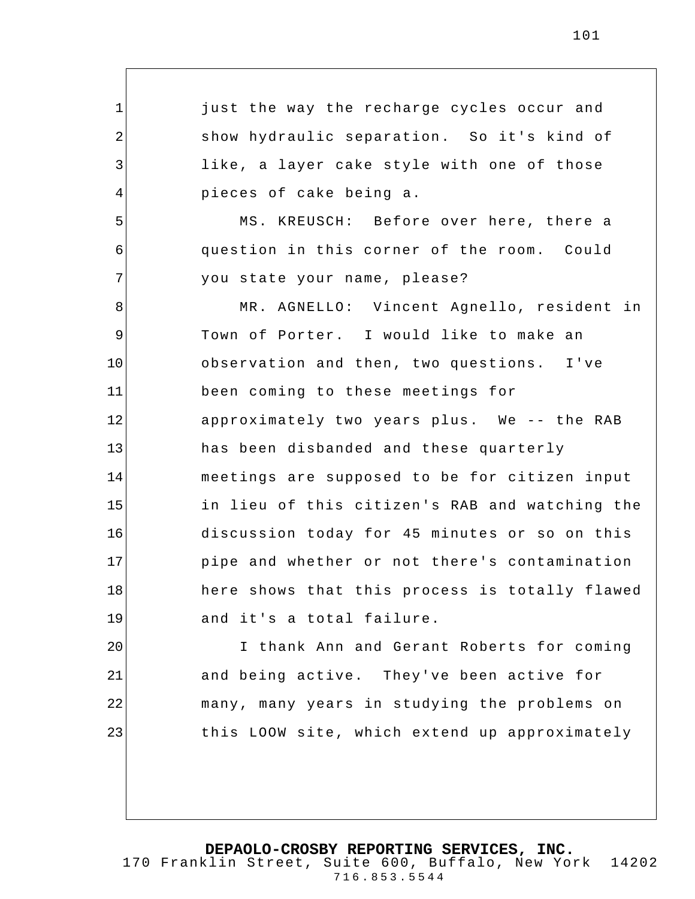1 2 3 4 5 6 7 8 9 10 11 12 13 14 15 16 17 18 19 20 just the way the recharge cycles occur and show hydraulic separation. So it's kind of like, a layer cake style with one of those pieces of cake being a. MS. KREUSCH: Before over here, there a question in this corner of the room. Could you state your name, please? MR. AGNELLO: Vincent Agnello, resident in Town of Porter. I would like to make an observation and then, two questions. I've been coming to these meetings for approximately two years plus. We -- the RAB has been disbanded and these quarterly meetings are supposed to be for citizen input in lieu of this citizen's RAB and watching the discussion today for 45 minutes or so on this pipe and whether or not there's contamination here shows that this process is totally flawed and it's a total failure. I thank Ann and Gerant Roberts for coming

21 22 23 and being active. They've been active for many, many years in studying the problems on this LOOW site, which extend up approximately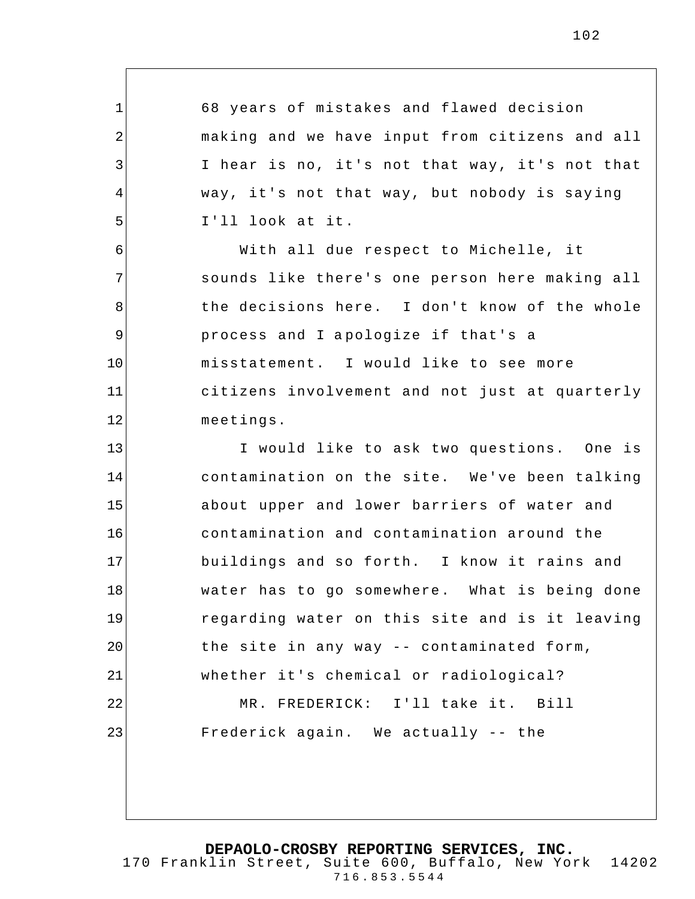1 2 3 4 5 6 7 8 9 10 11 12 13 14 15 16 17 18 19 20 21 22 23 68 years of mistakes and flawed decision making and we have input from citizens and all I hear is no, it's not that way, it's not that way, it's not that way, but nobody is saying I'll look at it. With all due respect to Michelle, it sounds like there's one person here making all the decisions here. I don't know of the whole process and I apologize if that's a misstatement. I would like to see more citizens involvement and not just at quarterly meetings. I would like to ask two questions. One is contamination on the site. We've been talking about upper and lower barriers of water and contamination and contamination around the buildings and so forth. I know it rains and water has to go somewhere. What is being done regarding water on this site and is it leaving the site in any way -- contaminated form, whether it's chemical or radiological? MR. FREDERICK: I'll take it. Bill Frederick again. We actually -- the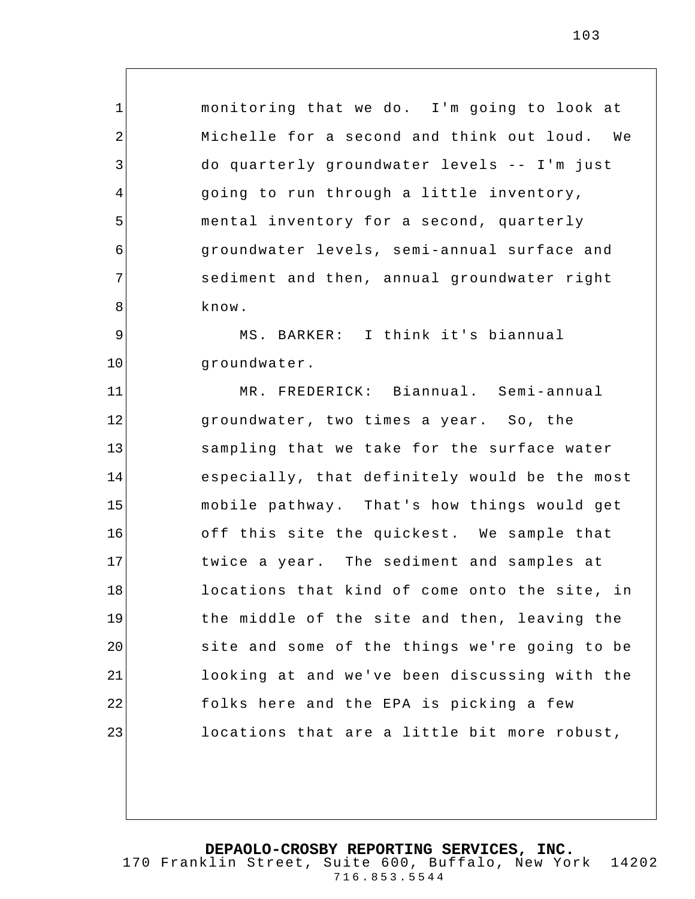monitoring that we do. I'm going to look at Michelle for a second and think out loud. We do quarterly groundwater levels -- I'm just going to run through a little inventory, mental inventory for a second, quarterly groundwater levels, semi-annual surface and sediment and then, annual groundwater right know.

9 10 MS. BARKER: I think it's biannual groundwater.

1

2

3

4

5

6

7

8

11 12 13 14 15 16 17 18 19 20 21 22 23 MR. FREDERICK: Biannual. Semi-annual groundwater, two times a year. So, the sampling that we take for the surface water especially, that definitely would be the most mobile pathway. That's how things would get off this site the quickest. We sample that twice a year. The sediment and samples at locations that kind of come onto the site, in the middle of the site and then, leaving the site and some of the things we're going to be looking at and we've been discussing with the folks here and the EPA is picking a few locations that are a little bit more robust,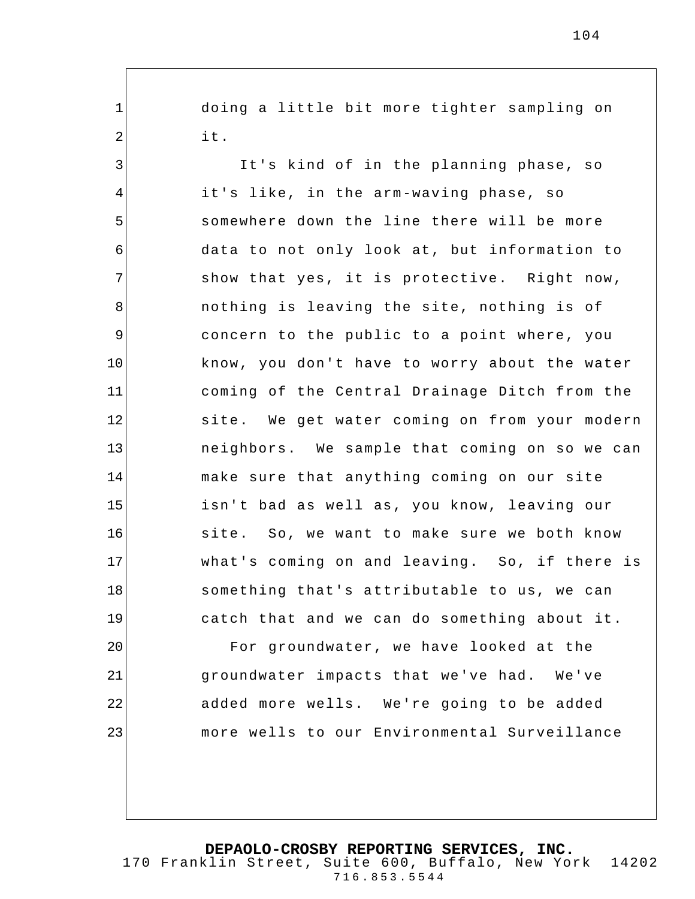doing a little bit more tighter sampling on it.

1

2

23

3 4 5 6 7 8 9 10 11 12 13 14 15 16 17 18 19 20 21 22 It's kind of in the planning phase, so it's like, in the arm-waving phase, so somewhere down the line there will be more data to not only look at, but information to show that yes, it is protective. Right now, nothing is leaving the site, nothing is of concern to the public to a point where, you know, you don't have to worry about the water coming of the Central Drainage Ditch from the site. We get water coming on from your modern neighbors. We sample that coming on so we can make sure that anything coming on our site isn't bad as well as, you know, leaving our site. So, we want to make sure we both know what's coming on and leaving. So, if there is something that's attributable to us, we can catch that and we can do something about it. For groundwater, we have looked at the groundwater impacts that we've had. We've added more wells. We're going to be added

**DEPAOLO-CROSBY REPORTING SERVICES, INC.** 170 Franklin Street, Suite 600, Buffalo, New York 14202 716.853.5544

more wells to our Environmental Surveillance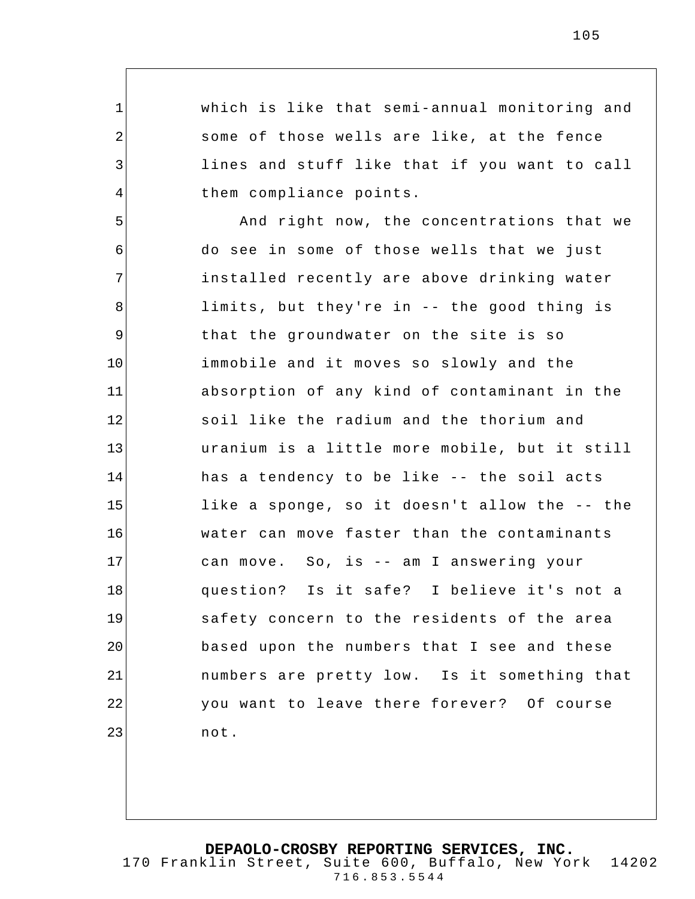which is like that semi-annual monitoring and some of those wells are like, at the fence lines and stuff like that if you want to call them compliance points.

1

2

3

4

5 6 7 8 9 10 11 12 13 14 15 16 17 18 19 20 21 22 23 And right now, the concentrations that we do see in some of those wells that we just installed recently are above drinking water limits, but they're in -- the good thing is that the groundwater on the site is so immobile and it moves so slowly and the absorption of any kind of contaminant in the soil like the radium and the thorium and uranium is a little more mobile, but it still has a tendency to be like -- the soil acts like a sponge, so it doesn't allow the -- the water can move faster than the contaminants can move. So, is -- am I answering your question? Is it safe? I believe it's not a safety concern to the residents of the area based upon the numbers that I see and these numbers are pretty low. Is it something that you want to leave there forever? Of course not.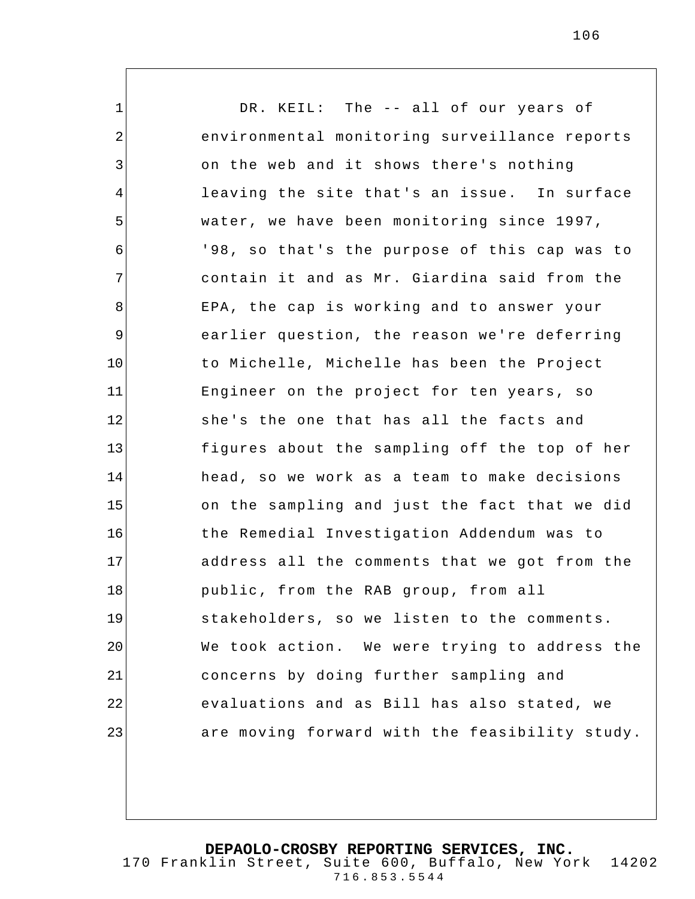1 2 3 4 5 6 7 8 9 10 11 12 13 14 15 16 17 18 19 20 21 22 23 DR. KEIL: The -- all of our years of environmental monitoring surveillance reports on the web and it shows there's nothing leaving the site that's an issue. In surface water, we have been monitoring since 1997, '98, so that's the purpose of this cap was to contain it and as Mr. Giardina said from the EPA, the cap is working and to answer your earlier question, the reason we're deferring to Michelle, Michelle has been the Project Engineer on the project for ten years, so she's the one that has all the facts and figures about the sampling off the top of her head, so we work as a team to make decisions on the sampling and just the fact that we did the Remedial Investigation Addendum was to address all the comments that we got from the public, from the RAB group, from all stakeholders, so we listen to the comments. We took action. We were trying to address the concerns by doing further sampling and evaluations and as Bill has also stated, we are moving forward with the feasibility study.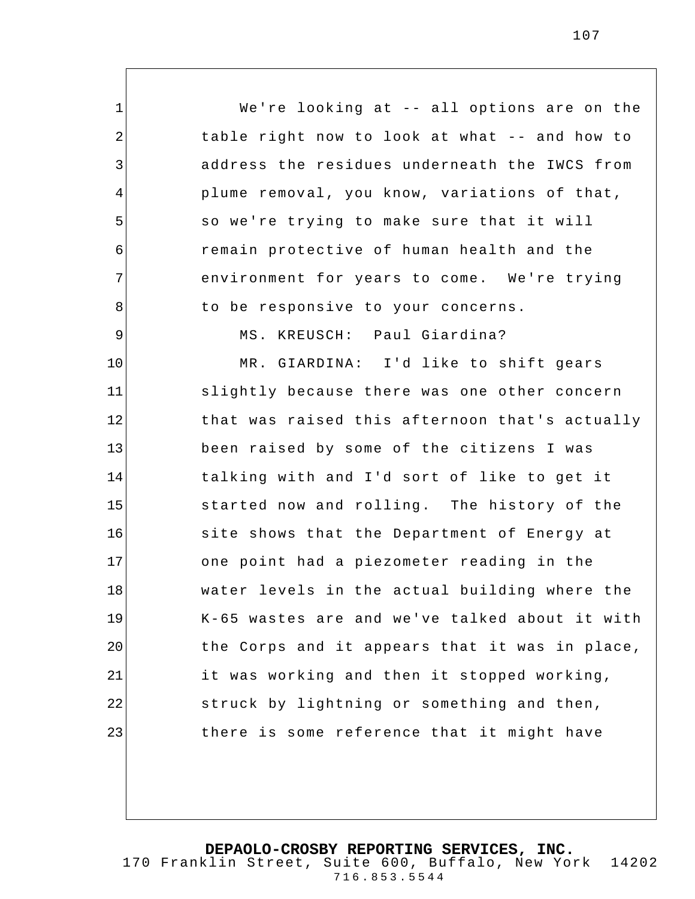1 2 3 4 5 6 7 8 9 10 11 12 13 14 15 16 17 18 19 20 21 22 23 We're looking at -- all options are on the table right now to look at what -- and how to address the residues underneath the IWCS from plume removal, you know, variations of that, so we're trying to make sure that it will remain protective of human health and the environment for years to come. We're trying to be responsive to your concerns. MS. KREUSCH: Paul Giardina? MR. GIARDINA: I'd like to shift gears slightly because there was one other concern that was raised this afternoon that's actually been raised by some of the citizens I was talking with and I'd sort of like to get it started now and rolling. The history of the site shows that the Department of Energy at one point had a piezometer reading in the water levels in the actual building where the K-65 wastes are and we've talked about it with the Corps and it appears that it was in place, it was working and then it stopped working, struck by lightning or something and then, there is some reference that it might have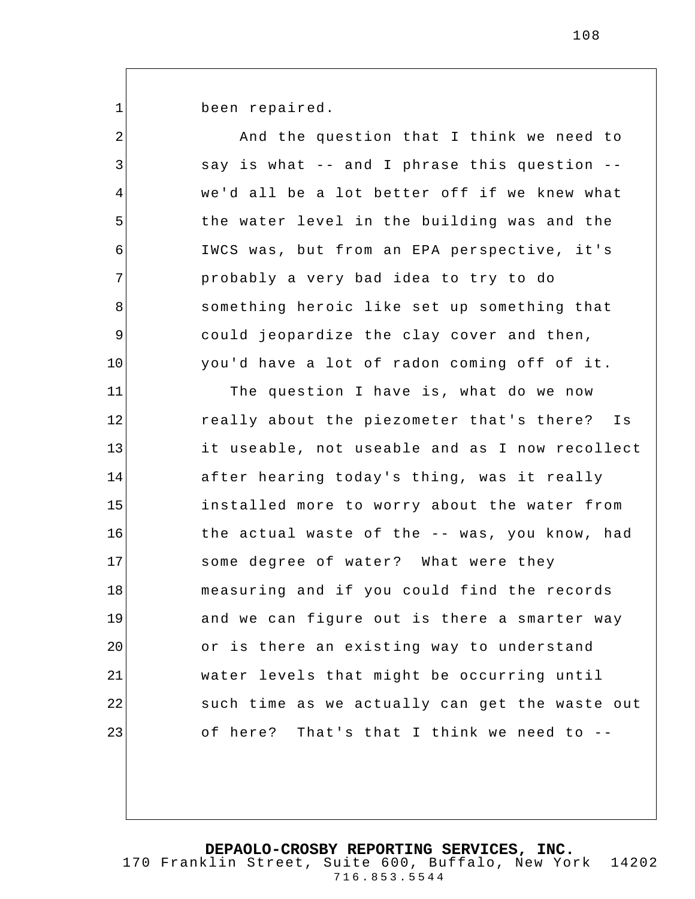1

been repaired.

| $\overline{2}$ | And the question that I think we need to       |
|----------------|------------------------------------------------|
| 3              | say is what -- and I phrase this question --   |
| 4              | we'd all be a lot better off if we knew what   |
| 5              | the water level in the building was and the    |
| 6              | IWCS was, but from an EPA perspective, it's    |
| 7              | probably a very bad idea to try to do          |
| 8              | something heroic like set up something that    |
| 9              | could jeopardize the clay cover and then,      |
| 10             | you'd have a lot of radon coming off of it.    |
| 11             | The question I have is, what do we now         |
| 12             | really about the piezometer that's there? Is   |
| 13             | it useable, not useable and as I now recollect |
| 14             | after hearing today's thing, was it really     |
| 15             | installed more to worry about the water from   |
| 16             | the actual waste of the -- was, you know, had  |
| 17             | some degree of water? What were they           |
| 18             | measuring and if you could find the records    |
| 19             | and we can figure out is there a smarter way   |
| 20             | or is there an existing way to understand      |
| 21             | water levels that might be occurring until     |
| 22             | such time as we actually can get the waste out |
| 23             | of here? That's that I think we need to --     |
|                |                                                |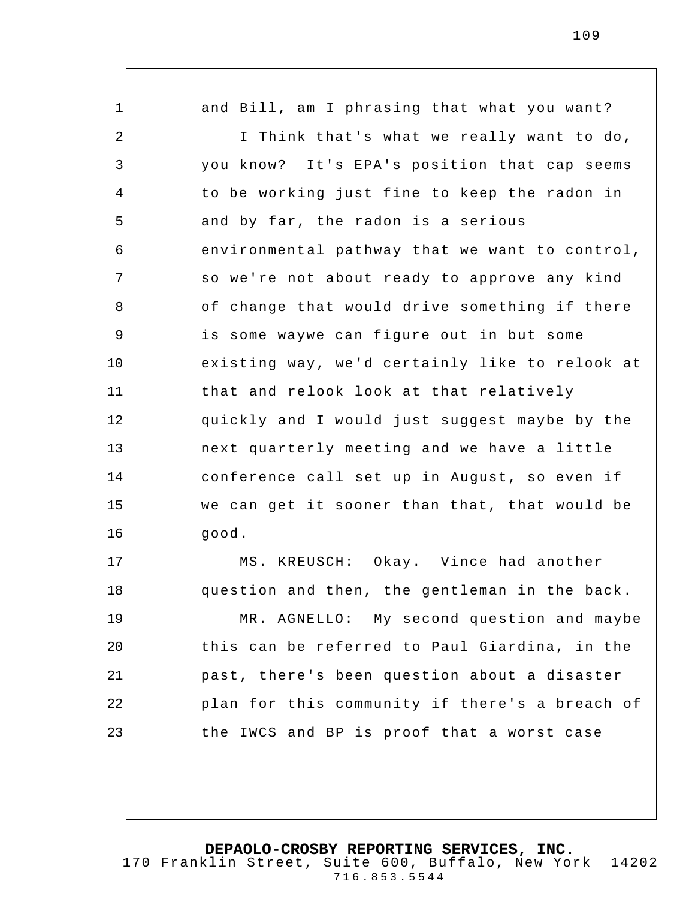1 2 3 4 5 6 7 8 9 10 11 12 13 14 15 16 17 18 19 20 and Bill, am I phrasing that what you want? I Think that's what we really want to do, you know? It's EPA's position that cap seems to be working just fine to keep the radon in and by far, the radon is a serious environmental pathway that we want to control, so we're not about ready to approve any kind of change that would drive something if there is some waywe can figure out in but some existing way, we'd certainly like to relook at that and relook look at that relatively quickly and I would just suggest maybe by the next quarterly meeting and we have a little conference call set up in August, so even if we can get it sooner than that, that would be good. MS. KREUSCH: Okay. Vince had another question and then, the gentleman in the back. MR. AGNELLO: My second question and maybe this can be referred to Paul Giardina, in the

past, there's been question about a disaster plan for this community if there's a breach of the IWCS and BP is proof that a worst case

21

22

23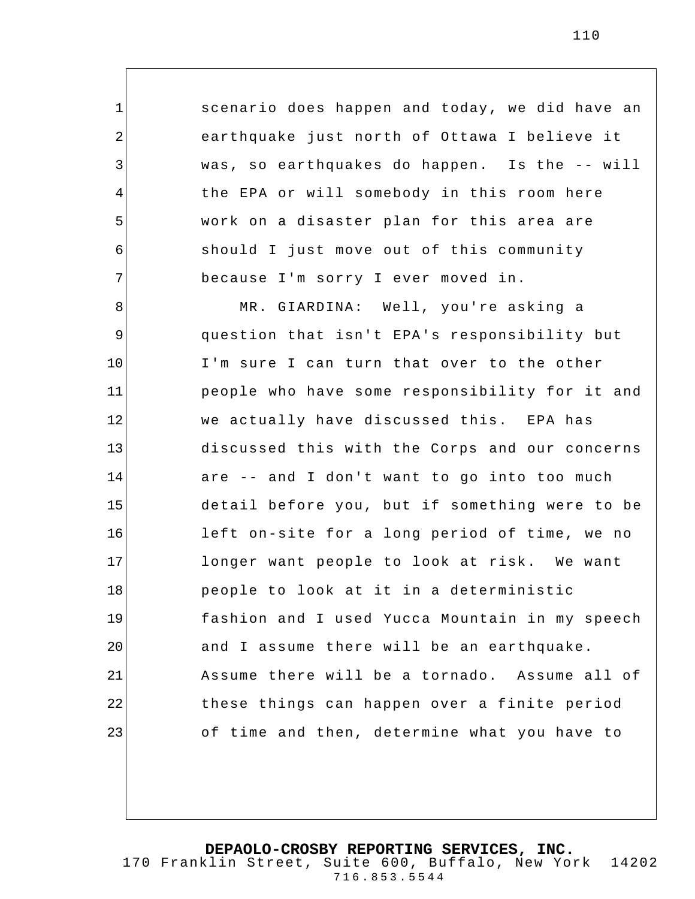scenario does happen and today, we did have an earthquake just north of Ottawa I believe it was, so earthquakes do happen. Is the -- will the EPA or will somebody in this room here work on a disaster plan for this area are should I just move out of this community because I'm sorry I ever moved in.

1

2

3

4

5

6

7

8 9 10 11 12 13 14 15 16 17 18 19 20 21 22 23 MR. GIARDINA: Well, you're asking a question that isn't EPA's responsibility but I'm sure I can turn that over to the other people who have some responsibility for it and we actually have discussed this. EPA has discussed this with the Corps and our concerns are -- and I don't want to go into too much detail before you, but if something were to be left on-site for a long period of time, we no longer want people to look at risk. We want people to look at it in a deterministic fashion and I used Yucca Mountain in my speech and I assume there will be an earthquake. Assume there will be a tornado. Assume all of these things can happen over a finite period of time and then, determine what you have to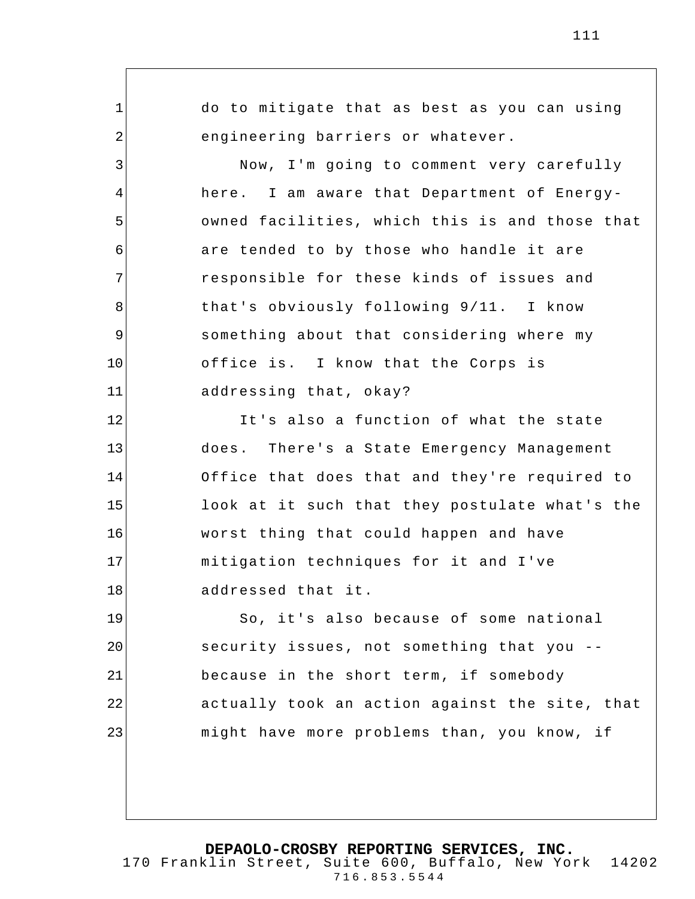1 2 3 4 5 6 7 8 9 10 11 12 13 14 15 16 17 18 19 20 21 22 23 do to mitigate that as best as you can using engineering barriers or whatever. Now, I'm going to comment very carefully here. I am aware that Department of Energyowned facilities, which this is and those that are tended to by those who handle it are responsible for these kinds of issues and that's obviously following 9/11. I know something about that considering where my office is. I know that the Corps is addressing that, okay? It's also a function of what the state does. There's a State Emergency Management Office that does that and they're required to look at it such that they postulate what's the worst thing that could happen and have mitigation techniques for it and I've addressed that it. So, it's also because of some national security issues, not something that you - because in the short term, if somebody actually took an action against the site, that might have more problems than, you know, if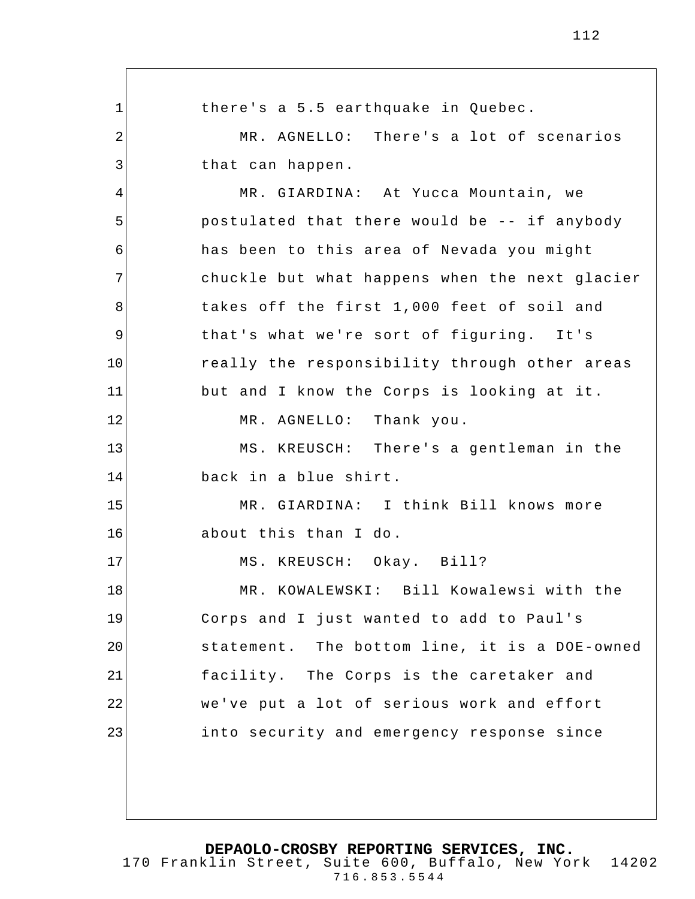1 2 3 4 5 6 7 8 9 10 11 12 13 14 15 16 17 18 19 20 21 22 23 there's a 5.5 earthquake in Quebec. MR. AGNELLO: There's a lot of scenarios that can happen. MR. GIARDINA: At Yucca Mountain, we postulated that there would be -- if anybody has been to this area of Nevada you might chuckle but what happens when the next glacier takes off the first 1,000 feet of soil and that's what we're sort of figuring. It's really the responsibility through other areas but and I know the Corps is looking at it. MR. AGNELLO: Thank you. MS. KREUSCH: There's a gentleman in the back in a blue shirt. MR. GIARDINA: I think Bill knows more about this than I do . MS. KREUSCH: Okay. Bill? MR. KOWALEWSKI: Bill Kowalewsi with the Corps and I just wanted to add to Paul's statement. The bottom line, it is a DOE-owned facility. The Corps is the caretaker and we've put a lot of serious work and effort into security and emergency response since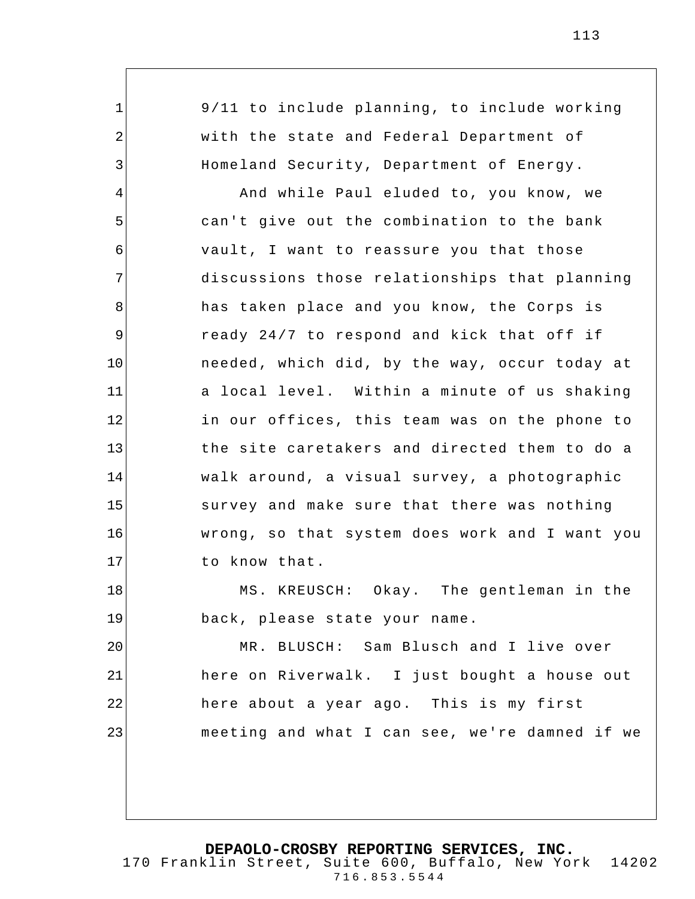1 2 3 4 5 6 7 8 9 10 11 12 13 14 15 16 17 18 19 20 21 22 23 9/11 to include planning, to include working with the state and Federal Department of Homeland Security, Department of Energy. And while Paul eluded to, you know, we can't give out the combination to the bank vault, I want to reassure you that those discussions those relationships that planning has taken place and you know, the Corps is ready 24/7 to respond and kick that off if needed, which did, by the way, occur today at a local level. Within a minute of us shaking in our offices, this team was on the phone to the site caretakers and directed them to do a walk around, a visual survey, a photographic survey and make sure that there was nothing wrong, so that system does work and I want you to know that. MS. KREUSCH: Okay. The gentleman in the back, please state your name. MR. BLUSCH: Sam Blusch and I live over here on Riverwalk. I just bought a house out here about a year ago. This is my first meeting and what I can see, we're damned if we

**DEPAOLO-CROSBY REPORTING SERVICES, INC.** 170 Franklin Street, Suite 600, Buffalo, New York 14202

716.853.5544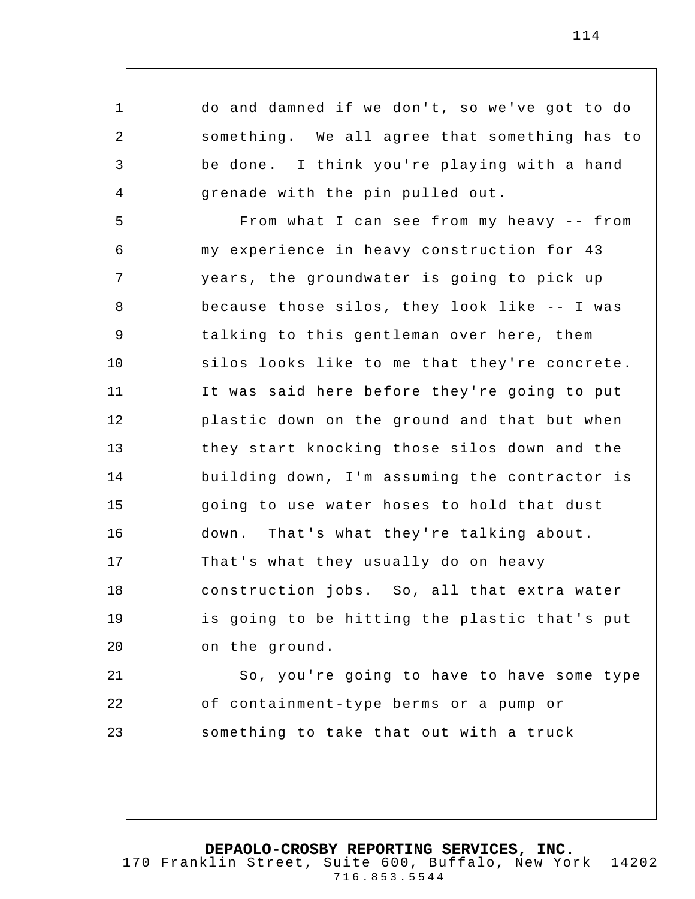do and damned if we don't, so we've got to do something. We all agree that something has to be done. I think you're playing with a hand grenade with the pin pulled out.

1

2

3

4

21

22

23

5 6 7 8 9 10 11 12 13 14 15 16 17 18 19 20 From what I can see from my heavy -- from my experience in heavy construction for 43 years, the groundwater is going to pick up because those silos, they look like -- I was talking to this gentleman over here, them silos looks like to me that they're concrete. It was said here before they're going to put plastic down on the ground and that but when they start knocking those silos down and the building down, I'm assuming the contractor is going to use water hoses to hold that dust down. That's what they're talking about. That's what they usually do on heavy construction jobs. So, all that extra water is going to be hitting the plastic that's put on the ground.

So, you're going to have to have some type of containment-type berms or a pump or something to take that out with a truck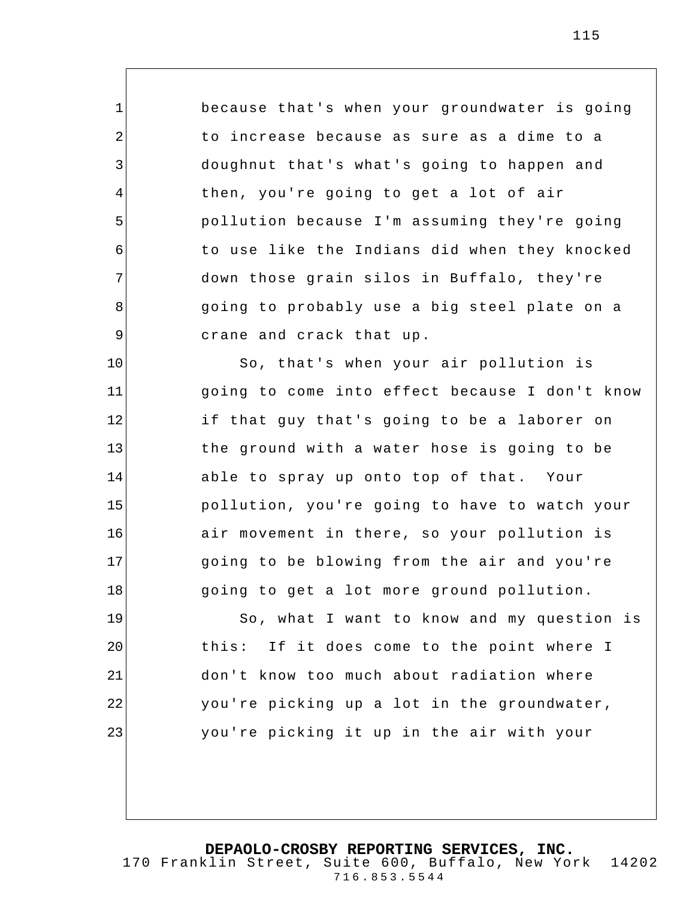because that's when your groundwater is going to increase because as sure as a dime to a doughnut that's what's going to happen and then, you're going to get a lot of air pollution because I'm assuming they're going to use like the Indians did when they knocked down those grain silos in Buffalo, they're going to probably use a big steel plate on a crane and crack that up.

1

2

3

4

5

6

7

8

9

10

11

12 13 14 15 16 17 18 So, that's when your air pollution is going to come into effect because I don't know if that guy that's going to be a laborer on the ground with a water hose is going to be able to spray up onto top of that. Your pollution, you're going to have to watch your air movement in there, so your pollution is going to be blowing from the air and you're going to get a lot more ground pollution.

19 20 21 22 23 So, what I want to know and my question is this: If it does come to the point where I don't know too much about radiation where you're picking up a lot in the groundwater, you're picking it up in the air with your

**DEPAOLO-CROSBY REPORTING SERVICES, INC.**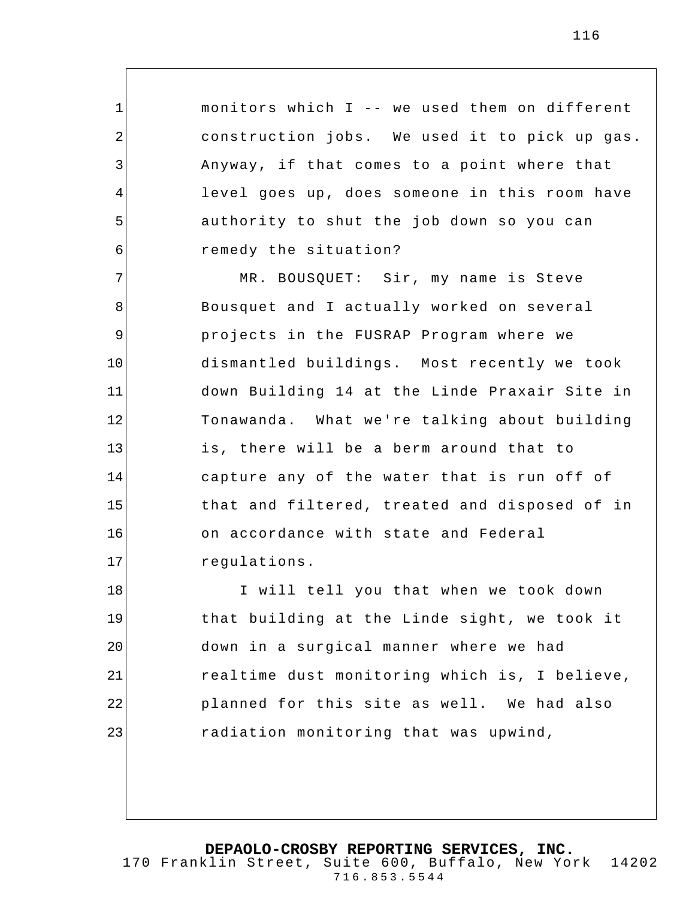monitors which I -- we used them on different construction jobs. We used it to pick up gas. Anyway, if that comes to a point where that level goes up, does someone in this room have authority to shut the job down so you can remedy the situation?

1

2

3

4

5

6

7 8 9 10 11 12 13 14 15 16 17 MR. BOUSQUET: Sir, my name is Steve Bousquet and I actually worked on several projects in the FUSRAP Program where we dismantled buildings. Most recently we took down Building 14 at the Linde Praxair Site in Tonawanda. What we're talking about building is, there will be a berm around that to capture any of the water that is run off of that and filtered, treated and disposed of in on accordance with state and Federal regulations.

18 19 20 21 22 23 I will tell you that when we took down that building at the Linde sight, we took it down in a surgical manner where we had realtime dust monitoring which is, I believe, planned for this site as well. We had also radiation monitoring that was upwind,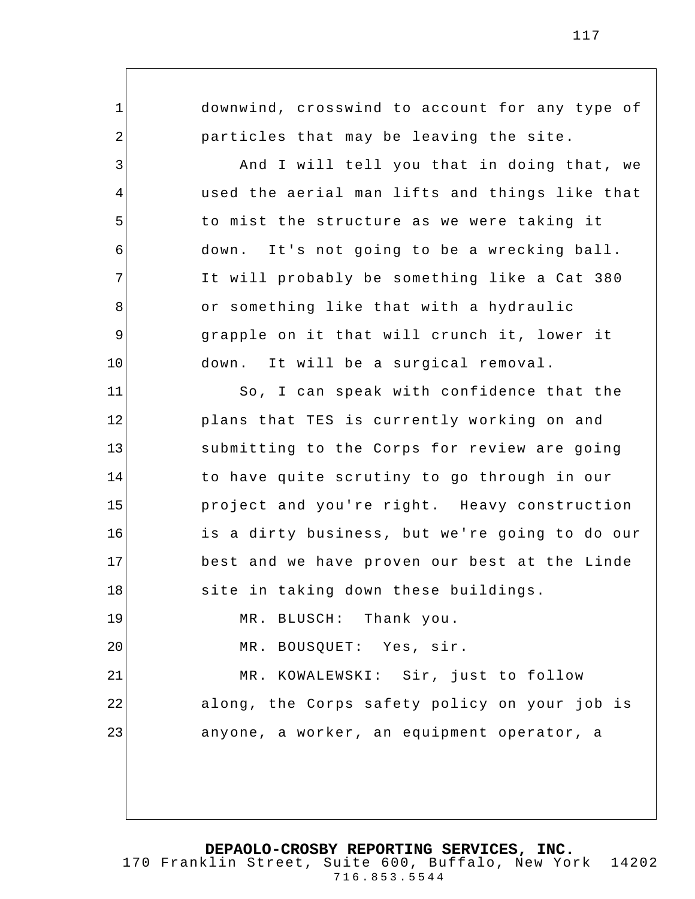1 2 3 4 5 6 7 8 9 10 11 12 13 14 15 16 17 18 19 20 21 22 23 downwind, crosswind to account for any type of particles that may be leaving the site. And I will tell you that in doing that, we used the aerial man lifts and things like that to mist the structure as we were taking it down. It's not going to be a wrecking ball. It will probably be something like a Cat 380 or something like that with a hydraulic grapple on it that will crunch it, lower it down. It will be a surgical removal. So, I can speak with confidence that the plans that TES is currently working on and submitting to the Corps for review are going to have quite scrutiny to go through in our project and you're right. Heavy construction is a dirty business, but we're going to do our best and we have proven our best at the Linde site in taking down these buildings. MR. BLUSCH: Thank you. MR. BOUSQUET: Yes, sir. MR. KOWALEWSKI: Sir, just to follow along, the Corps safety policy on your job is anyone, a worker, an equipment operator, a

**DEPAOLO-CROSBY REPORTING SERVICES, INC.**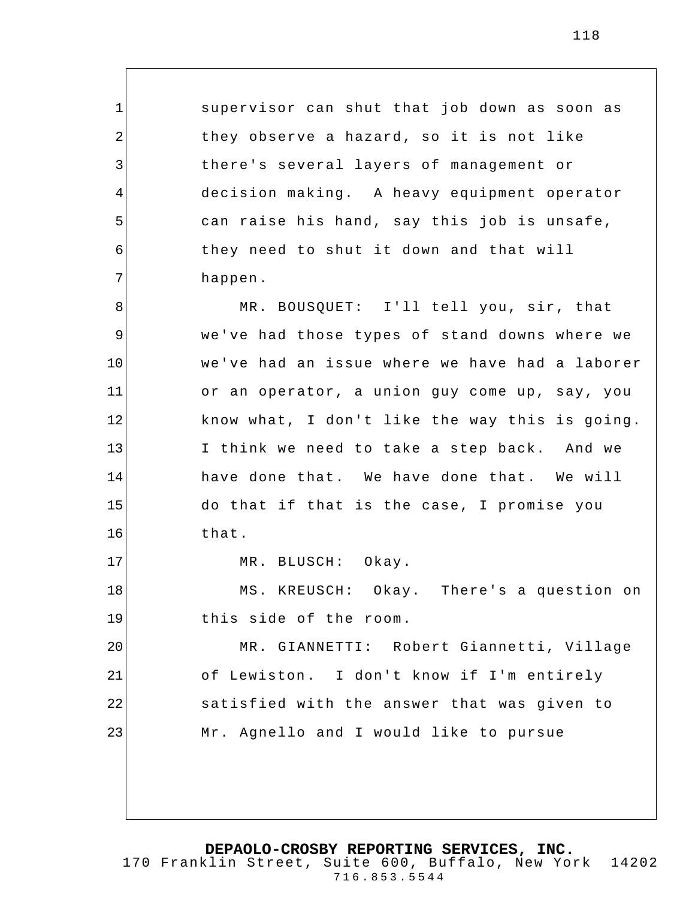supervisor can shut that job down as soon as they observe a hazard, so it is not like there's several layers of management or decision making. A heavy equipment operator can raise his hand, say this job is unsafe, they need to shut it down and that will happen.

8 9 10 11 12 13 14 15 16 17 18 MR. BOUSQUET: I'll tell you, sir, that we've had those types of stand downs where we we've had an issue where we have had a laborer or an operator, a union guy come up, say, you know what, I don't like the way this is going. I think we need to take a step back. And we have done that. We have done that. We will do that if that is the case, I promise you that. MR. BLUSCH: Okay. MS. KREUSCH: Okay. There's a question on

this side of the room.

1

2

3

4

5

6

7

19

20 21 22 23 MR. GIANNETTI: Robert Giannetti, Village of Lewiston . I don't know if I'm entirely satisfied with the answer that was given to Mr. Agnello and I would like to pursue

**DEPAOLO-CROSBY REPORTING SERVICES, INC.**

170 Franklin Street, Suite 600, Buffalo, New York 14202 716.853.5544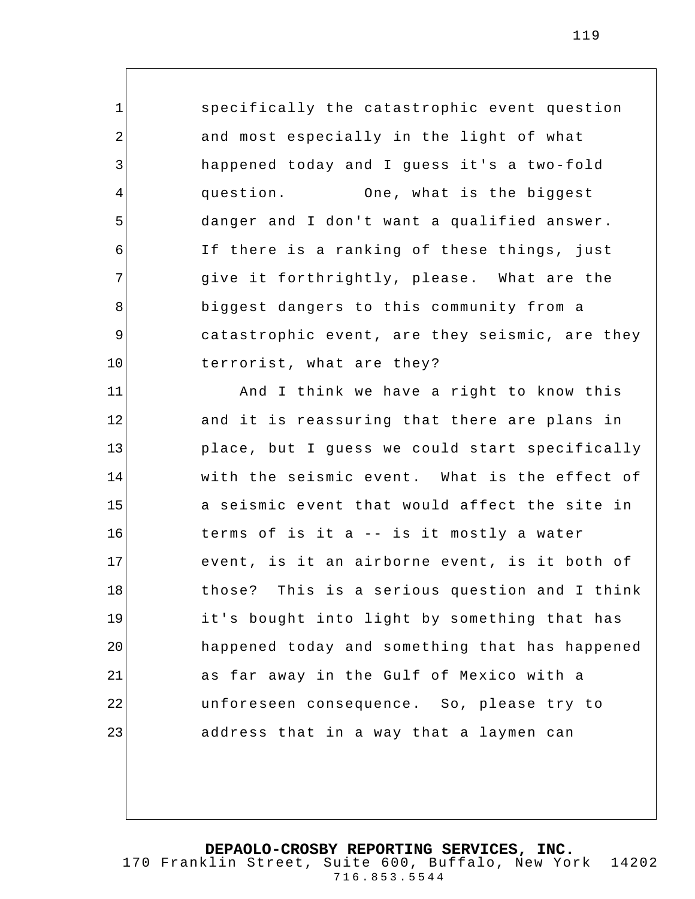specifically the catastrophic event question and most especially in the light of what happened today and I guess it's a two-fold question. One, what is the biggest danger and I don't want a qualified answer. If there is a ranking of these things, just give it forthrightly, please. What are the biggest dangers to this community from a catastrophic event, are they seismic, are they terrorist, what are they?

1

2

3

4

5

6

7

8

9

10

11 12 13 14 15 16 17 18 19 20 21 22 23 And I think we have a right to know this and it is reassuring that there are plans in place, but I guess we could start specifically with the seismic event. What is the effect of a seismic e vent that would affect the site in terms of is it a -- is it mostly a water event, is it an airborne event, is it both of those? This is a serious question and I think it's bought into light by something that has happened today and something that has happened as far away in the Gulf of Mexico with a unforeseen consequence. So, please try to address that in a way that a laymen can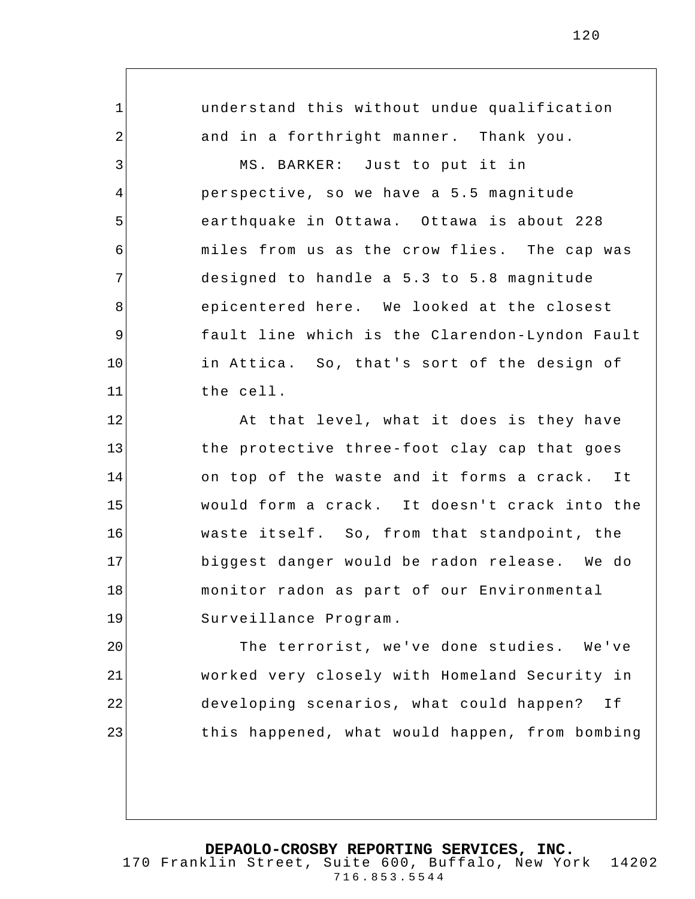understand this without undue qualification and in a forthright manner. Thank you. MS. BARKER: Just to put it in perspective, so we have a 5.5 magnitude earthquake in Ottawa. Ottawa is about 228 miles from us as the crow flies. The cap was designed to handle a 5.3 to 5.8 magnitude epicentered here. We looked at the closest fault line which is the Clarendon-Lyndon Fault in Attica. So, that's sort of the design of the cell.

1

2

3

4

5

6

7

8

9

10

11

12 13 14 15 16 17 18 19 At that level, what it does is they have the protective three-foot clay cap that goes on top of the waste and it forms a crack. It would form a crack. It doesn't crack into the waste itself. So, from that standpoint, the biggest danger would be radon release. We do monitor radon as part of our Environmental Surveillance Program .

20 21 22 23 The terrorist, we've done studies. We've worked very closely with Homeland Security in developing scenarios, what could happen? If this happened, what would happen, from bombing

## **DEPAOLO-CROSBY REPORTING SERVICES, INC.**

170 Franklin Street, Suite 600, Buffalo, New York 14202 716.853.5544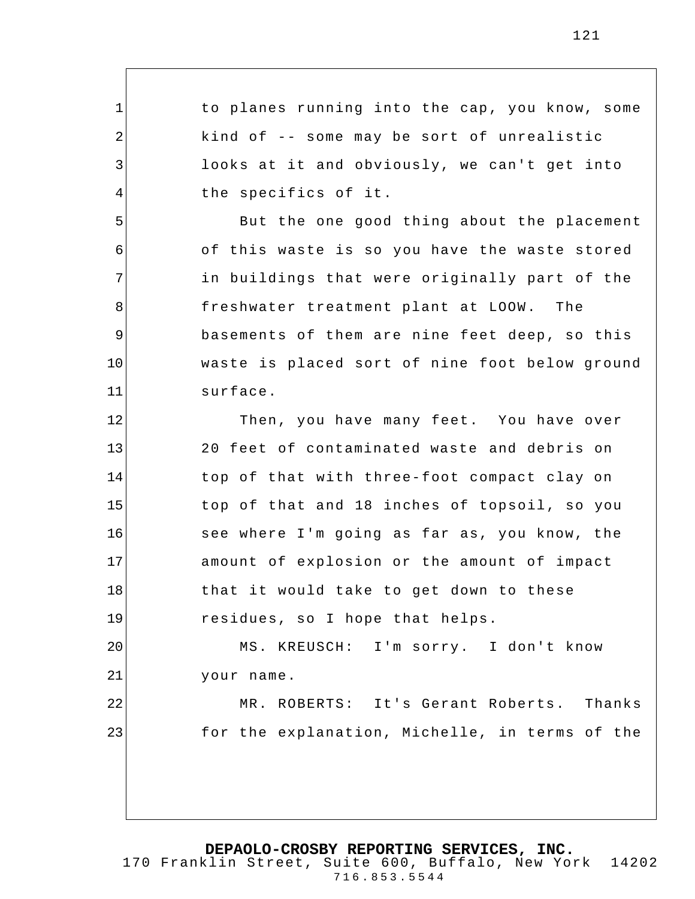to planes running into the cap, you know, some kind of -- some may be sort of unrealistic looks at it and obviously, we can't get into the specifics of it.

1

2

3

4

5

6

7

8

9

10

11

23

But the one good thing about the placement of this waste is so you have the waste stored in buildings that were originally part of the freshwater treatment plant at LOOW. The basements of them are nine feet deep, so this waste is placed sort of nine foot below ground surface.

12 13 14 15 16 17 18 19 Then, you have many feet. You have over 20 feet of contaminated waste and debris on top of that with three-foot compact clay on top of that and 18 inches of topsoil, so you see where I'm going as far as, you know, the amount of explosion or the amount of impact that it would take to get down to these residues, so I hope that helps.

20 21 22 MS. KREUSCH: I'm sorry. I don't know your name.

MR. ROBERTS: It's Gerant Roberts. Thanks for the explanation, Michelle, in terms of the

**DEPAOLO-CROSBY REPORTING SERVICES, INC.**

170 Franklin Street, Suite 600, Buffalo, New York 14202 716.853.5544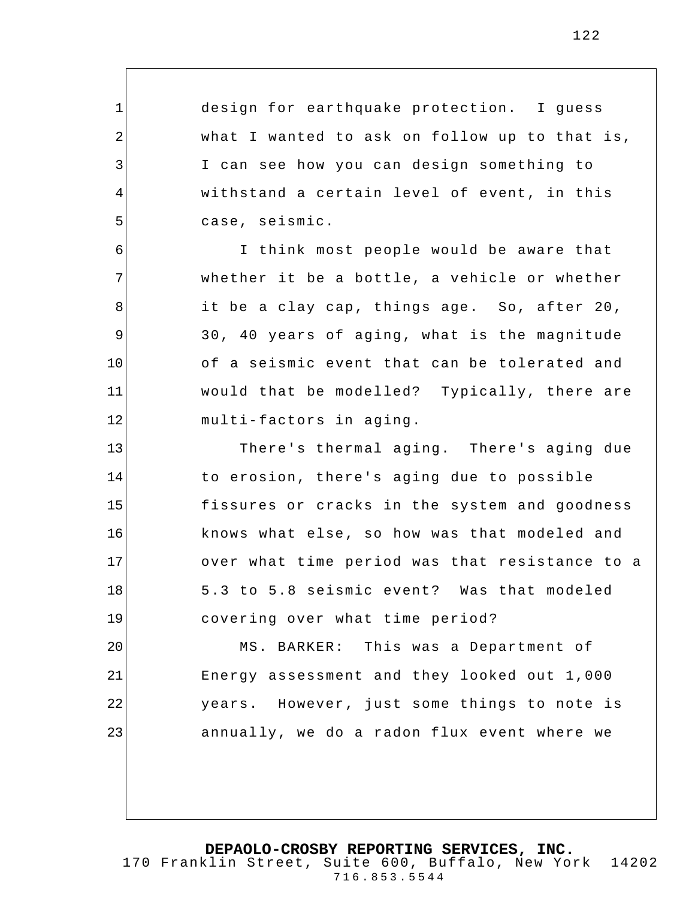122

| $\mathbf 1$ | design for earthquake protection. I guess      |
|-------------|------------------------------------------------|
| 2           | what I wanted to ask on follow up to that is,  |
| 3           | I can see how you can design something to      |
| 4           | withstand a certain level of event, in this    |
| 5           | case, seismic.                                 |
| 6           | I think most people would be aware that        |
| 7           | whether it be a bottle, a vehicle or whether   |
| 8           | it be a clay cap, things age. So, after 20,    |
| 9           | 30, 40 years of aging, what is the magnitude   |
| 10          | of a seismic event that can be tolerated and   |
| 11          | would that be modelled? Typically, there are   |
| 12          | multi-factors in aging.                        |
| 13          | There's thermal aging. There's aging due       |
| 14          | to erosion, there's aging due to possible      |
| 15          | fissures or cracks in the system and goodness  |
| 16          | knows what else, so how was that modeled and   |
| 17          | over what time period was that resistance to a |
| 18          | 5.3 to 5.8 seismic event? Was that modeled     |
| 19          | covering over what time period?                |
| 20          | MS. BARKER: This was a Department of           |
| 21          | Energy assessment and they looked out 1,000    |
| 22          | years. However, just some things to note is    |
| 23          | annually, we do a radon flux event where we    |
|             |                                                |
|             |                                                |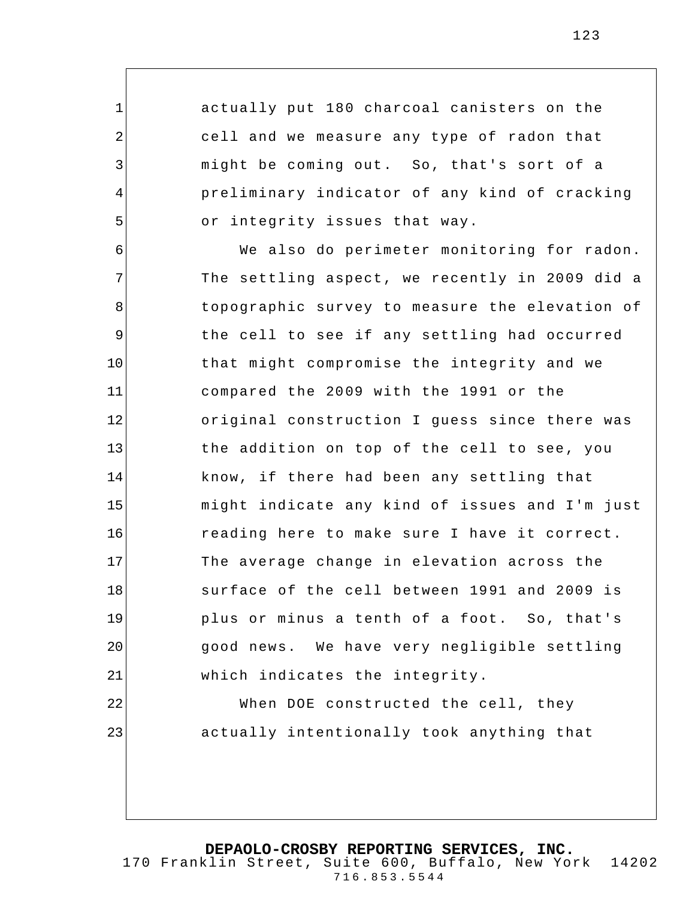actually put 180 charcoal canisters on the cell and we measure any type of radon that might be coming out. So, that's sort of a preliminary indicator of any kind of cracking or integrity issues that way.

1

2

3

4

5

23

6 7 8 9 10 11 12 13 14 15 16 17 18 19 20 21 22 We also do perimeter monitoring for radon. The settling aspect, we recently in 2009 did a topographic survey to measure the elevation of the cell to see if any settling had occurred that might compromise the integrity and we compared the 2009 with the 1991 or the original construction I guess since there was the addition on top of the cell to see, you know, if there had been any settling that might indicate any kind of issues and I'm just reading here to make sure I have it correct. The average change in elevation across the surface of the cell between 1991 and 2009 is plus or minus a tenth of a foot. So, that's good news. We have very negligible settling which indicates the integrity. When DOE constructed the cell, they

actually intentionally took anything that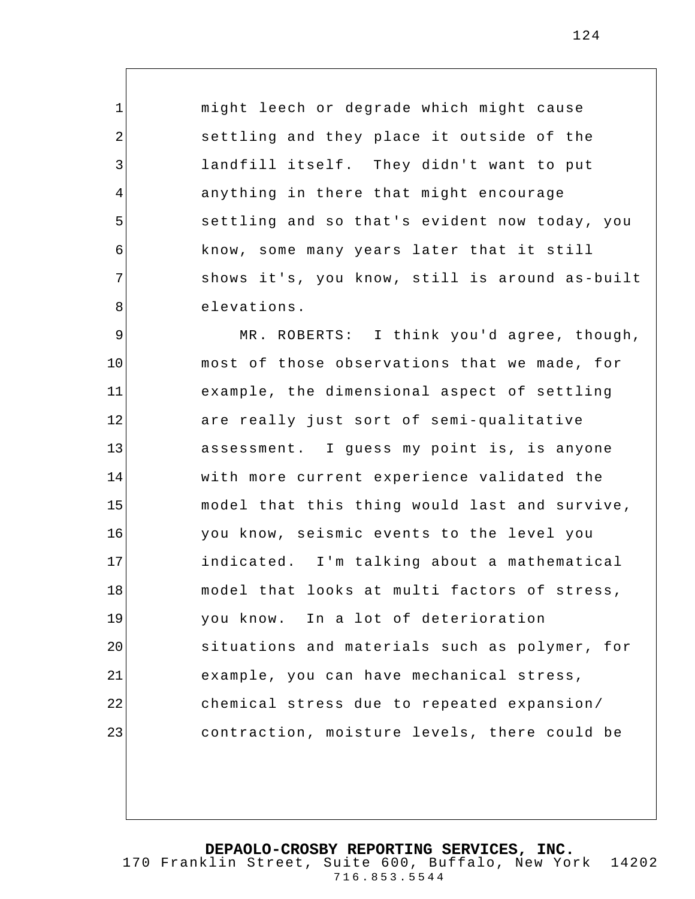might leech or degrade which might cause settling and they place it outside of the landfill itself. They didn't want to put anything in there that might en courage settling and so that's evident now today, you know, some many years later that it still shows it's, you know, still is around as-built elevations.

1

2

3

4

5

6

7

8

9 10 11 12 13 14 15 16 17 18 19 20 21 22 23 MR. ROBERTS: I think you'd agree, though, most of those observations that we made, for example, the dimensional aspect of settling are really just sort of semi-qualitative assessment. I guess my point is, is anyone with more current experience validated the model that this thing would last and survive, you know, seismic events to the level you indicated. I'm talking about a mathematical model that looks at multi factors of stress, you know. In a lot of deterioration situations and materials such as polymer, for example, you can have mechanical stress, chemical stress due to repeated expansion/ contraction, moisture levels, there could be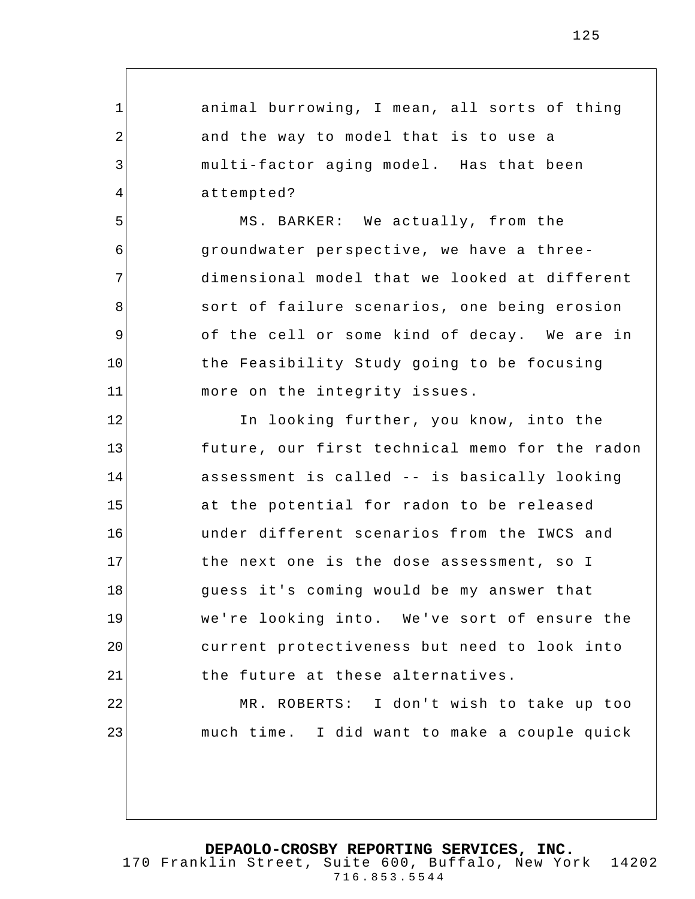animal burrowing, I mean, all sorts of thing and the way to model that is to use a multi-factor aging model. Has that been attempted?

1

2

3

4

5

6

7

8

9

10

11

22

23

MS. BARKER: We actually, from the groundwater perspective, we have a threedimensional model that we looked at different sort of failure scenarios, one being erosion of the cell or some kind of decay. We are in the Feasibility Study going to be focusing more on the integrity issues.

12 13 14 15 16 17 18 19 20 21 In looking further, you know, into the future, our first technical memo for the radon assessment is called -- is basically looking at the potential for radon to be released under different scenarios from the IWCS and the next one is the dose assessment, so I guess it's coming would be my answer that we're looking into. We've sort of ensure the current protectiveness but need to look into the future at these alternatives.

MR. ROBERTS: I don't wish to take up too much time. I did want to make a couple quick

**DEPAOLO-CROSBY REPORTING SERVICES, INC.**

170 Franklin Street, Suite 600, Buffalo, New York 14202 716.853.5544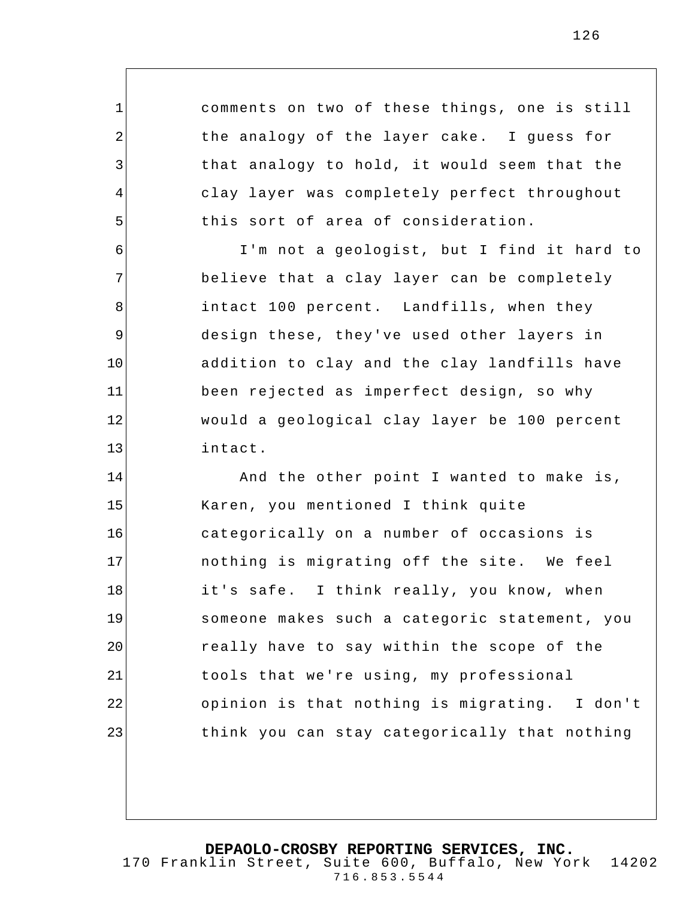comments on two of these things, one is still the analogy of the layer cake. I guess for that analogy to hold, it would seem that the clay layer was completely perfect throughout this sort of area of consideration.

1

2

3

4

5

6 7 8 9 10 11 12 13 I'm not a geologist, but I find it hard to believe that a clay layer can be completely intact 100 percent. Landfills, when they design these, they've used other layers in addition to clay and the clay landfills have been rejected as imperfect design, so why would a geological clay layer be 100 percent intact.

14 15 16 17 18 19 20 21 22 23 And the other point I wanted to make is, Karen, you mentioned I think quite categorically on a number of occasions is nothing is migrating off the site. We feel it's safe. I think really, you know, when someone makes such a categoric statement, you really have to say within the scope of the tools that we're using, my professional opinion is that nothing is migrating. I don't think you can stay categorically that nothing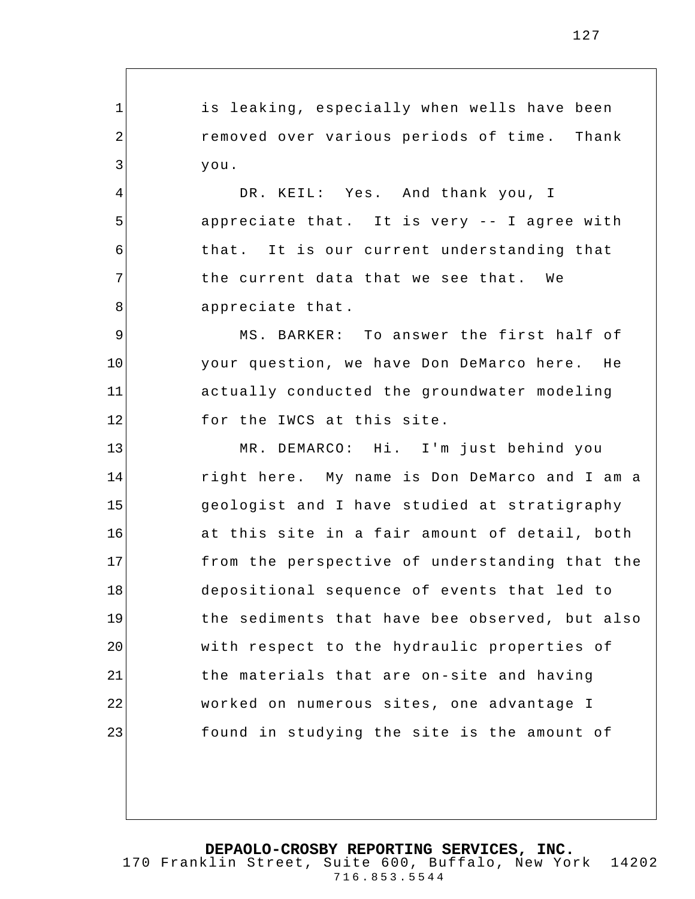is leaking, especially when wells have been removed over various periods of time . Thank you.

1

2

3

4

5

6

7

8

DR. KEIL: Yes. And thank you, I appreciate that. It is very -- I agree with that. It is our current understanding that the current data that we see that. We appreciate that .

9 10 11 12 MS. BARKER: To answer the first half of your question, we have Don DeMarco here. He actually conducted the groundwater modeling for the IWCS at this site.

13 14 15 16 17 18 19 20 21 22 23 MR. DEMARCO: Hi. I'm just behind you right here. My name is Don DeMarco and I am a geologist and I have studied at stratigraphy at this site in a fair amount of detail, both from the perspective of understanding that the depositional sequence of events that led to the sediments that have bee observed, but also with respect to the hydraulic properties of the materials that are on-site and having worked on numerous sites, one advantage I found in studying the site is the amount of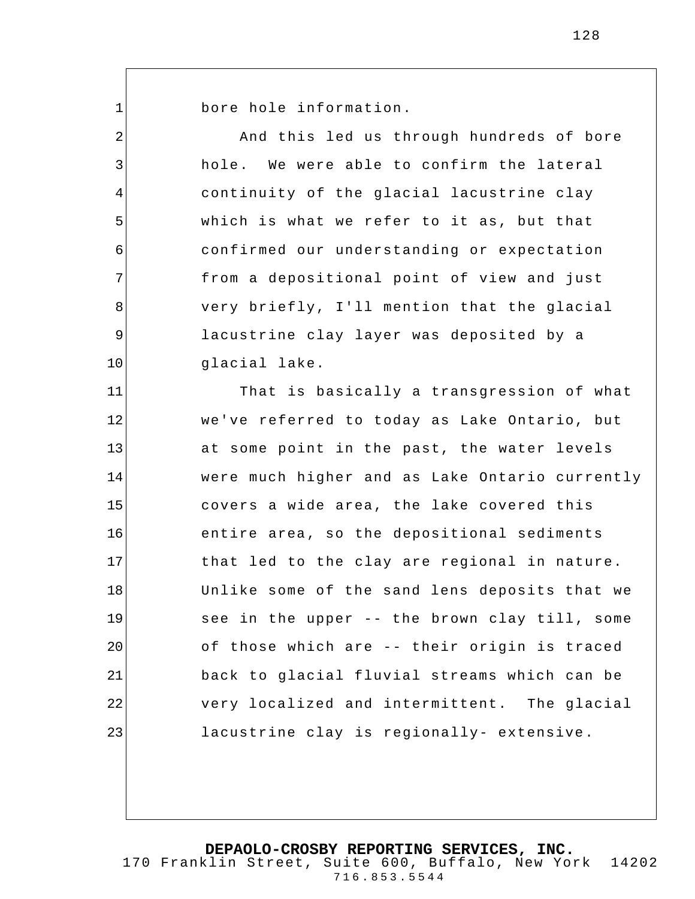1

2

3

4

5

6

7

8

9

10

bore hole information.

And this led us through hundreds of bore hole. We were able to confirm the lateral continuity of the glacial lacustrine clay which is what we refer to it as, but that confirmed our understanding or expectation from a depositional point of view and just very briefly, I'll mention that the glacial lacustrine clay layer was deposited by a glacial lake.

11 12 13 14 15 16 17 18 19 20 21 22 23 That is basically a transgression of what we've referred to today as Lake Ontario, but at some point in the past, the water levels were much higher and as Lake Ontario currently covers a wide area, the lake covered this entire area, so the depositional sediments that led to the clay are regional in nature. Unlike some of the sand lens deposits that we see in the upper -- the brown clay till, some of those which are -- their origin is traced back to glacial fluvial streams which can be very localized and intermittent. The glacial lacustrine clay is regionally- extensive.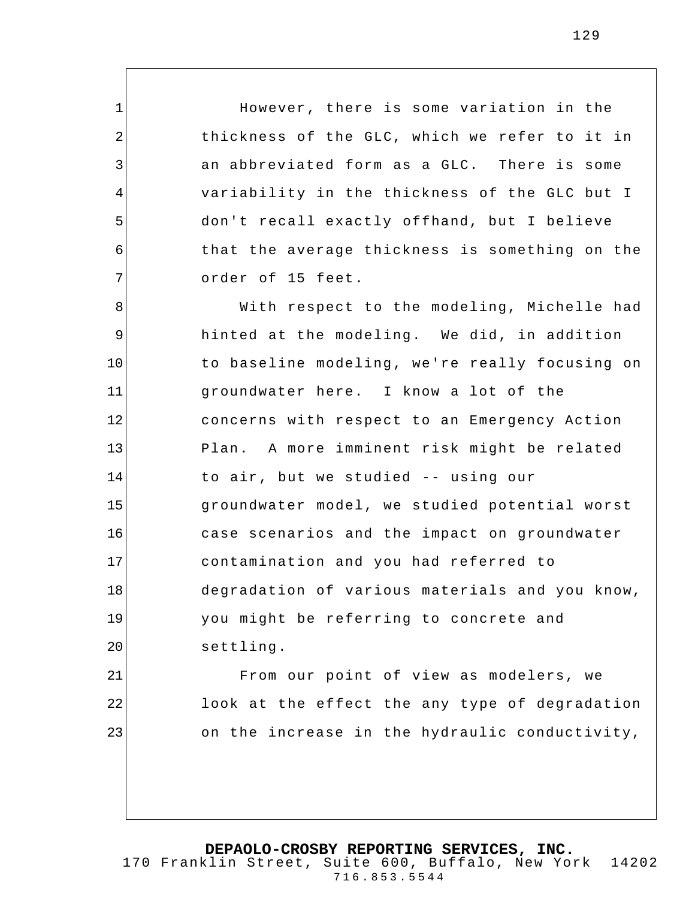However, there is some variation in the thickness of the GLC, which we refer to it in an abbreviated form as a GLC. There is some variability in the thickness of the GLC but I don't recall exactly offhand, but I believe that the average thickness is something on the order of 15 feet.

1

2

3

4

5

6

7

21

22

23

8 9 10 11 12 13 14 15 16 17 18 19 20 With respect to the modeling, Michelle had hinted at the modeling. We did, in addition to baseline modeling, we're really focusing on groundwater here. I know a lot of the concerns with respect to an Emergency Action Plan. A more imminent risk might be related to air, but we studied -- using our groundwater model, we studied potential worst case scenarios and the impact on groundwater contamination and you had referred to degradation of various materials and you know, you might be referring to concrete and settling.

From our point of view as modelers, we look at the effect the any type of degradation on the increase in the hydraulic conductivity,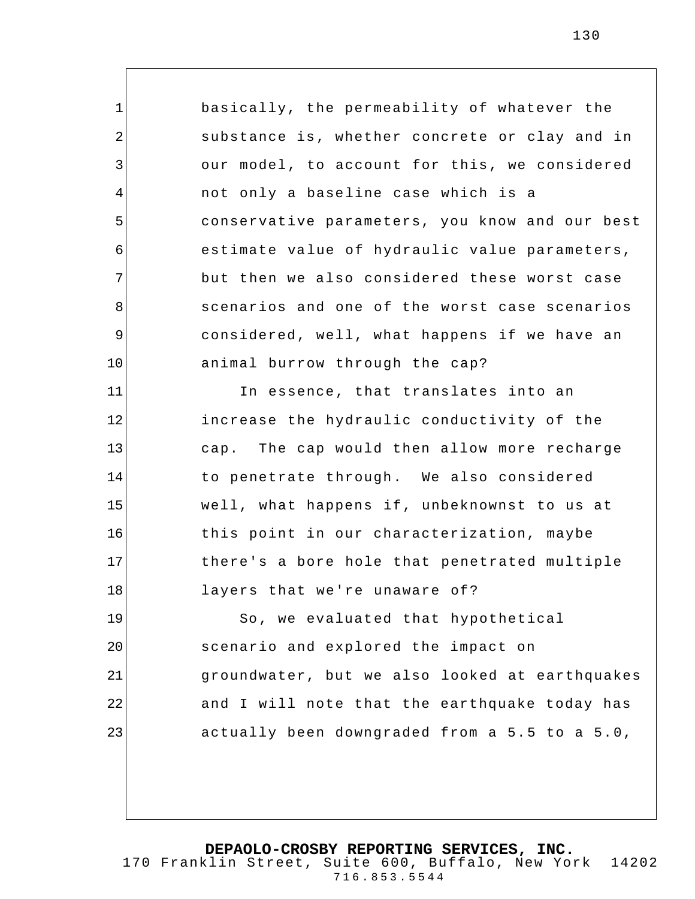1 2 3 4 5 6 7 8 9 10 11 12 13 14 15 16 17 18 19 20 21 22 23 basically, the permeability of whatever the substance is, whether concrete or clay and in our model, to account for this, we considered not only a baseline case which is a conservative parameters, you know and our best estimate value of hydraulic value parameters, but then we also considered these worst case scenarios and one of the worst case scenarios considered, well, what happens if we have an animal burrow through the cap? In essence, that translates into an increase the hydraulic conductivity of the cap. The cap would then allow more recharge to penetrate through. We also considered well, what happens if, unbeknownst to us at this point in our characterization, maybe there's a bore hole that penetrated multiple layers that we're unaware of? So, we evaluated that hypothetical scenario and explored the impact on groundwater, but we also looked at earthquakes and I will note that the earthquake today has actually been downgraded from a 5.5 to a 5.0,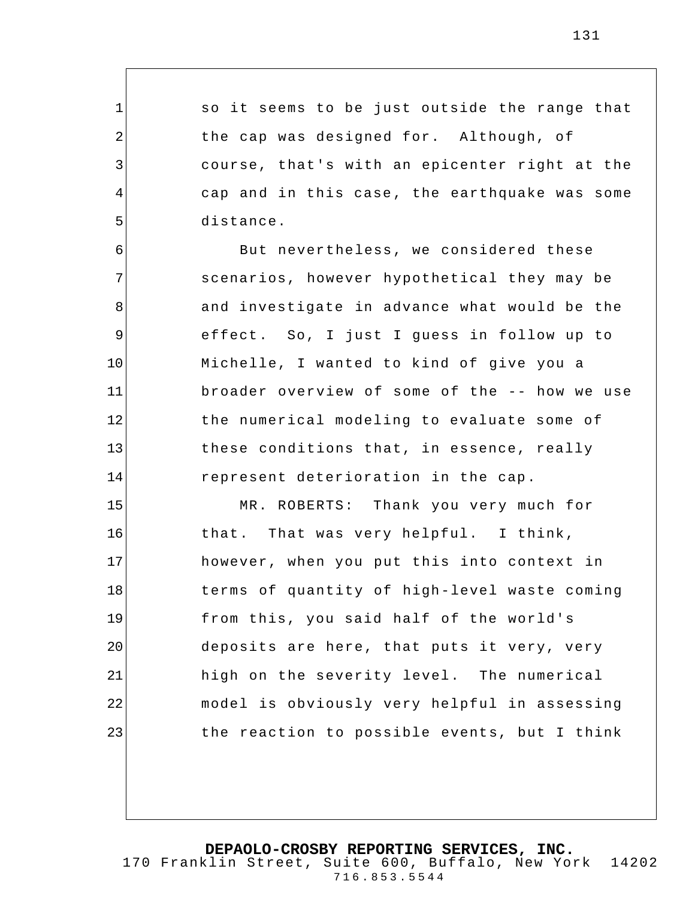so it seems to be just outside the range that the cap was designed for. Although, of course, that's with an epicenter right at the cap and in this case , the earthquake was some distance.

1

2

3

4

5

6

7

8

9

10

11

12

13

14

But nevertheless, we considered these scenarios, however hypothetical they may be and investigate in advance what would be the effect. So, I just I guess in follow up to Michelle, I wanted to kind of give you a broader overview of some of the -- how we use the numerical modeling to evaluate some of these conditions that, in essence, really represent deterioration in the cap.

15 16 17 18 19 20 21 22 23 MR. ROBERTS: Thank you very much for that. That was very helpful. I think, however, when you put this into context in terms of quantity of high-level waste coming from this, you said half of the world's deposits are here, that puts it very, very high on the severity level. The numerical model is obviously very helpful in assessing the reaction to possible events, but I think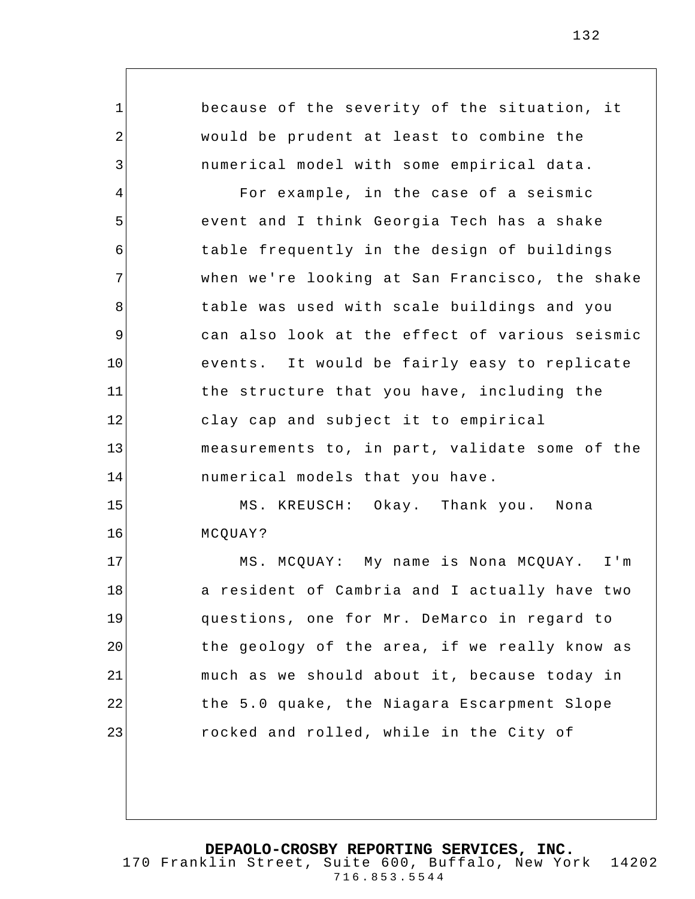because of the severity of the situation, it would be prudent at least to combine the numerical model with some empirical data.

1

2

3

4 5 6 7 8 9 10 11 12 13 14 For example, in the case of a seismic event and I think Georgia Tech has a shake table frequently in the design of buildings when we're looking at San Francisco, the shake table was used with scale buildings and you can also look at the effect of various seismic events. It would be fairly easy to replicate the structure that you have, including the clay cap and subject it to empirical measurements to, in part, validate some of the numerical models that you have .

15 16 MS. KREUSCH: Okay. Thank you. Nona MCQUAY?

17 18 19 20 21 22 23 MS. MCQUAY: My name is Nona MCQUAY. I'm a resident of Cambria and I actually have two questions, one for Mr. DeMarco in regard to the ge ology of the area, if we really know as much as we should about it, because today in the 5.0 quake, the Niagara Escarpment Slope rocked and rolled, while in the City of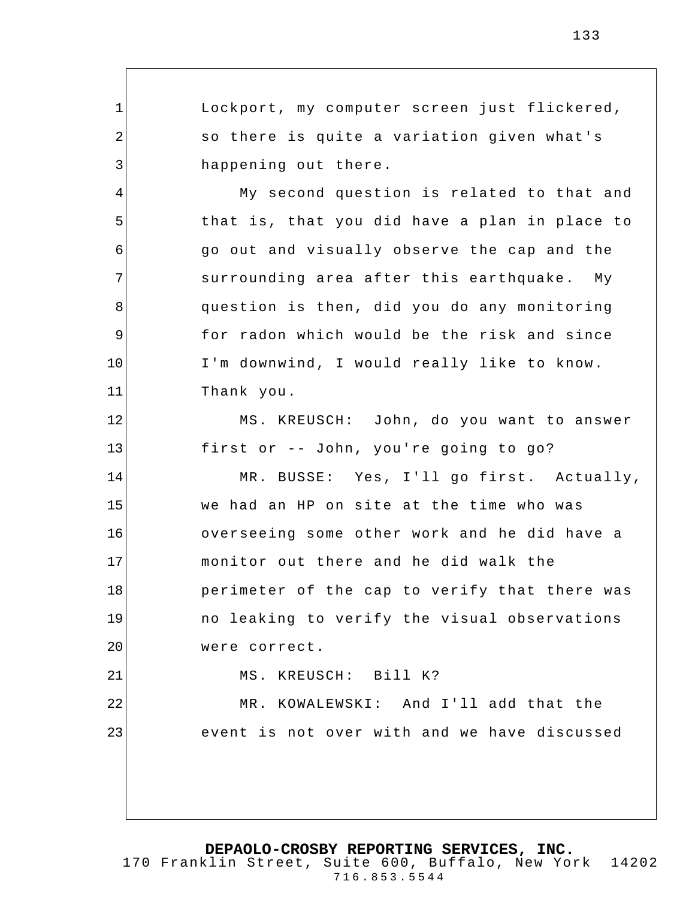1 2 3 4 5 6 7 8 9 10 11 12 13 14 15 16 17 18 19 20 21 22 23 Lockport, my computer screen just flickered, so there is quite a variation given what's happening out there. My second question is related to that and that is, that you did have a plan in place to go out and visually observe the cap and the surrounding area after this earthquake. My question is then, did you do any monitoring for radon which would be the risk and since I'm downwind, I would really like to know. Thank you. MS. KREUSCH: John, do you want to answer first or -- John, you're going to go? MR. BUSSE: Yes, I'll go first. Actually, we had an HP on site at the time who was overseeing some other work and he did have a monitor out there and he did walk the perimeter of the cap to verify that there was no leaking to verify the visual observations were correct. MS. KREUSCH: Bill K? MR. KOWALEWSKI: And I'll add that the event is not over with and we have discussed

**DEPAOLO-CROSBY REPORTING SERVICES, INC.**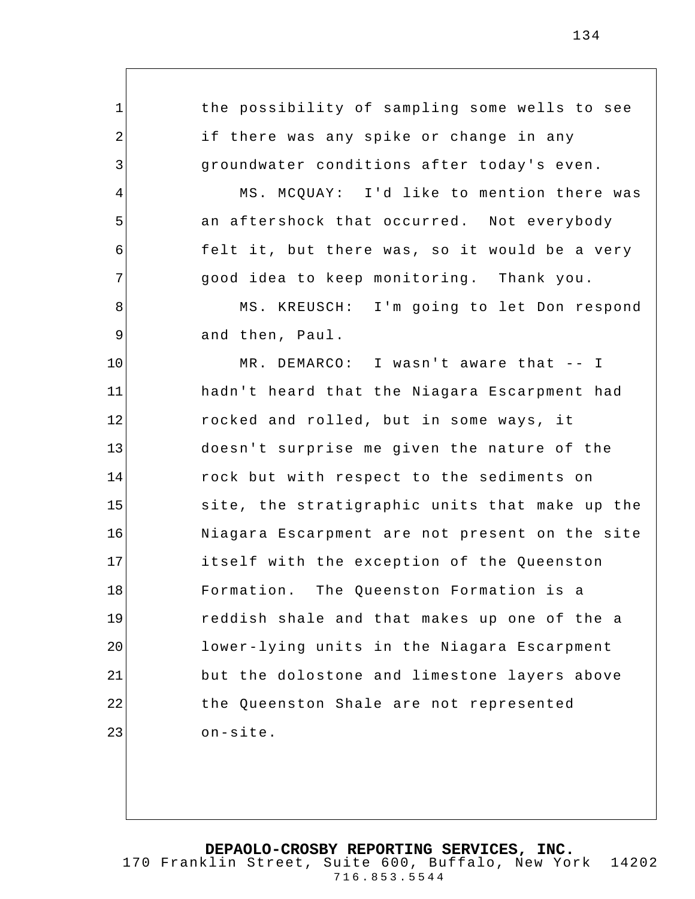the possibility of sampling some wells to see if there was any spike or change in any groundwater conditions after today's even.

1

2

3

4

5

6

7

8

9

MS. MCQUAY: I'd like to mention there was an aftershock that occurred. Not everybody felt it, but there was, so it would be a very good idea to keep monitoring. Thank you.

MS. KREUSCH: I'm going to let Don respond and then, Paul.

10 11 12 13 14 15 16 17 18 19 20 21 22 23 MR. DEMARCO: I wasn't aware that -- I hadn't heard that the Niagara Escarpment had rocked and rolled, but in some ways, it doesn't surprise me given the nature of the rock but with respect to the sediments on site, the stratigraphic units that make up the Niagara Escarpment are not present on the site itself with the exception of the Queenston Formation. The Queenston Formation is a reddish shale and that makes up one of the a lower-lying units in the Niagara Escarpment but the dolostone and limestone layers above the Queenston Shale are not represented on-site.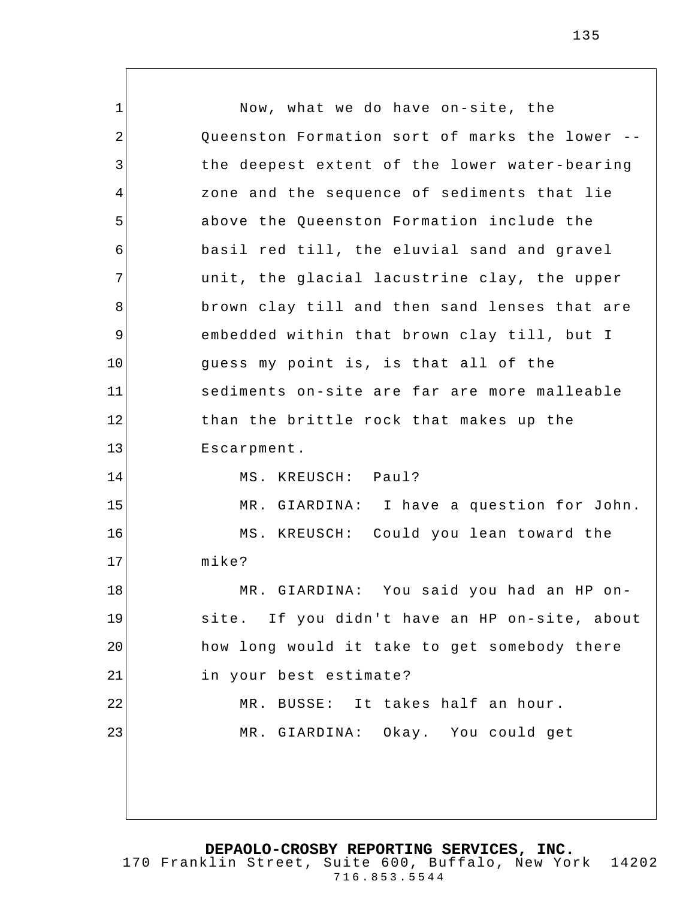1 2 3 4 5 6 7 8 9 10 11 12 13 14 15 16 17 18 19 20 21 22 23 Now, what we do have on-site, the Queenston Formation sort of marks the lower - the deepest extent of the lower water-bearing zone and the sequence of sediments that lie above the Queenston Formation include the basil red till, the eluvial sand and gravel unit, the glacial lacustrine clay, the upper brown clay till and then sand lenses that are embedded within that brown clay till, but I guess my point is, is that all of the sediments on-site are far are more malleable than the brittle rock that makes up the Escarpment. MS. KREUSCH: Paul? MR. GIARDINA: I have a question for John. MS. KREUSCH: Could you lean toward the mike? MR. GIARDINA: You said you had an HP onsite. If you didn't have an HP on-site, about how long would it take to get somebody there in your best estimate? MR. BUSSE: It takes half an hour. MR. GIARDINA: Okay. You could get

**DEPAOLO-CROSBY REPORTING SERVICES, INC.**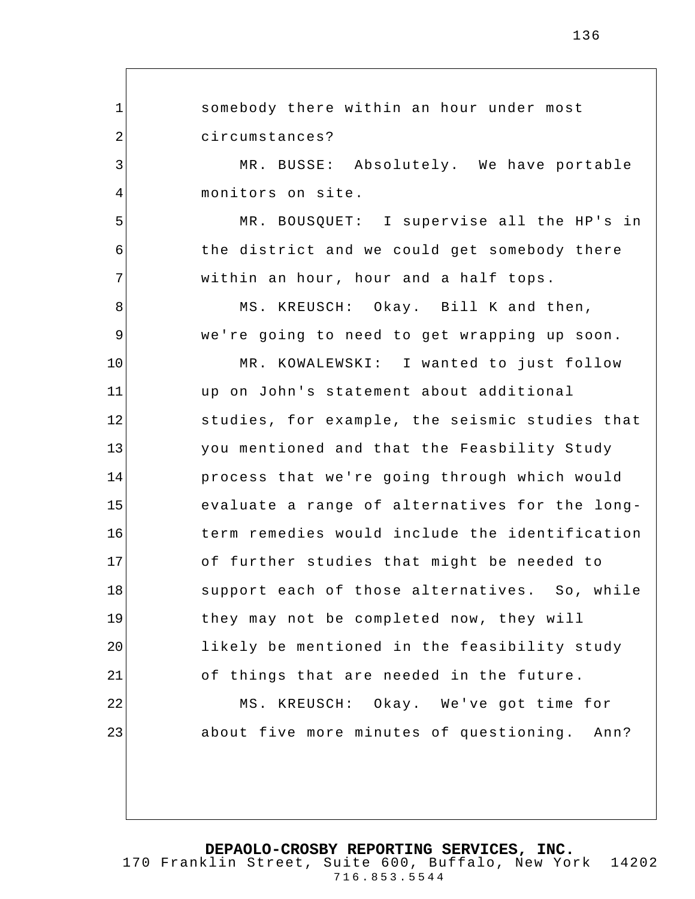1 2 3 4 5 6 7 8 9 10 11 12 13 14 15 16 17 18 19 20 21 22 23 somebody there within an hour under most circumstances? MR. BUSSE: Absolutely. We have portable monitors on site. MR. BOUSQUET: I supervise all the HP's in the district and we could get somebody there within an hour, hour and a half tops. MS. KREUSCH: Okay. Bill K and then, we're going to need to get wrapping up soon. MR. KOWALEWSKI: I wanted to just follow up on John's statement about additional studies, for example, the seismic studies that you mentioned and that the Feasbility Study process that we're going through which would evaluate a range of alternatives for the longterm remedies would include the identification of further studies that might be needed to support each of those alternatives. So, while they may not be completed now, they will likely be mentioned in the feasibility study of things that are needed in the future. MS. KREUSCH: Okay. We've got time for about five more minutes of questioning. Ann?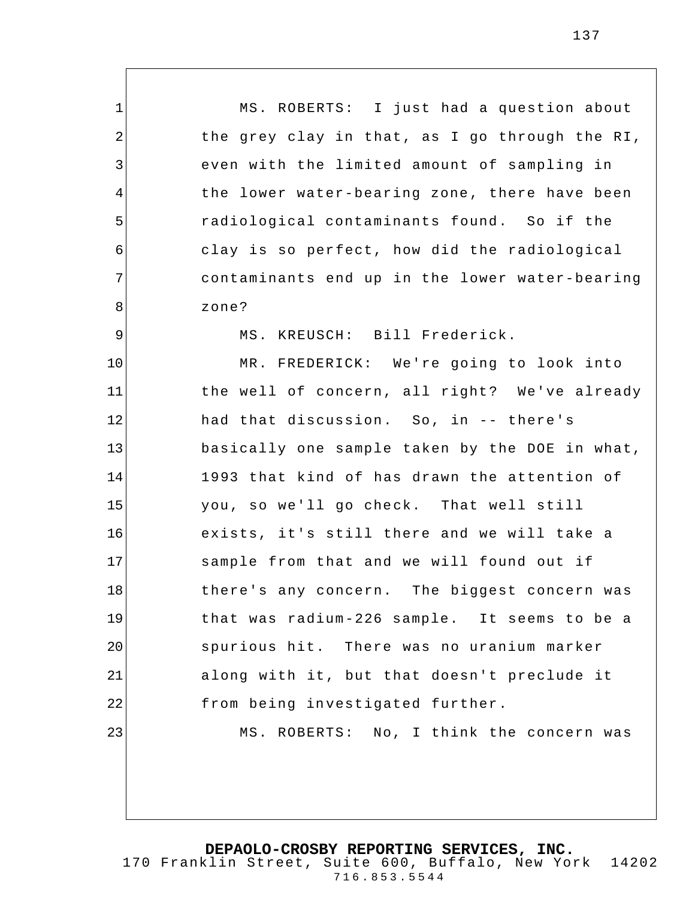1 2 3 4 5 6 7 8 9 10 11 12 13 14 15 16 17 18 19 20 21 22 23 MS. ROBERTS: I just had a question about the grey clay in that, as I go through the RI, even with the limited amount of sampling in the lower water-bearing zone, there have been radiological contaminants found. So if the clay is so perfect, how did the radiological contaminants end up in the lower water-bearing zone? MS. KREUSCH: Bill Frederick. MR. FREDERICK: We're going to look into the well of concern, all right? We've already had that discussion. So, in -- there's basically one sample taken by the DOE in what, 1993 that kind of has drawn the attention of you, so we'll go check. That well still exists, it's still there and we will take a sample from that and we will found out if there's any concern. The biggest concern was that was radium-226 sample. It seems to be a spurious hit. There was no uranium marker along with it, but that doesn't preclude it from being in vestigated further. MS. ROBERTS: No, I think the concern was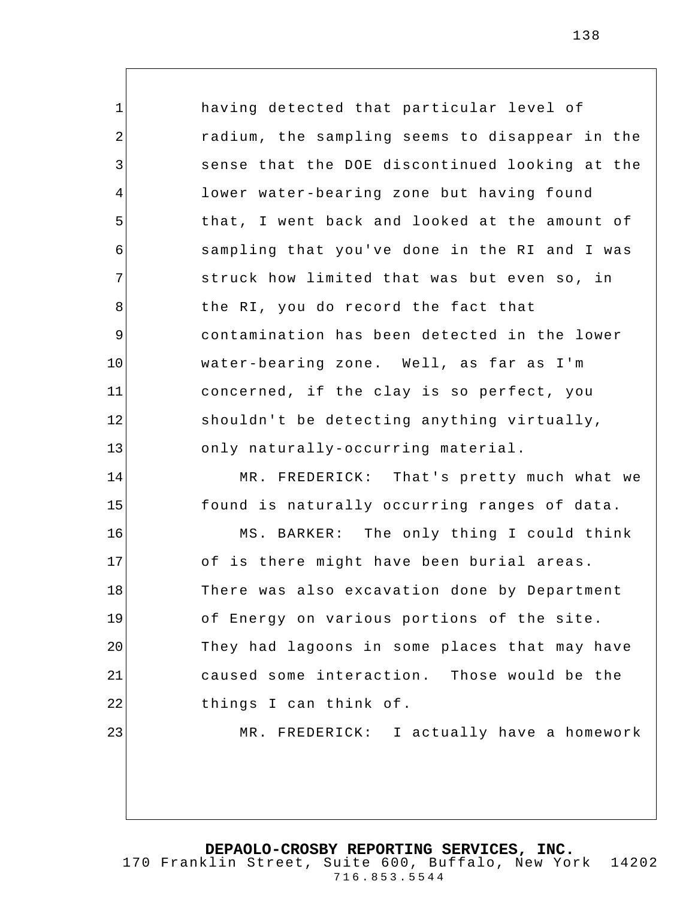1 2 3 4 5 6 7 8 9 10 11 12 13 14 15 16 17 18 19 20 21 22 23 having detected that particular level of radium, the sampling seems to disappear in the sense that the DOE discontinued looking at the lower water-bearing zone but having found that, I went back and looked at the amount of sampling that you've done in the RI and I was struck how limited that was but even so, in the RI, you do record the fact that contamination has been detected in the lower water-bearing zone. Well, as far as I'm concerned, if the clay is so perfect, you shouldn't be detecting anything virtually, only naturally-occurring material. MR. FREDERICK: That's pretty much what we found is naturally occurring ranges of data. MS. BARKER: The only thing I could think of is there might have been burial areas. There was also excavation done by Department of Energy on various portions of the site. They had lagoons in some places that may have caused some interaction. Those would be the things I can think of. MR. FREDERICK: I actually have a homework

**DEPAOLO-CROSBY REPORTING SERVICES, INC.**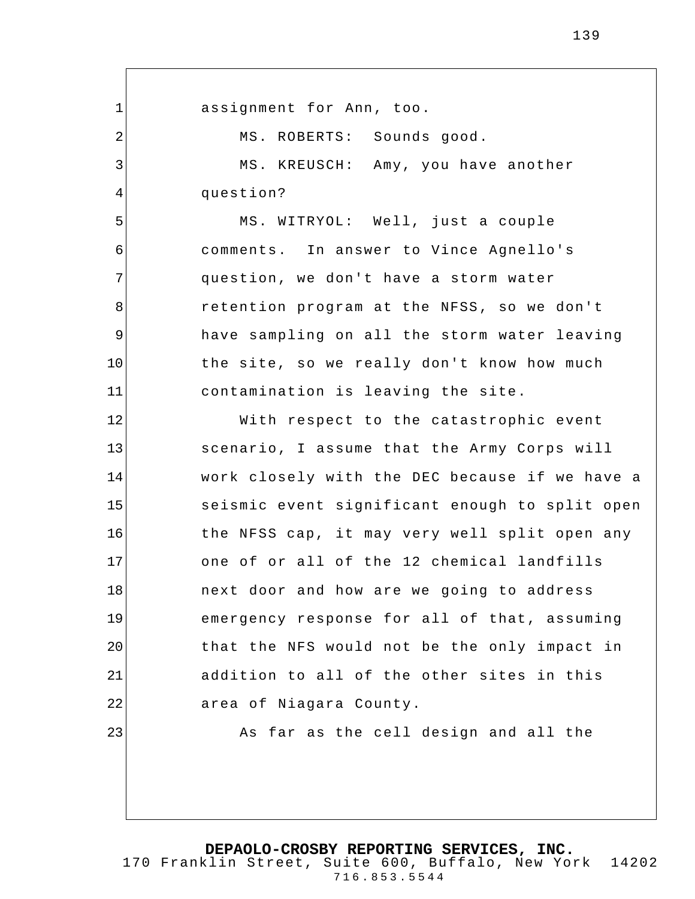1 2 3 4 5 6 7 8 9 10 11 12 13 14 15 16 17 18 19 20 21 22 23 assignment for Ann, too. MS. ROBERTS: Sounds good. MS. KREUSCH: Amy, you have another question? MS. WITRYOL: Well, just a couple comments. In answer to Vince Agnello's question, we don't have a storm water retention program at the NFSS, so we don't have sampling on all the storm water leaving the site, so we really don't know how much contamination is leaving the site. With respect to the catastrophic event scenario, I assume that the Army Corps will work closely with the DEC because if we have a seismic event significant enough to split open the NFSS cap, it may very well split open any one of or all of the 12 chemical landfills next door and how are we going to address emergency response for all of that, assuming that the NFS would not be the only impact in addition to all of the other sites in this area of Niagara County. As far as the cell design and all the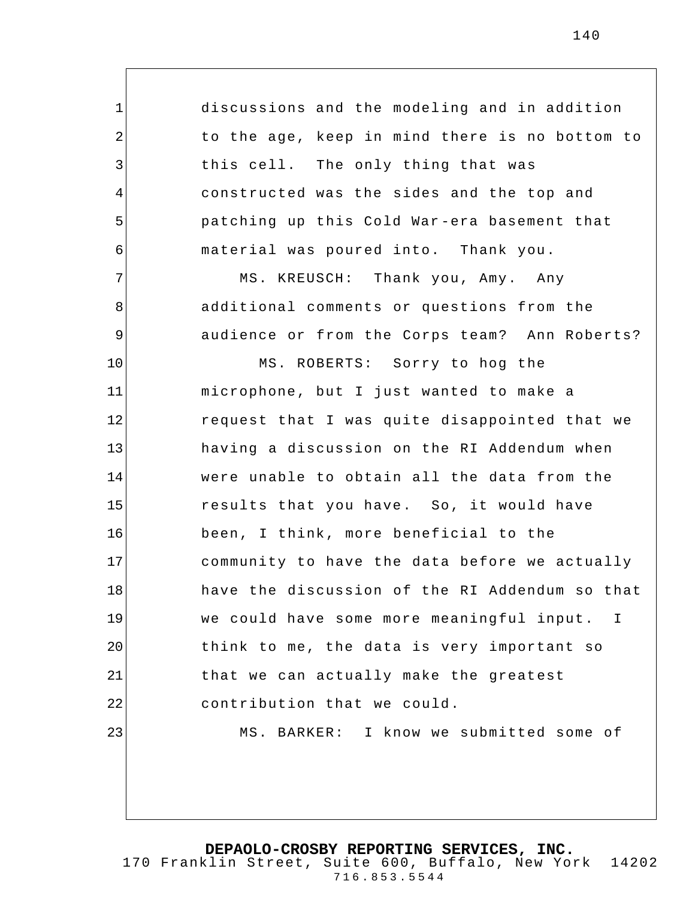discussions and the modeling and in addition to the age, keep in mind there is no bottom to this cell. The only thing that was constructed was the sides and the top and patching up this Cold War -era basement that material was poured into. Thank you.

1

2

3

4

5

6

7

8

9

10

MS. KREUSCH: Thank you, Amy. Any additional comments or questions from the audience or from the Corps team? Ann Roberts?

11 12 13 14 15 16 17 18 19 20 21 22 23 MS. ROBERTS: Sorry to hog the microphone, but I just wanted to make a request that I was quite disappointed that we having a discussion on the RI Addendum when were unable to obtain all the data from the results that you have. So, it would have been, I think, more beneficial to the community to have the data before we actually have the discussion of the RI Addendum so that we could have some more meaningful input. I think to me, the data is very important so that we can actually make the greatest contribution that we could. MS. BARKER: I know we submitted some of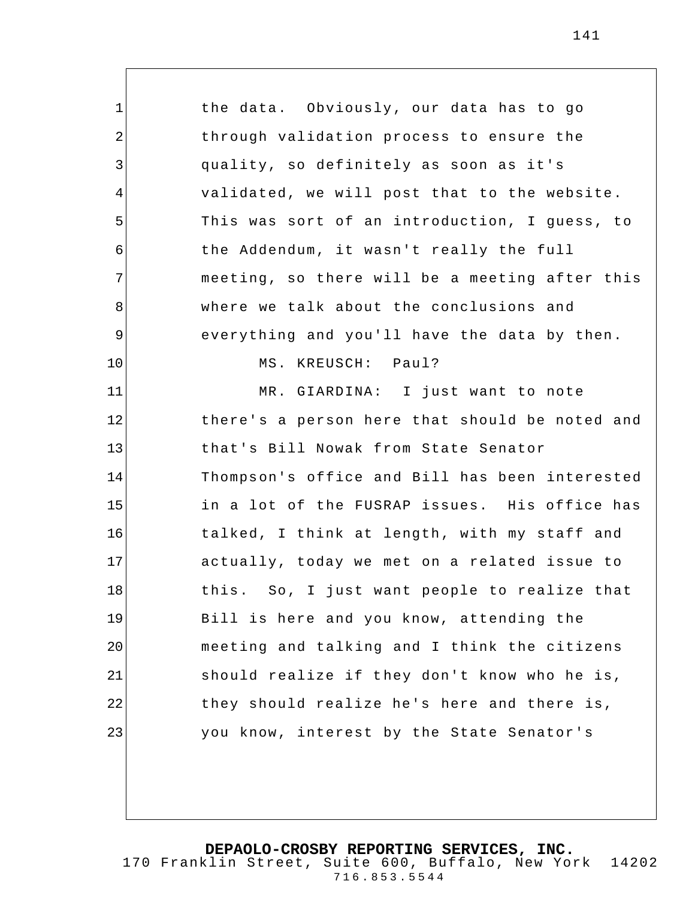1 2 3 4 5 6 7 8 9 10 11 12 13 14 15 16 17 18 19 20 21 22 23 the data. Obviously, our data has to go through validation process to ensure the quality, so definitely as soon as it's validated, we will post that to the website. This was sort of an introduction, I guess, to the Addendum, it wasn't really the full meeting, so there will be a meeting after this where we talk about the conclusions and everything and you'll have the data by then. MS. KREUSCH: Paul? MR. GIARDINA: I just want to note there's a person here that should be noted and that's Bill Nowak from State Senator Thompson's office and Bill has been interested in a lot of the FUSRAP issues. His office has talked, I think at length, with my staff and actually, today we met on a related issue to this. So, I just want people to realize that Bill is here and you know, attending the meeting and talking and I think the citizens should realize if they don't know who he is, they should realize he's here and there is, you know, interest by the State Senator's